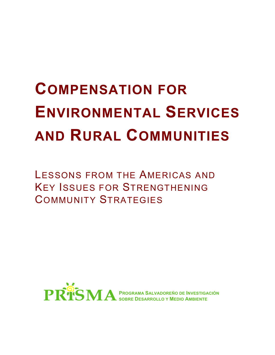# **COMPENSATION FOR ENVIRONMENTAL SERVICES AND RURAL COMMUNITIES**

LESSONS FROM THE AMERICAS AND KEY ISSUES FOR STRENGTHENING COMMUNITY STRATEGIES

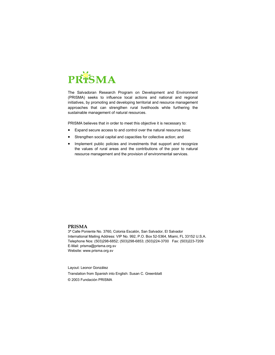

The Salvadoran Research Program on Development and Environment (PRISMA) seeks to influence local actions and national and regional initiatives, by promoting and developing territorial and resource management approaches that can strengthen rural livelihoods while furthering the sustainable management of natural resources.

PRISMA believes that in order to meet this objective it is necessary to:

- Expand secure access to and control over the natural resource base;
- Strengthen social capital and capacities for collective action; and
- Implement public policies and investments that support and recognize the values of rural areas and the contributions of the poor to natural resource management and the provision of environmental services.

#### **PRISMA**

3ª Calle Poniente No. 3760, Colonia Escalón, San Salvador, El Salvador International Mailing Address: VIP No. 992, P.O. Box 52-5364, Miami, FL 33152 U.S.A. Telephone Nos: (503)298-6852; (503)298-6853; (503)224-3700 Fax: (503)223-7209 E-Mail: prisma@prisma.org.sv Website: www.prisma.org.sv

Layout: Leonor González Translation from Spanish into English: Susan C. Greenblatt © 2003 Fundación PRISMA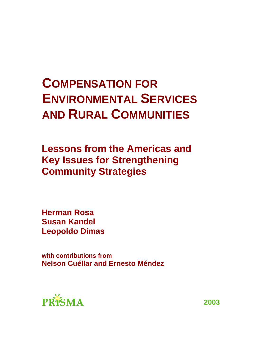## **COMPENSATION FOR ENVIRONMENTAL SERVICES AND RURAL COMMUNITIES**

**Lessons from the Americas and Key Issues for Strengthening Community Strategies** 

**Herman Rosa Susan Kandel Leopoldo Dimas** 

**with contributions from Nelson Cuéllar and Ernesto Méndez** 



**2003**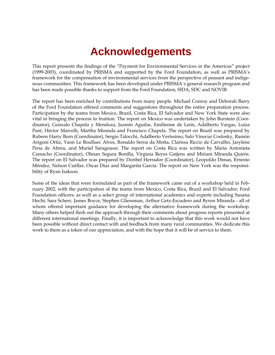### **Acknowledgements**

This report presents the findings of the "Payment for Environmental Services in the Americas" project (1999-2003), coordinated by PRISMA and supported by the Ford Foundation, as well as PRISMA's framework for the compensation of environmental services from the perspective of peasant and indigenous communities. This framework has been developed under PRISMA´s general research program and has been made possible thanks to support from the Ford Foundation, SIDA, SDC and NOVIB.

The report has been enriched by contributions from many people. Michael Conroy and Deborah Barry of the Ford Foundation offered comments and suggestions throughout the entire preparation process. Participation by the teams from Mexico, Brazil, Costa Rica, El Salvador and New York State were also vital in bringing the process to fruition. The report on Mexico was undertaken by John Burstein (Coordinator), Gonzalo Chapela y Mendoza, Jazmín Aguilar, Emilienne de León, Adalberto Vargas, Luisa Paré, Héctor Marcelli, Martha Miranda and Francisco Chapela. The report on Brazil was prepared by Rubens Harry Born (Coordinator), Sergio Talocchi, Adalberto Veríssimo, Salo Vinocur Coslosky, Ramón Arigoni Ortiz, Yann Le Boulluec Alves, Ronaldo Seroa da Motta, Clarissa Riccio de Carvalho, Jasylene Pena de Abreu, and Muriel Saragoussi. The report on Costa Rica was written by María Antonieta Camacho (Coordinator), Olman Segura Bonilla, Virginia Reyes Gatjens and Miriam Miranda Quirós. The report on El Salvador was prepared by Doribel Herrador (Coordinator), Leopoldo Dimas, Ernesto Méndez, Nelson Cuéllar, Oscar Díaz and Margarita García. The report on New York was the responsibility of Ryan Isakson.

Some of the ideas that were formulated as part of the framework came out of a workshop held in February 2002, with the participation of the teams from Mexico, Costa Rica, Brazil and El Salvador; Ford Foundation officers; as well as a select group of international academics and experts including Susana Hecht, Sara Scherr, James Boyce, Stephen Gliessman, Arthur Getz-Escudero and Byron Miranda - all of whom offered important guidance for developing the alternative framework during the workshop. Many others helped flesh out the approach through their comments about progress reports presented at different international meetings. Finally, it is important to acknowledge that this work would not have been possible without direct contact with and feedback from many rural communities. We dedicate this work to them as a token of our appreciation, and with the hope that it will be of service to them.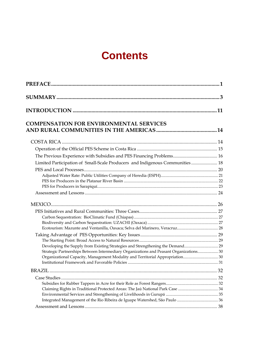### **Contents**

| <b>COMPENSATION FOR ENVIRONMENTAL SERVICES</b>                                         |  |
|----------------------------------------------------------------------------------------|--|
|                                                                                        |  |
|                                                                                        |  |
| The Previous Experience with Subsidies and PES Financing Problems 16                   |  |
| Limited Participation of Small-Scale Producers and Indigenous Communities 18           |  |
|                                                                                        |  |
|                                                                                        |  |
|                                                                                        |  |
|                                                                                        |  |
|                                                                                        |  |
|                                                                                        |  |
|                                                                                        |  |
|                                                                                        |  |
|                                                                                        |  |
|                                                                                        |  |
|                                                                                        |  |
|                                                                                        |  |
| Developing the Supply from Existing Strategies and Strengthening the Demand            |  |
| Strategic Partnerships Between Intermediary Organizations and Peasant Organizations 30 |  |
| Organizational Capacity, Management Modality and Territorial Appropriation 30          |  |
|                                                                                        |  |
|                                                                                        |  |
|                                                                                        |  |
|                                                                                        |  |
| Claiming Rights in Traditional Protected Areas: The Jaú National Park Case  34         |  |
|                                                                                        |  |
|                                                                                        |  |
|                                                                                        |  |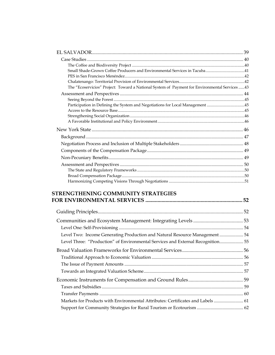| The "Ecoservicios" Project: Toward a National System of Payment for Environmental Services43 |  |
|----------------------------------------------------------------------------------------------|--|
|                                                                                              |  |
|                                                                                              |  |
| Participation in Defining the System and Negotiations for Local Management 45                |  |
|                                                                                              |  |
|                                                                                              |  |
|                                                                                              |  |
|                                                                                              |  |
|                                                                                              |  |
|                                                                                              |  |
|                                                                                              |  |
|                                                                                              |  |
|                                                                                              |  |
|                                                                                              |  |
|                                                                                              |  |
|                                                                                              |  |
|                                                                                              |  |

#### **STRENGTHENING COMMUNITY STRATEGIES FOR ENVIRONMENTAL SERVICES ........................................................................ 52**

| Level Two: Income Generating Production and Natural Resource Management  54     |  |
|---------------------------------------------------------------------------------|--|
| Level Three: "Production" of Environmental Services and External Recognition 55 |  |
|                                                                                 |  |
|                                                                                 |  |
|                                                                                 |  |
|                                                                                 |  |
|                                                                                 |  |
|                                                                                 |  |
|                                                                                 |  |
| Markets for Products with Environmental Attributes: Certificates and Labels  61 |  |
|                                                                                 |  |
|                                                                                 |  |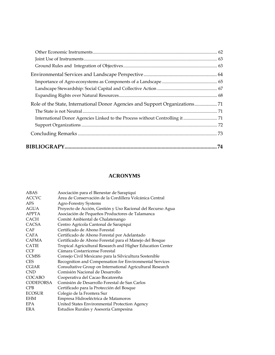#### **ACRONYMS**

| ABAS             | Asociación para el Bienestar de Sarapiquí                   |
|------------------|-------------------------------------------------------------|
| <b>ACCVC</b>     | Área de Conservación de la Cordillera Volcánica Central     |
| AFS              | <b>Agro-Forestry Systems</b>                                |
| <b>AGUA</b>      | Proyecto de Acción, Gestión y Uso Racional del Recurso Agua |
| <b>APPTA</b>     | Asociación de Pequeños Productores de Talamanca             |
| <b>CACH</b>      | Comité Ambiental de Chalatenango                            |
| <b>CACSA</b>     | Centro Agrícola Cantonal de Sarapiquí                       |
| CAF              | Certificado de Abono Forestal                               |
| <b>CAFA</b>      | Certificado de Abono Forestal por Adelantado                |
| <b>CAFMA</b>     | Certificado de Abono Forestal para el Manejo del Bosque     |
| <b>CATIE</b>     | Tropical Agricultural Research and Higher Education Center  |
| <b>CCF</b>       | Cámara Costarricense Forestal                               |
| <b>CCMSS</b>     | Consejo Civil Mexicano para la Silvicultura Sostenible      |
| <b>CES</b>       | Recognition and Compensation for Environmental Services     |
| <b>CGIAR</b>     | Consultative Group on International Agricultural Research   |
| <b>CND</b>       | Comisión Nacional de Desarrollo                             |
| COCABO           | Cooperativa del Cacao Bocatoreña                            |
| <b>CODEFORSA</b> | Comisión de Desarrollo Forestal de San Carlos               |
| <b>CPB</b>       | Certificado para la Protección del Bosque                   |
| <b>ECOSUR</b>    | Colegio de la Frontera Sur                                  |
| EHM              | Empresa Hidroeléctrica de Matamoros                         |
| <b>EPA</b>       | United States Environmental Protection Agency               |
| ERA              | Estudios Rurales y Asesoría Campesina                       |
|                  |                                                             |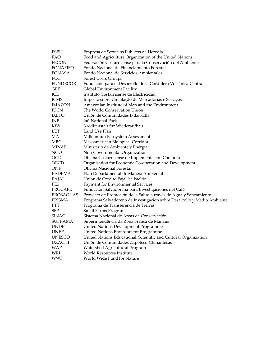| <b>ESPH</b>     | Empresa de Servicios Públicos de Heredia                                |  |  |  |  |  |
|-----------------|-------------------------------------------------------------------------|--|--|--|--|--|
| FAO             | Food and Agriculture Organization of the United Nations                 |  |  |  |  |  |
| FECON           | Federación Costarricense para la Conservación del Ambiente              |  |  |  |  |  |
| FONAFIFO        | Fondo Nacional de Financiamiento Forestal                               |  |  |  |  |  |
| FONASA          | Fondo Nacional de Servicios Ambientales                                 |  |  |  |  |  |
| FUG             | <b>Forest Users Groups</b>                                              |  |  |  |  |  |
| <b>FUNDECOR</b> | Fundación para el Desarrollo de la Cordillera Volcánica Central         |  |  |  |  |  |
| <b>GEF</b>      | Global Environment Facility                                             |  |  |  |  |  |
| ICE             | Instituto Costarricense de Electricidad                                 |  |  |  |  |  |
| <b>ICMS</b>     | Imposto sobre Circulação de Mercadorias e Serviços                      |  |  |  |  |  |
| <b>IMAZON</b>   | Amazonian Institute of Man and the Environment                          |  |  |  |  |  |
| <b>IUCN</b>     | The World Conservation Union                                            |  |  |  |  |  |
| IXETO           | Unión de Comunidades Ixtlán-Etla                                        |  |  |  |  |  |
| JNP             | Jaú National Park                                                       |  |  |  |  |  |
| KfW             | Kreditanstalt für Wiederaufbau                                          |  |  |  |  |  |
| <b>LUP</b>      | Land Use Plan                                                           |  |  |  |  |  |
| MA              | Millennium Ecosystem Assessment                                         |  |  |  |  |  |
| <b>MBC</b>      | Mesoamerican Biological Corridor                                        |  |  |  |  |  |
| MINAE           | Ministerio de Ambiente y Energía                                        |  |  |  |  |  |
| <b>NGO</b>      | Non-Governmental Organization                                           |  |  |  |  |  |
| OCIC            | Oficina Costarricense de Implementación Conjunta                        |  |  |  |  |  |
| OECD            | Organisation for Economic Co-operation and Development                  |  |  |  |  |  |
| ONF             | Oficina Nacional Forestal                                               |  |  |  |  |  |
| <b>PADEMA</b>   | Plan Departamental de Manejo Ambiental                                  |  |  |  |  |  |
| PAJAL           | Unión de Crédito Pajal Ya kac'tic                                       |  |  |  |  |  |
| PES             | Payment for Environmental Services                                      |  |  |  |  |  |
| <b>PROCAFE</b>  | Fundación Salvadoreña para Investigaciones del Café                     |  |  |  |  |  |
| PROSAGUAS       | Proyecto de Promoción de la Salud a través de Agua y Saneamiento        |  |  |  |  |  |
| <b>PRISMA</b>   | Programa Salvadoreño de Investigación sobre Desarrollo y Medio Ambiente |  |  |  |  |  |
| PTT             | Programa de Transferencia de Tierras                                    |  |  |  |  |  |
| <b>SFP</b>      | Small Farms Program                                                     |  |  |  |  |  |
| SINAC           | Sistema Nacional de Áreas de Conservación                               |  |  |  |  |  |
| <b>SUFRAMA</b>  | Superintendência da Zona Franca de Manaus                               |  |  |  |  |  |
| <b>UNDP</b>     | United Nations Development Programme                                    |  |  |  |  |  |
| UNEP            | United Nations Environment Programme                                    |  |  |  |  |  |
| <b>UNESCO</b>   | United Nations Educational, Scientific and Cultural Organization        |  |  |  |  |  |
| <b>UZACHI</b>   | Unión de Comunidades Zapoteco-Chinantecas                               |  |  |  |  |  |
| <b>WAP</b>      | Watershed Agricultural Program                                          |  |  |  |  |  |
| WRI             | World Resources Institute                                               |  |  |  |  |  |
| WWF             | World Wide Fund for Nature                                              |  |  |  |  |  |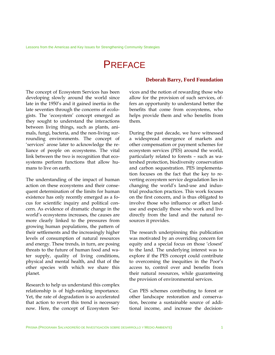### **PREFACE**

The concept of Ecosystem Services has been developing slowly around the world since late in the 1950's and it gained inertia in the late seventies through the concerns of ecologists. The 'ecosystem' concept emerged as they sought to understand the interactions between living things, such as plants, animals, fungi, bacteria, and the non-living surrounding environments. The concept of 'services' arose later to acknowledge the reliance of people on ecosystems. The vital link between the two is recognition that ecosystems perform functions that allow humans to live on earth.

The understanding of the impact of human action on these ecosystems and their consequent determination of the limits for human existence has only recently emerged as a focus for scientific inquiry and political concern. As evidence of dramatic change in the world's ecosystems increases, the causes are more clearly linked to the pressures from growing human populations, the pattern of their settlements and the increasingly higher levels of consumption of natural resources and energy. These trends, in turn, are posing threats to the future of human food and water supply, quality of living conditions, physical and mental health, and that of the other species with which we share this planet.

Research to help us understand this complex relationship is of high-ranking importance. Yet, the rate of degradation is so accelerated that action to revert this trend is necessary now. Here, the concept of Ecosystem Ser-

#### **Deborah Barry, Ford Foundation**

vices and the notion of rewarding those who allow for the provision of such services, offers an opportunity to understand better the benefits that come from ecosystems, who helps provide them and who benefits from them.

During the past decade, we have witnessed a widespread emergence of markets and other compensation or payment schemes for ecosystem services (PES) around the world, particularly related to forests – such as watershed protection, biodiversity conservation and carbon sequestration. PES implementation focuses on the fact that the key to reverting ecosystem service degradation lies in changing the world's land-use and industrial production practices. This work focuses on the first concern, and is thus obligated to involve those who influence or affect landuse and especially those who work and live directly from the land and the natural resources it provides.

The research underpinning this publication was motivated by an overriding concern for equity and a special focus on those 'closest' to the land. The underlying interest was to explore if the PES concept could contribute to overcoming the inequities in the Poor's access to, control over and benefits from their natural resources, while guaranteeing the provision of environmental services.

Can PES schemes contributing to forest or other landscape restoration and conservation, become a sustainable source of additional income, and increase the decision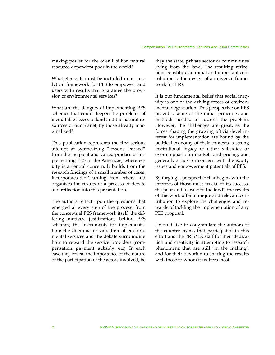making power for the over 1 billion natural resource-dependent poor in the world?

What elements must be included in an analytical framework for PES to empower land users with results that guarantee the provision of environmental services?

What are the dangers of implementing PES schemes that could deepen the problems of inequitable access to land and the natural resources of our planet, by those already marginalized?

This publication represents the first serious attempt at synthesizing "lessons learned" from the incipient and varied practice of implementing PES in the Americas, where equity is a central concern. It builds from the research findings of a small number of cases, incorporates the 'learning' from others, and organizes the results of a process of debate and reflection into this presentation.

The authors reflect upon the questions that emerged at every step of the process: from the conceptual PES framework itself; the differing motives, justifications behind PES schemes; the instruments for implementation; the dilemma of valuation of environmental services and the debate surrounding how to reward the service providers (compensation, payment, subsidy, etc). In each case they reveal the importance of the nature of the participation of the actors involved, be

they the state, private sector or communities living from the land. The resulting reflections constitute an initial and important contribution to the design of a universal framework for PES.

It is our fundamental belief that social inequity is one of the driving forces of environmental degradation. This perspective on PES provides some of the initial principles and methods needed to address the problem. However, the challenges are great, as the forces shaping the growing official-level interest for implementation are bound by the political economy of their contexts, a strong institutional legacy of either subsidies or over-emphasis on markets and pricing, and generally a lack for concern with the equity issues and empowerment potentials of PES.

By forging a perspective that begins with the interests of those most crucial to its success, the poor and 'closest to the land', the results of this work offer a unique and relevant contribution to explore the challenges and rewards of tackling the implementation of any PES proposal.

I would like to congratulate the authors of the country teams that participated in this effort and the PRISMA staff for their dedication and creativity in attempting to research phenomena that are still ´in the making´, and for their devotion to sharing the results with those to whom it matters most.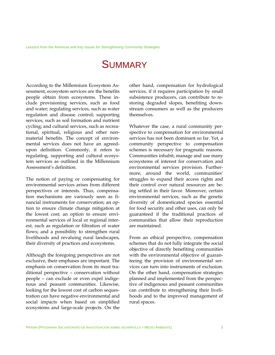### **SUMMARY**

According to the Millennium Ecosystem Assessment, ecosystem services are the benefits people obtain from ecosystems. These include provisioning services, such as food and water; regulating services, such as water regulation and disease control; supporting services, such as soil formation and nutrient cycling; and cultural services, such as recreational, spiritual, religious and other nonmaterial benefits. The concept of environmental services does not have an agreedupon definition. Commonly, it refers to regulating, supporting and cultural ecosystem services as outlined in the Millennium Assessment's definition.

The notion of paying or compensating for environmental services arises from different perspectives or interests. Thus, compensation mechanisms are variously seen as financial instruments for conservation; an option to ensure climate change mitigation at the lowest cost; an option to ensure environmental services of local or regional interest, such as regulation or filtration of water flows; and a possibility to strengthen rural livelihoods and revaluing rural landscapes, their diversity of practices and ecosystems.

Although the foregoing perspectives are not exclusive, their emphases are important. The emphasis on conservation from its most traditional perspective – conservation without people – can exclude or even expel indigenous and peasant communities. Likewise, looking for the lowest cost of carbon sequestration can have negative environmental and social impacts when based on simplified ecosystems and large-scale projects. On the

other hand, compensation for hydrological services, if it requires participation by small subsistence producers, can contribute to restoring degraded slopes, benefiting downstream consumers as well as the producers themselves.

Whatever the case, a rural community perspective to compensation for environmental services has not been dominant so far. Yet, a community perspective to compensation schemes is necessary for pragmatic reasons. Communities inhabit, manage and use many ecosystems of interest for conservation and environmental services provision. Furthermore, around the world, communities' struggles to expand their access rights and their control over natural resources are being settled in their favor. Moreover, certain environmental services, such as the genetic diversity of domesticated species essential for food security and other uses, can only be guaranteed if the traditional practices of communities that allow their reproduction are maintained.

From an ethical perspective, compensation schemes that do not fully integrate the social objective of directly benefiting communities with the environmental objective of guaranteeing the provision of environmental services can turn into instruments of exclusion. On the other hand, compensation strategies planned and implemented from the perspective of indigenous and peasant communities can contribute to strengthening their livelihoods and to the improved management of rural spaces.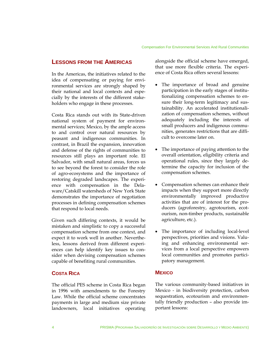#### **LESSONS FROM THE AMERICAS**

In the Americas, the initiatives related to the idea of compensating or paying for environmental services are strongly shaped by their national and local contexts and especially by the interests of the different stakeholders who engage in these processes.

Costa Rica stands out with its State-driven national system of payment for environmental services; Mexico, by the ample access to and control over natural resources by peasant and indigenous communities. In contrast, in Brazil the expansion, innovation and defense of the rights of communities to resources still plays an important role. El Salvador, with small natural areas, forces us to see beyond the forest to consider the role of agro-ecosystems and the importance of restoring degraded landscapes. The experience with compensation in the Delaware/Catskill watersheds of New York State demonstrates the importance of negotiation processes in defining compensation schemes that respond to local needs.

Given such differing contexts, it would be mistaken and simplistic to copy a successful compensation scheme from one context, and expect it to work well in another. Nevertheless, lessons derived from different experiences can help identify key issues to consider when devising compensation schemes capable of benefiting rural communities.

#### **COSTA RICA**

The official PES scheme in Costa Rica began in 1996 with amendments to the Forestry Law. While the official scheme concentrates payments in large and medium size private landowners, local initiatives operating

alongside the official scheme have emerged, that use more flexible criteria. The experience of Costa Rica offers several lessons:

- The importance of broad and genuine participation in the early stages of institutionalizing compensation schemes to ensure their long-term legitimacy and sustainability. An accelerated institutionalization of compensation schemes, without adequately including the interests of small producers and indigenous communities, generates restrictions that are difficult to overcome later on.
- The importance of paying attention to the overall orientation, eligibility criteria and operational rules, since they largely determine the capacity for inclusion of the compensation schemes.
- Compensation schemes can enhance their impacts when they support more directly environmentally improved productive activities that are of interest for the producers (agroforestry, agrotourism, ecotourism, non-timber products, sustainable agriculture, etc.).
- The importance of including local-level perspectives, priorities and visions. Valuing and enhancing environmental services from a local perspective empowers local communities and promotes participatory management.

#### **MEXICO**

The various community-based initiatives in Mexico - in biodiversity protection, carbon sequestration, ecotourism and environmentally friendly production – also provide important lessons: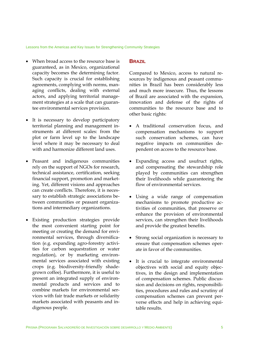Lessons from the Americas and Key Issues for Strengthening Community Strategies

- When broad access to the resource base is guaranteed, as in Mexico, organizational capacity becomes the determining factor. Such capacity is crucial for establishing agreements, complying with norms, managing conflicts, dealing with external actors, and applying territorial management strategies at a scale that can guarantee environmental services provision.
- It is necessary to develop participatory territorial planning and management instruments at different scales: from the plot or farm level up to the landscape level where it may be necessary to deal with and harmonize different land uses.
- Peasant and indigenous communities rely on the support of NGOs for research, technical assistance, certification, seeking financial support, promotion and marketing. Yet, different visions and approaches can create conflicts. Therefore, it is necessary to establish strategic associations between communities or peasant organizations and intermediary organizations.
- Existing production strategies provide the most convenient starting point for meeting or creating the demand for environmental services, through diversification (e.g. expanding agro-forestry activities for carbon sequestration or water regulation), or by marketing environmental services associated with existing crops (e.g. biodiversity-friendly shadegrown coffee). Furthermore, it is useful to present an integrated supply of environmental products and services and to combine markets for environmental services with fair trade markets or solidarity markets associated with peasants and indigenous people.

#### **BRAZIL**

Compared to Mexico, access to natural resources by indigenous and peasant communities in Brazil has been considerably less and much more insecure. Thus, the lessons of Brazil are associated with the expansion, innovation and defense of the rights of communities to the resource base and to other basic rights:

- A traditional conservation focus, and compensation mechanisms to support such conservation schemes, can have negative impacts on communities dependent on access to the resource base.
- Expanding access and usufruct rights, and compensating the stewardship role played by communities can strengthen their livelihoods while guaranteeing the flow of environmental services.
- Using a wide range of compensation mechanisms to promote productive activities of communities, that preserve or enhance the provision of environmental services, can strengthen their livelihoods and provide the greatest benefits.
- Strong social organization is necessary to ensure that compensation schemes operate in favor of the communities.
- It is crucial to integrate environmental objectives with social and equity objectives, in the design and implementation of compensation schemes. Public discussion and decisions on rights, responsibilities, procedures and rules and scrutiny of compensation schemes can prevent perverse effects and help in achieving equitable results.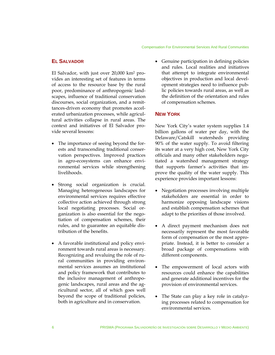#### Compensation For Environmental Services And Rural Communities

#### **EL SALVADOR**

El Salvador, with just over 20,000 km2 provides an interesting set of features in terms of access to the resource base by the rural poor, predominance of anthropogenic landscapes, influence of traditional conservation discourses, social organization, and a remittances-driven economy that promotes accelerated urbanization processes, while agricultural activities collapse in rural areas. The context and initiatives of El Salvador provide several lessons:

- The importance of seeing beyond the forests and transcending traditional conservation perspectives. Improved practices in agro-ecosystems can enhance environmental services while strengthening livelihoods.
- Strong social organization is crucial. Managing heterogeneous landscapes for environmental services requires effective collective action achieved through strong local negotiating processes. Social organization is also essential for the negotiation of compensation schemes, their rules, and to guarantee an equitable distribution of the benefits.
- A favorable institutional and policy environment towards rural areas is necessary. Recognizing and revaluing the role of rural communities in providing environmental services assumes an institutional and policy framework that contributes to the inclusive management of anthropogenic landscapes, rural areas and the agricultural sector, all of which goes well beyond the scope of traditional policies, both in agriculture and in conservation.

• Genuine participation in defining policies and rules. Local realities and initiatives that attempt to integrate environmental objectives in production and local development strategies need to influence public policies towards rural areas, as well as the definition of the orientation and rules of compensation schemes.

#### **NEW YORK**

New York City's water system supplies 1.4 billion gallons of water per day, with the Delaware/Catskill watersheds providing 90% of the water supply. To avoid filtering its water at a very high cost, New York City officials and many other stakeholders negotiated a watershed management strategy that supports farmer's activities that improve the quality of the water supply. This experience provides important lessons:

- Negotiation processes involving multiple stakeholders are essential in order to harmonize opposing landscape visions and establish compensation schemes that adapt to the priorities of those involved.
- A direct payment mechanism does not necessarily represent the most favorable form of compensation or the most appropriate. Instead, it is better to consider a broad package of compensations with different components.
- The empowerment of local actors with resources could enhance the capabilities and generate additional incentives for the provision of environmental services.
- The State can play a key role in catalyzing processes related to compensation for environmental services.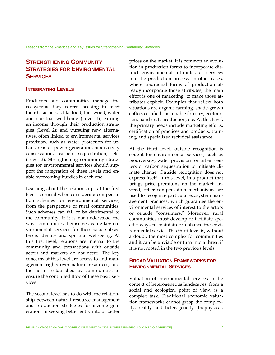#### **STRENGTHENING COMMUNITY STRATEGIES FOR ENVIRONMENTAL SERVICES**

#### **INTEGRATING LEVELS**

Producers and communities manage the ecosystems they control seeking to meet their basic needs, like food, fuel-wood, water and spiritual well-being (Level 1); earning an income through their production strategies (Level 2); and pursuing new alternatives, often linked to environmental services provision, such as water protection for urban areas or power generation, biodiversity conservation, carbon sequestration, etc. (Level 3). Strengthening community strategies for environmental services should support the integration of these levels and enable overcoming hurdles in each one.

Learning about the relationships at the first level is crucial when considering compensation schemes for environmental services, from the perspective of rural communities. Such schemes can fail or be detrimental to the community, if it is not understood the way communities themselves value key environmental services for their basic subsistence, identity and spiritual well-being. At this first level, relations are internal to the community and transactions with outside actors and markets do not occur. The key concerns at this level are access to and management rights over natural resources, and the norms established by communities to ensure the continued flow of these basic services.

The second level has to do with the relationship between natural resource management and production strategies for income generation. In seeking better entry into or better

prices on the market, it is common an evolution in production forms to incorporate distinct environmental attributes or services into the production process. In other cases, where traditional forms of production already incorporate those attributes, the main effort is one of marketing, to make those attributes explicit. Examples that reflect both situations are organic farming, shade-grown coffee, certified sustainable forestry, ecotourism, handicraft production, etc. At this level, the primary needs include marketing efforts, certification of practices and products, training, and specialized technical assistance.

At the third level, outside recognition is sought for environmental services, such as biodiversity, water provision for urban centers or carbon sequestration to mitigate climate change. Outside recognition does not express itself, at this level, in a product that brings price premiums on the market. Instead, other compensation mechanisms are used to recognize particular ecosystem management practices, which guarantee the environmental services of interest to the actors or outside "consumers." Moreover, rural communities must develop or facilitate specific ways to maintain or enhance the environmental service.This third level is, without a doubt, the most complex for communities and it can be unviable or turn into a threat if it is not rooted in the two previous levels.

#### **BROAD VALUATION FRAMEWORKS FOR ENVIRONMENTAL SERVICES**

Valuation of environmental services in the context of heterogeneous landscapes, from a social and ecological point of view, is a complex task. Traditional economic valuation frameworks cannot grasp the complexity, reality and heterogeneity (biophysical,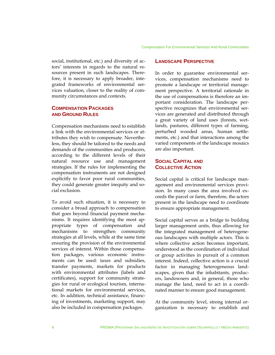social, institutional, etc.) and diversity of actors' interests in regards to the natural resources present in such landscapes. Therefore, it is necessary to apply broader, integrated frameworks of environmental services valuation, closer to the reality of community circumstances and contexts.

#### **COMPENSATION PACKAGES AND GROUND RULES**

Compensation mechanisms need to establish a link with the environmental services or attributes they wish to compensate. Nevertheless, they should be tailored to the needs and demands of the communities and producers, according to the different levels of their natural resource use and management strategies. If the rules for implementing the compensation instruments are not designed explicitly to favor poor rural communities, they could generate greater inequity and social exclusion.

To avoid such situation, it is necessary to consider a broad approach to compensation that goes beyond financial payment mechanisms. It requires identifying the most appropriate types of compensation and mechanisms to strengthen community strategies at all levels, while at the same time ensuring the provision of the environmental services of interest. Within those compensation packages, various economic instruments can be used: taxes and subsidies, transfer payments, markets for products with environmental attributes (labels and certificates), support for community strategies for rural or ecological tourism, international markets for environmental services, etc. In addition, technical assistance, financing of investments, marketing support, may also be included in compensation packages.

#### **LANDSCAPE PERSPECTIVE**

In order to guarantee environmental services, compensation mechanisms need to promote a landscape or territorial management perspective. A territorial rationale in the use of compensations is therefore an important consideration. The landscape perspective recognizes that environmental services are generated and distributed through a great variety of land uses (forests, wetlands, pastures, different types of farming, perturbed wooded areas, human settlements, etc.) and that interactions among the varied components of the landscape mosaics are also important.

#### **SOCIAL CAPITAL AND COLLECTIVE ACTION**

Social capital is critical for landscape management and environmental services provision. In many cases the area involved exceeds the parcel or farm, therefore, the actors present in the landscape need to coordinate to ensure appropriate management.

Social capital serves as a bridge to building larger management units, thus allowing for the integrated management of heterogeneous landscapes with multiple actors. This is where collective action becomes important, understood as the coordination of individual or group activities in pursuit of a common interest. Indeed, collective action is a crucial factor in managing heterogeneous landscapes, given that the inhabitants, producers, landowners and, in general, those who manage the land, need to act in a coordinated manner to ensure good management.

At the community level, strong internal organization is necessary to establish and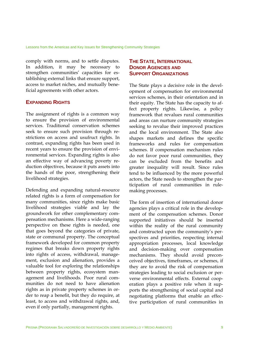comply with norms, and to settle disputes. In addition, it may be necessary to strengthen communities' capacities for establishing external links that ensure support, access to market niches, and mutually beneficial agreements with other actors.

#### **EXPANDING RIGHTS**

The assignment of rights is a common way to ensure the provision of environmental services. Traditional conservation schemes seek to ensure such provision through restrictions on access and usufruct rights. In contrast, expanding rights has been used in recent years to ensure the provision of environmental services. Expanding rights is also an effective way of advancing poverty reduction objectives, because it puts assets into the hands of the poor, strengthening their livelihood strategies.

Defending and expanding natural-resource related rights is a form of compensation for many communities, since rights make basic livelihood strategies viable and lay the groundwork for other complementary compensation mechanisms. Here a wide-ranging perspective on these rights is needed, one that goes beyond the categories of private, state or communal property. The conceptual framework developed for common property regimes that breaks down property rights into rights of access, withdrawal, management, exclusion and alienation, provides a valuable tool for exploring the relationships between property rights, ecosystem management and livelihoods. Poor rural communities do not need to have alienation rights as in private property schemes in order to reap a benefit, but they do require, at least, to access and withdrawal rights, and, even if only partially, management rights.

#### **THE STATE, INTERNATIONAL DONOR AGENCIES AND SUPPORT ORGANIZATIONS**

The State plays a decisive role in the development of compensation for environmental services schemes, in their orientation and in their equity. The State has the capacity to affect property rights. Likewise, a policy framework that revalues rural communities and areas can nurture community strategies seeking to revalue their improved practices and the local environment. The State also shapes markets and defines the specific frameworks and rules for compensation schemes. If compensation mechanism rules do not favor poor rural communities, they can be excluded from the benefits and greater inequality will result. Since rules tend to be influenced by the more powerful actors, the State needs to strengthen the participation of rural communities in rulemaking processes.

The form of insertion of international donor agencies plays a critical role in the development of the compensation schemes. Donor supported initiatives should be inserted within the reality of the rural community and constructed upon the community's perspectives and priorities, respecting internal appropriation processes, local knowledge and decision-making over compensation mechanisms. They should avoid preconceived objectives, timeframes, or schemes, if they are to avoid the risk of compensation strategies leading to social exclusion or perverse environmental effects. External cooperation plays a positive role when it supports the strengthening of social capital and negotiating platforms that enable an effective participation of rural communities in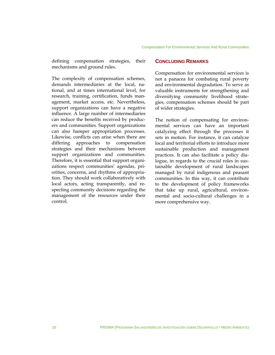defining compensation strategies, their **CONCLUDING REMARKS** mechanisms and ground rules.

The complexity of compensation schemes, demands intermediaries at the local, national, and at times international level, for research, training, certification, funds management, market access, etc. Nevertheless, support organizations can have a negative influence. A large number of intermediaries can reduce the benefits received by producers and communities. Support organizations can also hamper appropriation processes. Likewise, conflicts can arise when there are differing approaches to compensation strategies and their mechanisms between support organizations and communities. Therefore, it is essential that support organizations respect communities' agendas, priorities, concerns, and rhythms of appropriation. They should work collaboratively with local actors, acting transparently, and respecting community decisions regarding the management of the resources under their control.

Compensation for environmental services is not a panacea for combating rural poverty and environmental degradation. To serve as valuable instruments for strengthening and diversifying community livelihood strategies, compensation schemes should be part of wider strategies.

The notion of compensating for environmental services can have an important catalyzing effect through the processes it sets in motion. For instance, it can catalyze local and territorial efforts to introduce more sustainable production and management practices. It can also facilitate a policy dialogue, in regards to the crucial roles in sustainable development of rural landscapes managed by rural indigenous and peasant communities. In this way, it can contribute to the development of policy frameworks that take up rural, agricultural, environmental and socio-cultural challenges in a more comprehensive way.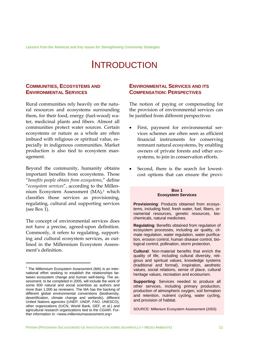Lessons from the Americas and Key Issues for Strengthening Community Strategies

### INTRODUCTION

#### **COMMUNITIES, ECOSYSTEMS AND ENVIRONMENTAL SERVICES**

Rural communities rely heavily on the natural resources and ecosystems surrounding them, for their food, energy (fuel-wood) water, medicinal plants and fibers. Almost all communities protect water sources. Certain ecosystems or nature as a whole are often imbued with religious or spiritual value, especially in indigenous communities. Market production is also tied to ecosystem management.

Beyond the community, humanity obtains important benefits from ecosystems. Those "*benefits people obtain from ecosystems*," define "*ecosystem services*", according to the Millennium Ecosystem Assessment (MA),<sup>1</sup> which classifies those services as provisioning, regulating, cultural and supporting services (see Box 1).

The concept of environmental services does not have a precise, agreed-upon definition. Commonly, it refers to regulating, supporting and cultural ecosystem services, as outlined in the Millennium Ecosystem Assessment's definition.

<u>.</u>

#### **ENVIRONMENTAL SERVICES AND ITS COMPENSATION: PERSPECTIVES**

The notion of paying or compensating for the provision of environmental services can be justified from different perspectives:

- First, payment for environmental services schemes are often seen as efficient financial instruments for conserving remnant natural ecosystems, by enabling owners of private forests and other ecosystems, to join in conservation efforts.
- Second, there is the search for lowestcost options that can ensure the provi-

#### **Box 1 Ecosystem Services**

**Provisioning**: Products obtained from ecosystems, including food, fresh water, fuel, fibers, ornamental resources, genetic resources, biochemicals, natural medicines.

**Regulating**: Benefits obtained from regulation of ecosystem processes, including air quality, climate regulation, water regulation, water purification, erosion control, human disease control, biological control, pollination, storm protection.

**Cultural**: Non-material benefits that enrich the quality of life, including cultural diversity, religious and spiritual values, knowledge systems (traditional and formal), inspiration, aesthetic values, social relations, sense of place, cultural heritage values, recreation and ecotourism.

**Supporting:** Services needed to produce all other services, including primary production, production of atmospheric oxygen, soil formation and retention, nutrient cycling, water cycling, and provision of habitat.

SOURCE: Millenium Ecosystem Assessment (2003)

<sup>&</sup>lt;sup>1</sup> The Millennium Ecosystem Assessment (MA) is an international effort seeking to establish the relationships between ecosystem change and human well-being. The assessment, to be completed in 2005, will include the work of some 600 natural and social scientists as authors and more than 1,000 as reviewers. The MA has the backing of different global environmental conventions (biodiversity, desertification, climate change and wetlands), different United Nations agencies (UNEP, UNDP, FAO, UNESCO), other organizations (IUCN, World Bank, GEF, et al.) and agricultural research organizations tied to the CGIAR. Further information in: <www.millenniumassessment.org>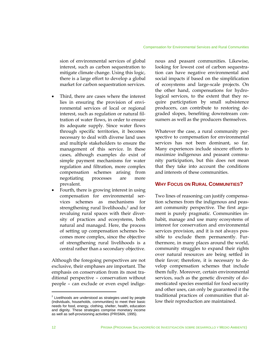sion of environmental services of global interest, such as carbon sequestration to mitigate climate change. Using this logic, there is a large effort to develop a global market for carbon sequestration services.

- Third, there are cases where the interest lies in ensuring the provision of environmental services of local or regional interest, such as regulation or natural filtration of water flows, in order to ensure its adequate supply. Since water flows through specific territories, it becomes necessary to deal with diverse land uses and multiple stakeholders to ensure the management of this service. In these cases, although examples do exist of simple payment mechanisms for water regulation and filtration, more complex compensation schemes arising from negotiating processes are more prevalent.
- Fourth, there is growing interest in using compensation for environmental services schemes as mechanisms for strengthening rural livelihoods,<sup>2</sup> and for revaluing rural spaces with their diversity of practices and ecosystems, both natural and managed. Here, the process of setting up compensation schemes becomes more complex, since the objective of strengthening rural livelihoods is a central rather than a secondary objective.

Although the foregoing perspectives are not exclusive, their emphases are important. The emphasis on conservation from its most traditional perspective – conservation without people – can exclude or even expel indigenous and peasant communities. Likewise, looking for lowest cost of carbon sequestration can have negative environmental and social impacts if based on the simplification of ecosystems and large-scale projects. On the other hand, compensations for hydrological services, to the extent that they require participation by small subsistence producers, can contribute to restoring degraded slopes, benefiting downstream consumers as well as the producers themselves.

Whatever the case, a rural community perspective to compensation for environmental services has not been dominant, so far. Many experiences include sincere efforts to maximize indigenous and peasant community participation, but this does not mean that they take into account the conditions and interests of these communities.

#### **WHY FOCUS ON RURAL COMMUNITIES?**

Two lines of reasoning can justify compensation schemes from the indigenous and peasant community perspective. The first argument is purely pragmatic. Communities inhabit, manage and use many ecosystems of interest for conservation and environmental services provision, and it is not always possible to exclude them permanently. Furthermore, in many places around the world, community struggles to expand their rights over natural resources are being settled in their favor; therefore, it is necessary to develop compensation schemes that include them fully. Moreover, certain environmental services, such as the genetic diversity of domesticated species essential for food security and other uses, can only be guaranteed it the traditional practices of communities that allow their reproduction are maintained.

 $2$  Livelihoods are understood as strategies used by people (individuals, households, communities) to meet their basic needs for food, energy, clothing, shelter, health, education and dignity. These strategies comprise monetary income as well as self-provisioning activities (PRISMA, 1995).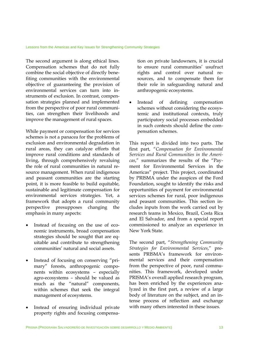The second argument is along ethical lines. Compensation schemes that do not fully combine the social objective of directly benefiting communities with the environmental objective of guaranteeing the provision of environmental services can turn into instruments of exclusion. In contrast, compensation strategies planned and implemented from the perspective of poor rural communities, can strengthen their livelihoods and improve the management of rural spaces.

While payment or compensation for services schemes is not a panacea for the problems of exclusion and environmental degradation in rural areas, they can catalyze efforts that improve rural conditions and standards of living, through comprehensively revaluing the role of rural communities in natural resource management. When rural indigenous and peasant communities are the starting point, it is more feasible to build equitable, sustainable and legitimate compensation for environmental services strategies. Yet, a framework that adopts a rural community perspective presupposes changing the emphasis in many aspects:

- Instead of focusing on the use of economic instruments, broad compensation strategies should be sought that are equitable and contribute to strengthening communities' natural and social assets.
- Instead of focusing on conserving "primary" forests, anthropogenic components within ecosystems – especially agro-ecosystems – should be valued as much as the "natural" components, within schemes that seek the integral management of ecosystems.
- Instead of ensuring individual private property rights and focusing compensa-

tion on private landowners, it is crucial to ensure rural communities' usufruct rights and control over natural resources, and to compensate them for their role in safeguarding natural and anthropogenic ecosystems.

Instead of defining compensation schemes without considering the ecosystemic and institutional contexts, truly participatory social processes embedded in such contexts should define the compensation schemes.

This report is divided into two parts. The first part, "*Compensation for Environmental Services and Rural Communities in the Americas*," summarizes the results of the "Payment for Environmental Services in the Americas" project. This project, coordinated by PRISMA under the auspices of the Ford Foundation, sought to identify the risks and opportunities of payment for environmental services schemes for rural, poor indigenous and peasant communities. This section includes inputs from the work carried out by research teams in Mexico, Brazil, Costa Rica and El Salvador, and from a special report commissioned to analyze an experience in New York State.

The second part, "*Strengthening Community Strategies for Environmental Services*," presents PRISMA's framework for environmental services and their compensation from the perspective of poor, rural communities. This framework, developed under PRISMA's overall applied research program, has been enriched by the experiences analyzed in the first part, a review of a large body of literature on the subject, and an intense process of reflection and exchange with many others interested in these issues.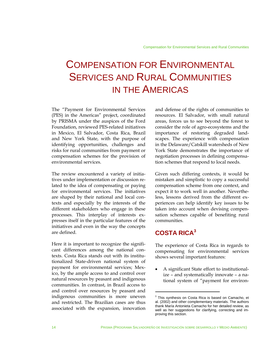### COMPENSATION FOR ENVIRONMENTAL SERVICES AND RURAL COMMUNITIES IN THE AMERICAS

The "Payment for Environmental Services (PES) in the Americas" project, coordinated by PRISMA under the auspices of the Ford Foundation, reviewed PES-related initiatives in Mexico, El Salvador, Costa Rica, Brazil and New York State, with the purpose of identifying opportunities, challenges and risks for rural communities from payment or compensation schemes for the provision of environmental services.

The review encountered a variety of initiatives under implementation or discussion related to the idea of compensating or paying for environmental services. The initiatives are shaped by their national and local contexts and especially by the interests of the different stakeholders who engage in these processes. This interplay of interests expresses itself in the particular features of the initiatives and even in the way the concepts are defined.

Here it is important to recognize the significant differences among the national contexts. Costa Rica stands out with its institutionalized State-driven national system of payment for environmental services; Mexico, by the ample access to and control over natural resources by peasant and indigenous communities. In contrast, in Brazil access to and control over resources by peasant and indigenous communities is more uneven and restricted. The Brazilian cases are thus associated with the expansion, innovation

and defense of the rights of communities to resources. El Salvador, with small natural areas, forces us to see beyond the forest to consider the role of agro-ecosystems and the importance of restoring degraded landscapes. The experience with compensation in the Delaware/Catskill watersheds of New York State demonstrates the importance of negotiation processes in defining compensation schemes that respond to local needs.

Given such differing contexts, it would be mistaken and simplistic to copy a successful compensation scheme from one context, and expect it to work well in another. Nevertheless, lessons derived from the different experiences can help identify key issues to be taken into account when devising compensation schemes capable of benefiting rural communities.

### **COSTA RICA<sup>3</sup>**

The experience of Costa Rica in regards to compensating for environmental services shows several important features:

• A significant State effort to institutionalize – and systematically innovate – a national system of "payment for environ-

 $3$  This synthesis on Costa Rica is based on Camacho, et al. (2002) and other complementary materials. The authors thank María Antonieta Camacho for her detailed review, as well as her suggestions for clarifying, correcting and improving this section.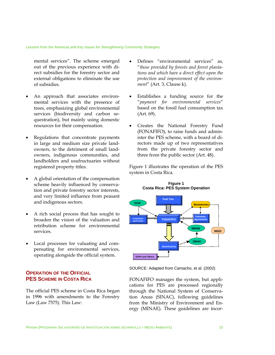Lessons from the Americas and Key Issues for Strengthening Community Strategies

mental services". The scheme emerged out of the previous experience with direct subsidies for the forestry sector and external obligations to eliminate the use of subsidies.

- An approach that associates environmental services with the presence of trees, emphasizing global environmental services (biodiversity and carbon sequestration), but mainly using domestic resources for their compensation.
- Regulations that concentrate payments in large and medium size private landowners, to the detriment of small landowners, indigenous communities, and landholders and usufructuaries without registered property titles.
- A global orientation of the compensation scheme heavily influenced by conservation and private forestry sector interests, and very limited influence from peasant and indigenous sectors.
- A rich social process that has sought to broaden the vision of the valuation and retribution scheme for environmental services.
- Local processes for valuating and compensating for environmental services, operating alongside the official system.

#### **OPERATION OF THE OFFICIAL PES SCHEME IN COSTA RICA**

The official PES scheme in Costa Rica began in 1996 with amendments to the Forestry Law (Law 7575). This Law:

- Defines "environmental services" as, "*those provided by forests and forest plantations and which have a direct effect upon the protection and improvement of the environment*" (Art. 3, Clause k).
- Establishes a funding source for the "*payment for environmental services*" based on the fossil fuel consumption tax (Art. 69).
- Creates the National Forestry Fund (FONAFIFO), to raise funds and administer the PES scheme, with a board of directors made up of two representatives from the private forestry sector and three from the public sector (Art. 48).

Figure 1 illustrates the operation of the PES system in Costa Rica.



SOURCE: Adapted from Camacho, et al. (2002)

FONAFIFO manages the system, but applications for PES are processed regionally through the National System of Conservation Areas (SINAC), following guidelines from the Ministry of Environment and Energy (MINAE). These guidelines are incor-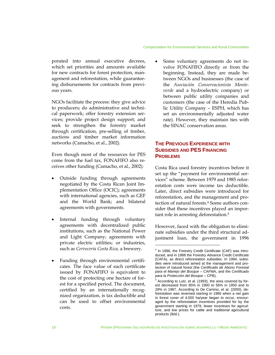#### Compensation for Environmental Services and Rural Communities

porated into annual executive decrees, which set priorities and amounts available for new contracts for forest protection, management and reforestation, while guaranteeing disbursements for contracts from previous years.

NGOs facilitate the process: they give advice to producers; do administrative and technical paperwork; offer forestry extension services; provide project design support; and seek to strengthen the forestry market through certification, pre-selling of timber, auctions and timber market information networks (Camacho, et al., 2002).

Even though most of the resources for PES come from the fuel tax, FONAFIFO also receives other funding (Camacho, et al., 2002):

- Outside funding through agreements negotiated by the Costa Rican Joint Implementation Office (OCIC); agreements with international agencies, such as GEF and the World Bank; and bilateral agreements with governments.
- Internal funding through voluntary agreements with decentralized public institutions, such as the National Power and Light Company; agreements with private electric utilities; or industries, such as *Cervecería Costa Rica,* a brewery.
- Funding through environmental certificates. The face value of each certificate issued by FONAFIFO is equivalent to the cost of protecting one hectare of forest for a specified period. The document, certified by an internationally recognized organization, is tax deductible and can be used to offset environmental costs.

Some voluntary agreements do not involve FONAFIFO directly or from the beginning. Instead, they are made between NGOs and businesses (the case of the *Asociación Conservacionista Monteverde* and a hydroelectric company) or between public utility companies and customers (the case of the Heredia Public Utility Company – ESPH, which has set an environmentally adjusted water rate). However, they maintain ties with the SINAC conservation areas.

#### **THE PREVIOUS EXPERIENCE WITH SUBSIDIES AND PES FINANCING PROBLEMS**

Costa Rica used forestry incentives before it set up the "payment for environmental services" scheme. Between 1979 and 1985 reforestation costs were income tax deductible. Later, direct subsidies were introduced for reforestation, and the management and protection of natural forests.<sup>4</sup> Some authors consider that these incentives played an important role in arresting deforestation.5

However, faced with the obligation to eliminate subsidies under the third structural adjustment loan, the government in 1996

<sup>&</sup>lt;sup>4</sup> In 1986, the Forestry Credit Certificate (CAF) was introduced, and in 1988 the Forestry Advance Credit Certificate (CAFA), as direct reforestation subsidies. In 1994, subsidies were introduced aimed at the management and protection of natural forest (the *Certificado de Abono Forestal para el Manejo del Bosque* – CAFMA, and the *Certificado para la Protección del Bosque* – CPB).

<sup>&</sup>lt;sup>5</sup> According to Lutz, et al. (1993), the area covered by forest decreased from 85% in 1900 to 56% in 1950 and to 29% in 1987. According to De Camino, et al. (2000), deforestation was reversed starting in 1986 when a net gain in forest cover of 4,000 ha/year began to occur, encouraged by the reforestation incentives provided for by the government starting in 1979, fewer incentives for agriculture, and low prices for cattle and traditional agricultural products (Ibid.).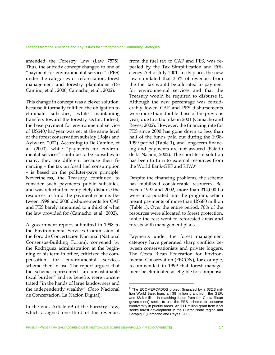amended the Forestry Law (Law 7575). Thus, the subsidy concept changed to one of "payment for environmental services" (PES) under the categories of reforestation, forest management and forestry plantations (De Camino, et al., 2000; Camacho, et al., 2002).

This change in concept was a clever solution, because it formally fulfilled the obligation to eliminate subsidies, while maintaining transfers toward the forestry sector. Indeed, the base payment for environmental service of US\$40/ha/year was set at the same level of the forest conservation subsidy (Rojas and Aylward, 2002). According to De Camino, et al. (2000), while "payments for environmental services" continue to be subsidies to many, they are different because their financing – the tax on fossil fuel consumption – is based on the polluter-pays principle. Nevertheless, the Treasury continued to consider such payments public subsidies, and was reluctant to completely disburse the resources to fund the payment scheme. Between 1998 and 2000 disbursements for CAF and PES barely amounted to a third of what the law provided for (Camacho, et al., 2002).

A government report, submitted in 1998 to the Environmental Services Commission of the Foro de Concertación Nacional (National Consensus-Building Forum), convened by the Rodríguez administration at the beginning of his term in office, criticized the compensation for environmental services scheme then in use. The report argued that the scheme represented "an unsustainable fiscal burden" and its benefits were concentrated "in the hands of large landowners and the independently wealthy" (Foro Nacional de Concertación, La Nación Digital).

In the end, Article 69 of the Forestry Law, which assigned one third of the revenues from the fuel tax to CAF and PES, was repealed by the Tax Simplification and Efficiency Act of July 2001. In its place, the new law stipulated that 3.5% of revenues from the fuel tax would be allocated to payment for environmental services and that the Treasury would be required to disburse it. Although the new percentage was considerably lower, CAF and PES disbursements were more than double those of the previous year, due to a tax hike in 2001 (Camacho and Reyes, 2002). However, the financing rate for PES since 2000 has gone down to less than half of the funds paid out during the 1998- 1999 period (Table 1), and long-term financing and payments are not assured (Estado de la Nación, 2002). The short-term solution has been to turn to external resources from the World Bank-GEF and KfW.6

Despite the financing problems, the scheme has mobilized considerable resources. Between 1997 and 2002, more than 314,000 ha were incorporated into the program, which meant payments of more than US\$80 million (Table 1). Over the entire period, 70% of the resources were allocated to forest protection, while the rest went to reforested areas and forests with management plans.

Payments under the forest management category have generated sharp conflicts between conservationists and private loggers. The Costa Rican Federation for Environmental Conservation (FECON), for example, recommended in 1999 that forest management be eliminated as eligible for compensa-

<sup>6</sup> The ECOMERCADOS project (financed by a \$32.3 million World Bank loan, an \$8 million grant from the GEF, and \$8.6 million in matching funds from the Costa Rican government) seeks to use the PES scheme to conserve biodiversity in priority areas. An €11 million grant from KfW seeks forest development in the Huetar Norte region and Sarapiquí (Camacho and Reyes, 2002).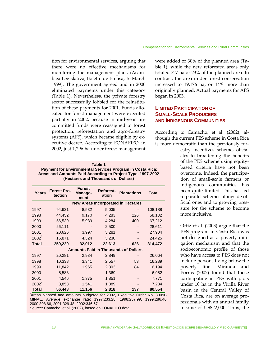#### Compensation for Environmental Services and Rural Communities

tion for environmental services, arguing that there were no effective mechanisms for monitoring the management plans (Asamblea Legislativa, Boletín de Prensa, 16 March 1999). The government agreed and in 2000 eliminated payments under this category (Table 1). Nevertheless, the private forestry sector successfully lobbied for the reinstitution of these payments for 2001. Funds allocated for forest management were executed partially in 2002, because in mid-year uncommitted funds were reassigned to forest protection, reforestation and agro-forestry systems (AFS), which became eligible by executive decree. According to FONAFIFO, in 2002, just 1,296 ha under forest management

**Table 1 Payment for Environmental Services Program in Costa Rica: Areas and Amounts Paid According to Project Type, 1997-2002 (Hectares and Thousands of Dollars)** 

| Years                                     | <b>Forest Pro-</b><br>tection | <b>Forest</b><br>Manage-<br>ment | <b>Reforest-</b><br>ation | <b>Plantations</b>                          | Total   |
|-------------------------------------------|-------------------------------|----------------------------------|---------------------------|---------------------------------------------|---------|
| <b>New Areas Incorporated in Hectares</b> |                               |                                  |                           |                                             |         |
| 1997                                      | 94,621                        | 8,532                            | 5,035                     |                                             | 108,188 |
| 1998                                      | 44,452                        | 9,170                            | 4,283                     | 226                                         | 58,132  |
| 1999                                      | 56,539                        | 5,989                            | 4,284                     | 400                                         | 67,212  |
| 2000                                      | 26,111                        |                                  | 2,500                     |                                             | 28,611  |
| 2001                                      | 20,626                        | 3,997                            | 3,281                     |                                             | 27,904  |
| $2002^{\degree}$                          | 16,871                        | 4,324                            | 3,230                     |                                             | 24,425  |
| <b>Total</b>                              | 259,220                       | 32,012                           | 22,613                    | 626                                         | 314,472 |
|                                           |                               |                                  |                           | <b>Amounts Paid in Thousands of Dollars</b> |         |
| 1997                                      | 20,281                        | 2,934                            | 2,849                     |                                             | 26,064  |
| 1998                                      | 10,338                        | 3,341                            | 2,557                     | 53                                          | 16,289  |
| 1999                                      | 11,842                        | 1,965                            | 2,303                     | 84                                          | 16,194  |
| 2000                                      | 5,583                         |                                  | 1,369                     |                                             | 6,952   |
| 2001                                      | 4,546                         | 1,375                            | 1,851                     |                                             | 7,771   |
| $2002^{-}$                                | 3,853                         | 1,541                            | 1,889                     |                                             | 7,284   |
| <b>Total</b>                              | 56,443                        | 11,156                           | 2,818                     | 137                                         | 80,554  |

\* Areas planned and amounts budgeted for 2002, Executive Order No. 30090- MINAE. Average exchange rate: 1997:233.28, 1998:257.99, 1999:286.46, 2000:308.66, 2001:329.48, 2002:346.57.

Source: Camacho, et al. (2002), based on FONAFIFO data.

were added or 30% of the planned area (Table 1), while the new reforested areas only totaled 727 ha or 23% of the planned area. In contrast, the area under forest conservation increased to 19,176 ha, or 14% more than originally planned. Actual payments for AFS began in 2003.

#### **LIMITED PARTICIPATION OF SMALL-SCALE PRODUCERS AND INDIGENOUS COMMUNITIES**

According to Camacho, et al. (2002), although the current PES scheme in Costa Rica is more democratic than the previously for-

> estry incentives scheme, obstacles to broadening the benefits of the PES scheme using equitybased criteria have not been overcome. Indeed, the participation of small-scale farmers or indigenous communities has been quite limited. This has led to parallel schemes alongside official ones and to growing pressure for the scheme to become more inclusive.

> Ortiz et al. (2003) argue that the PES program in Costa Rica was not designed as a poverty mitigation mechanism and that the socioeconomic profile of those who have access to PES does not include persons living below the poverty line. Miranda and Porras (2002) found that those participating in PES with plots under 10 ha in the Virilla River basin in the Central Valley of Costa Rica, are on average professionals with an annual family income of US\$22,000. Thus, the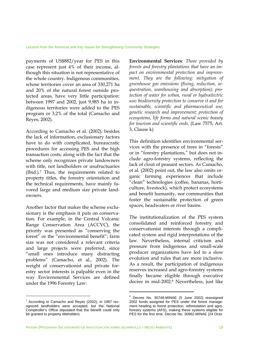payments of US\$882/year for PES in this case represent just 4% of their income, although this situation is not representative of the whole country. Indigenous communities, whose territories cover an area of 330,271 ha and 20% of the natural forest outside protected areas, have very little participation: between 1997 and 2002, just 9,985 ha in indigenous territories were added to the PES program or 3.2% of the total (Camacho and Reyes, 2002).

According to Camacho et al. (2002), besides the lack of information, exclusionary factors have to do with complicated, bureaucratic procedures for accessing PES and the high transaction costs; along with the fact that the scheme only recognizes private landowners with title, not landholders or usufructuaries (Ibid.).7 Thus, the requirements related to property titles, the forestry orientation and the technical requirements, have mainly favored large and medium size private landowners.

Another factor that makes the scheme exclusionary is the emphasis it puts on conservation. For example, in the Central Volcanic Range Conservation Area (ACCVC), the priority was presented as "conserving the forest" or the "environmental benefit"; farm size was not considered a relevant criteria and large projects were preferred, since "small ones introduce many distracting problems" (Camacho, et al., 2002). The weight of conservationist and private forestry sector interests is palpable even in the way Environmental Services are defined under the 1996 Forestry Law:

**Environmental Services**: *Those provided by forests and forestry plantations that have an impact on environmental protection and improvement. They are the following: mitigation of greenhouse gas emissions (fixing, reduction, sequestration, warehousing and absorption); protection of water for urban, rural or hydroelectric use; biodiversity protection to conserve it and for sustainable, scientific and pharmaceutical use; genetic research and improvement; protection of ecosystems, life forms and natural scenic beauty for tourism and scientific ends.* (Law 7575, Art. 3, Clause k)

This definition identifies environmental services with the presence of trees in "forests" or in "forestry plantations," but does not include agro-forestry systems, reflecting the lack of clout of peasant sectors. As Camacho, et al. (2002) point out, the law also omits organic farming experiences that include "clean" technologies (coffee, bananas, horticulture, livestock), which protect ecosystems and benefit humanity, nor communities that foster the sustainable protection of green spaces, headwaters or river basins.

The institutionalization of the PES system consolidated and reinforced forestry and conservationist interests through a complicated system and rigid interpretations of the law. Nevertheless, internal criticism and pressure from indigenous and small-scale producer organizations have led to a slow evolution and rules that are more inclusive. As a result, the participation of indigenous reserves increased and agro-forestry systems finally became eligible through executive decree in mid-2002.8 Nevertheless, just like

1

<sup>&</sup>lt;sup>7</sup> According to Camacho and Reyes (2002), in 1997 recognized landholders were accepted, but the National Comptroller's Office stipulated that the benefit could only be granted to property titleholders.

<sup>&</sup>lt;sup>8</sup> Decree No. 30748-MINAE (5 June 2002) reassigned 2002 funds assigned for PES under the forest management heading to forest protection, reforestation and agroforestry systems (AFS), making these systems eligible for PES for the first time. Decree No. 30962-MINAE (24 Octo-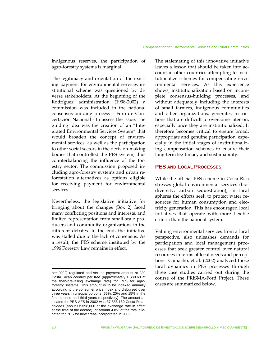indigenous reserves, the participation of agro-forestry systems is marginal.

The legitimacy and orientation of the existing payment for environmental services institutional scheme was questioned by diverse stakeholders. At the beginning of the Rodríguez administration (1998-2002) a commission was included in the national consensus-building process – Foro de Concertación Nacional - to assess the issue. The guiding idea was the creation of an "Integrated Environmental Services System" that would broaden the concept of environmental services, as well as the participation to other social sectors in the decision-making bodies that controlled the PES system, thus counterbalancing the influence of the forestry sector. The commission proposed including agro-forestry systems and urban reforestation alternatives as options eligible for receiving payment for environmental services.

Nevertheless, the legislative initiative for bringing about the changes (Box 2) faced many conflicting positions and interests, and limited representation from small-scale producers and community organizations in the different debates. In the end, the initiative was stalled due to the lack of consensus. As a result, the PES scheme instituted by the 1996 Forestry Law remains in effect.

The stalemating of this innovative initiative leaves a lesson that should be taken into account in other countries attempting to institutionalize schemes for compensating environmental services. As this experience shows, institutionalization based on incomplete consensus-building processes, and without adequately including the interests of small farmers, indigenous communities and other organizations, generates restrictions that are difficult to overcome later on, especially once they are institutionalized. It therefore becomes critical to ensure broad, appropriate and genuine participation, especially in the initial stages of institutionalizing compensation schemes to ensure their long-term legitimacy and sustainability.

#### **PES AND LOCAL PROCESSES**

While the official PES scheme in Costa Rica stresses global environmental services (biodiversity, carbon sequestration), in local spheres the efforts seek to protect water resources for human consumption and electricity generation. This has encouraged local initiatives that operate with more flexible criteria than the national system.

Valuing environmental services from a local perspective, also unleashes demands for participation and local management processes that seek greater control over natural resources in terms of local needs and perceptions. Camacho, et al. (2002) analyzed those local dynamics in PES processes through three case studies carried out during the course of the PRISMA-Ford Project. These cases are summarized below.

ber 2002) regulated and set the payment amount at 230 Costa Rican *colones* per tree (approximately US\$0.60 at the then-prevailing exchange rate) for PES for agroforestry systems. This amount is to be indexed annually according to the consumer price index and disbursed over three years in unequal portions (65%, 20% and 15% in the first, second and third years respectively). The amount allocated for PES-AFS in 2002 was 37,556,160 Costa Rican *colones* (about US\$98,000 at the exchange rate in effect at the time of the decree), or around 4.8% of the total allocated for PES for new areas incorporated in 2002.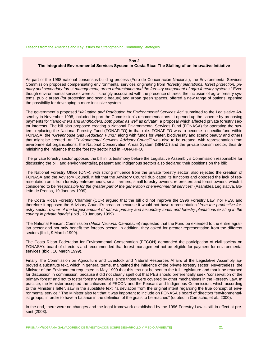Lessons from the Americas and Key Issues for Strengthening Community Strategies

#### **Box 2**

#### **The Integrated Environmental Services System in Costa Rica: The Stalling of an Innovative Initiative**

As part of the 1998 national consensus-building process (Foro de Concertación Nacional), the Environmental Services Commission proposed compensating environmental services originating from "*forestry plantations, forest protection, primary and secondary forest management, urban reforestation and the forestry component of agro-forestry systems*." Even though environmental services were still strongly associated with the presence of trees, the inclusion of agro-forestry systems, public areas (for protection and scenic beauty) and urban green spaces, offered a new range of options, opening the possibility for developing a more inclusive system.

The government´s proposed "*Valuation and Retribution for Environmental Services Act"* submitted to the Legislative Assembly in November 1998, included in part the Commission's recommendations. It opened up the scheme by proposing payments for "*landowners and landholders, both public as well as private*", a proposal which affected private forestry sector interests. The bill also proposed creating a National Environmental Services Fund (FONASA) for operating the system, replacing the National Forestry Fund (FONAFIFO) in that role. FONAFIFO was to become a specific fund within FONASA, the "*Greenhouse Gas Reduction Fund*," along with funds for water, biodiversity and scenic beauty and others that might be created. An "*Environmental Services Advisory Council*" was also to be created, with representation from environmental organizations, the National Conservation Areas System (SINAC) and the private tourism sector, thus diminishing the influence that the forestry sector had in FONAFIFO.

The private forestry sector opposed the bill in its testimony before the Legislative Assembly's Commission responsible for discussing the bill, and environmentalist, peasant and indigenous sectors also declared their positions on the bill:

The National Forestry Office (ONF), with strong influence from the private forestry sector, also rejected the creation of FONASA and the Advisory Council. It felt that the Advisory Council duplicated its functions and opposed the lack of representation on it from forestry entrepreneurs, small farmers, small forestry owners, reforesters and forest owners, which it considered to be "*responsible for the greater part of the generation of environmental services*" (Asamblea Legislativa, Boletín de Prensa, 19 January 1999).

The Costa Rican Forestry Chamber (CCF) argued that the bill did not improve the 1996 Forestry Law, nor PES, and therefore it opposed the Advisory Council's creation because it would not have representation "*from the productive forestry sector, owner of the largest amount of natural primary and secondary forest and forestry plantations existing in the country in private hands*" (Ibid., 20 January 1999).

The National Peasant Commission (*Mesa Nacional Campesina*) requested that the Fund be extended to the entire agrarian sector and not only benefit the forestry sector. In addition, they asked for greater representation from the different sectors (Ibid., 9 March 1999).

The Costa Rican Federation for Environmental Conservation (FECON) demanded the participation of civil society on FONASA's board of directors and recommended that forest management not be eligible for payment for environmental services (Ibid., 16 March 1999).

Finally, the Commission on Agriculture and Livestock and Natural Resources Affairs of the Legislative Assembly approved a substitute text, which in general terms, maintained the influence of the private forestry sector. Nevertheless, the Minister of the Environment requested in May 1999 that this text not be sent to the full Legislature and that it be returned for discussion in commission, because it did not clearly spell out that PES should preferentially seek "conservation of the primary forest" and not to foster forestry activities, since those were covered by other mechanisms in the Forestry Law. In practice, the Minister accepted the criticisms of FECON and the Peasant and Indigenous Commission, which according to the Minister's letter, saw in the substitute text, "a deviation from the original intent regarding the true concept of environmental service." The Minister also felt that it was important to include on FONASA's board of directors "environmentalist groups, in order to have a balance in the definition of the goals to be reached" (quoted in Camacho, et al., 2000).

In the end, there were no changes and the legal framework established by the 1996 Forestry Law is still in effect at present (2003).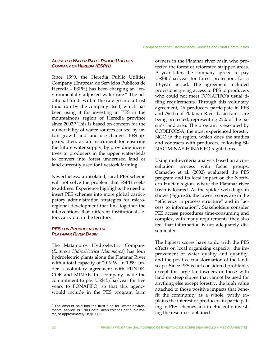#### *ADJUSTED WATER RATE: PUBLIC UTILITIES COMPANY OF HEREDIA (ESPH)*

Since 1999, the Heredia Public Utilities Company (Empresa de Servicios Públicos de Heredia - ESPH) has been charging an "environmentally adjusted water rate." The additional funds within the rate go into a trust fund run by the company itself, which has been using it for investing in PES in the mountainous region of Heredia province since 2002.9 This is based on concern for the vulnerability of water sources caused by urban growth and land use changes. PES appears, then, as an instrument for ensuring the future water supply, by providing incentives to producers in the upper watersheds to convert into forest underused land or land currently used for livestock farming.

Nevertheless, an isolated, local PES scheme will not solve the problem that ESPH seeks to address. Experience highlights the need to insert PES schemes into more global participatory administration strategies for microregional development that link together the interventions that different institutional actors carry out in the territory.

#### *PES FOR PRODUCERS IN THE PLATANAR RIVER BASIN*

The Matamoros Hydroelectric Company (*Empresa Hidroeléctrica Matamoros*) has four hydroelectric plants along the Platanar River with a total capacity of 20 MW. In 1999, under a voluntary agreement with FUNDE-COR and MINAE, this company made the commitment to pay US\$15/ha/year for five years to FONAFIFO, so that this agency would include in the PES program farm owners in the Platanar river basin who protected the forest or reforested stripped areas. A year later, the company agreed to pay US\$30/ha/year for forest protection, for a 10-year period. The agreement included provisions giving access to PES to producers who could not meet FONAFIFO's usual titling requirements. Through this voluntary agreement, 26 producers participate in PES and 796 ha of Platanar River basin forest are being protected, representing 25% of the basin's land area. The program is executed by CODEFORSA, the most experienced forestry NGO in the region, which does the studies and contracts with producers, following SI-NAC-MINAE-FONAFIFO regulations.

Using multi-criteria analysis based on a consultation process with focus groups, Camacho et al. (2002) evaluated the PES program and its local impact on the Northern Huetar region, where the Platanar river basin is located. As the spider web diagram shows (Figure 2), the lowest scores are in the "efficiency in process structure" and in "access to information". Stakeholders consider PES access procedures time-consuming and complex, with many requirements; they also feel that information is not adequately disseminated.

The highest scores have to do with the PES effects on local organizing capacity, the improvement of water quality and quantity, and the positive transformation of the landscape. Since PES is not considered profitable, except for large landowners or those with land on steep slopes that cannot be used for anything else except forestry, the high value attached to those positive impacts that benefit the community as a whole, partly explains the interest of producers in participating in PES schemes and in efficiently investing the resources obtained.

<sup>&</sup>lt;sup>9</sup> The amount paid into the trust fund for "water environmental service" is 1.90 Costa Rican *colones* per cubic meter, or approximately US\$0.005.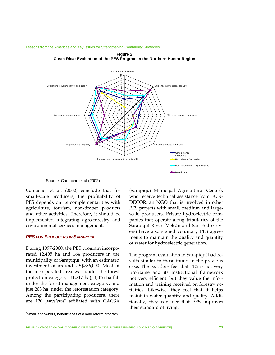

**Figure 2 Costa Rica: Evaluation of the PES Program in the Northern Huetar Region**

Lessons from the Americas and Key Issues for Strengthening Community Strategies

Source: Camacho et al (2002)

Camacho, et al. (2002) conclude that for small-scale producers, the profitability of PES depends on its complementarities with agriculture, tourism, non-timber products and other activities. Therefore, it should be implemented integrating agro-forestry and environmental services management.

#### *PES FOR PRODUCERS IN SARAPIQUÍ*

During 1997-2000, the PES program incorporated 12,495 ha and 164 producers in the municipality of Sarapiquí, with an estimated investment of around US\$786,000. Most of the incorporated area was under the forest protection category (11,217 ha), 1,076 ha fall under the forest management category, and just 203 ha, under the reforestation category. Among the participating producers, there are 120 *parceleros*\* affiliated with CACSA

(Sarapiquí Municipal Agricultural Center), who receive technical assistance from FUN-DECOR, an NGO that is involved in other PES projects with small, medium and largescale producers. Private hydroelectric companies that operate along tributaries of the Sarapiquí River (Volcán and San Pedro rivers) have also signed voluntary PES agreements to maintain the quality and quantity of water for hydroelectric generation.

The program evaluation in Sarapiquí had results similar to those found in the previous case. The *parceleros* feel that PES is not very profitable and its institutional framework not very efficient, but they value the information and training received on forestry activities. Likewise, they feel that it helps maintain water quantity and quality. Additionally, they consider that PES improves their standard of living.

1

<sup>\*</sup> Small landowners, beneficiaries of a land reform program.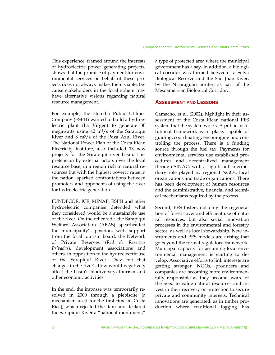his experience, framed around the interests T of hydroelectric power generating projects, shows that the promise of payment for environmental services on behalf of these projects does not always makes them viable, because stakeholders in the local sphere may have alternative visions regarding natural resource management.

For example, the Heredia Public Utilities Company (ESPH) wanted to build a hydroelectric plant (La Virgen) to generate 30 megawatts using 42 m3/s of the Sarapiquí River and  $8 \text{ m}^3/\text{s}$  of the Poza Azul River. The National Power Plan of the Costa Rican Electricity Institute, also included 13 new projects for the Sarapiquí river basin. This pretension by external actors over the local resource base, in a region rich in natural resources but with the highest poverty rates in the nation, sparked confrontations between promoters and opponents of using the river for hydroelectric generation.

UNDECOR, ICE, MINAE, ESPH and other F hydroelectric companies defended what they considered would be a sustainable use of the river. On the other side, the Sarapiquí Welfare Association (ABAS) spearheaded the municipality's position, with support from the local tourism board, the Network of Private Reserves (*Red de Reservas Privadas*), development associations and others, in opposition to the hydroelectric use of the Sarapiquí River. They felt that changes in the river's flow would negatively affect the basin's biodiversity, tourism and other economic activities.

In the end, the impasse was temporarily resolved in 2000 through a plebiscite (a mechanism used for the first time in Costa Rica), which rejected the dam and declared the Sarapiquí River a "national monument,"

a type of protected area where the municipal government has a say. In addition, a biological corridor was formed between La Selva Biological Reserve and the San Juan River, by the Nicaraguan border, as part of the Mesoamerican Biological Corridor.

#### **ASSESSMENT AND LESSONS**

Camacho, et al. (2002), highlight in their assessment of the Costa Rican national PES system that the system works. A public institutional framework is in place, capable of guiding, coordinating, encouraging and controlling the process. There is a funding source through the fuel tax. Payments for environmental services use established procedures and decentralized management through SINAC, with a significant intermediary role played by regional NGOs, local organizations and trade organizations. There has been development of human resources and the administrative, financial and technical mechanisms required by the process.

Second, PES fosters not only the regeneration of forest cover and efficient use of natural resources, but also social innovation processes in the environmental and forestry sector, as well as local stewardship. New instruments and PES models are arising that go beyond the formal regulatory framework. Municipal capacity for assuming local environmental management is starting to develop. Associative efforts to link interests are getting stronger. NGOs, producers and companies are becoming more environmentally responsible as they become aware of the need to value natural resources and invest in their recovery or protection to secure private and community interests. Technical innovations are generated, as in timber production where traditional logging has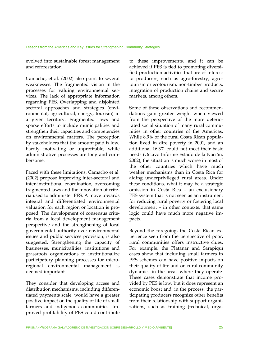evolved into sustainable forest management and reforestation.

Camacho, et al. (2002) also point to several weaknesses. The fragmented vision in the processes for valuing environmental services. The lack of appropriate information regarding PES. Overlapping and disjointed sectoral approaches and strategies (environmental, agricultural, energy, tourism) in a given territory. Fragmented laws and sparse efforts to include municipalities and strengthen their capacities and competencies on environmental matters. The perception by stakeholders that the amount paid is low, hardly motivating or unprofitable, while administrative processes are long and cumbersome.

Faced with these limitations, Camacho et al. (2002) propose improving inter-sectoral and inter-institutional coordination, overcoming fragmented laws and the innovation of criteria used to administer PES. A move towards integral and differentiated environmental valuation for each region or location is proposed. The development of consensus criteria from a local development management perspective and the strengthening of local governmental authority over environmental issues and public services provision, is also suggested. Strengthening the capacity of businesses, municipalities, institutions and grassroots organizations to institutionalize participatory planning processes for microregional environmental management is deemed important.

They consider that developing access and distribution mechanisms, including differentiated payments scale, would have a greater positive impact on the quality of life of small farmers and indigenous communities. Improved profitability of PES could contribute to these improvements, and it can be achieved if PES is tied to promoting diversified production activities that are of interest to producers, such as agro-forestry, agrotourism or ecotourism, non-timber products, integration of production chains and secure markets, among others.

Some of these observations and recommendations gain greater weight when viewed from the perspective of the more deteriorated social situation of many rural communities in other countries of the Americas. While 8.9% of the rural Costa Rican population lived in dire poverty in 2001, and an additional 16.3% could not meet their basic needs (Octavo Informe Estado de la Nación, 2002), the situation is much worse in most of the other countries which have much weaker mechanisms than in Costa Rica for aiding underprivileged rural areas. Under these conditions, what it may be a strategic omission in Costa Rica – an exclusionary PES system that is not seen as an instrument for reducing rural poverty or fostering local development – in other contexts, that same logic could have much more negative impacts.

Beyond the foregoing, the Costa Rican experience seen from the perspective of poor, rural communities offers instructive clues. For example, the Platanar and Sarapiquí cases show that including small farmers in PES schemes can have positive impacts on their quality of life and on rural community dynamics in the areas where they operate. These cases demonstrate that income provided by PES is low, but it does represent an economic boost and, in the process, the participating producers recognize other benefits from their relationship with support organizations, such as training (technical, orga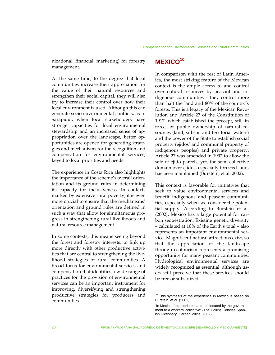nizational, financial, marketing) for forestry management.

At the same time, to the degree that local communities increase their appreciation for the value of their natural resources and strengthen their social capital, they will also try to increase their control over how their local environment is used. Although this can generate socio-environmental conflicts, as in Sarapiquí, when local stakeholders have stronger capacities for local environmental stewardship and an increased sense of appropriation over the landscape, better opportunities are opened for generating strategies and mechanisms for the recognition and compensation for environmental services, keyed to local priorities and needs.

The experience in Costa Rica also highlights the importance of the scheme's overall orientation and its ground rules in determining its capacity for inclusiveness. In contexts marked by extensive rural poverty, it is even more crucial to ensure that the mechanisms' orientation and ground rules are defined in such a way that allow for simultaneous progress in strengthening rural livelihoods and natural resource management.

In some contexts, this means seeing beyond the forest and forestry interests, to link up more directly with other productive activities that are central to strengthening the livelihood strategies of rural communities. A broad focus for environmental services and compensation that identifies a wide range of practices for the provision of environmental services can be an important instrument for improving, diversifying and strengthening productive strategies for producers and communities.

#### **MEXICO<sup>10</sup>**

In comparison with the rest of Latin America, the most striking feature of the Mexican context is the ample access to and control over natural resources by peasant and indigenous communities - they control more than half the land and 80% of the country's forests. This is a legacy of the Mexican Revolution and Article 27 of the Constitution of 1917, which established the precept, still in force, of public ownership of natural resources (land, subsoil and territorial waters) and the power of the State to establish social property (ejidos\* and communal property of indigenous peoples) and private property. Article 27 was amended in 1992 to allow the sale of ejido parcels, yet, the semi-collective domain over ejidos, especially forested land, has been maintained (Burstein, et al. 2002).

This context is favorable for initiatives that seek to value environmental services and benefit indigenous and peasant communities, especially when we consider the potential supply. According to Burstein et al. (2002), Mexico has a large potential for carbon sequestration. Existing genetic diversity – calculated at 10% of the Earth's total – also represents an important environmental service. Magnificent natural attractions exist, so that the appreciation of the landscape through ecotourism represents a promising opportunity for many peasant communities. Hydrological environmental services are widely recognized as essential, although users still perceive that these services should be free or subsidized.

 $10$  This synthesis of the experience in Mexico is based on Burstein, et al. (2002).

<sup>\*</sup> In Mexico, "expropriated land reallocated by the government to a workers' collective" (The Collins Concise Spanish Dictionary, HarperCollins, 2002).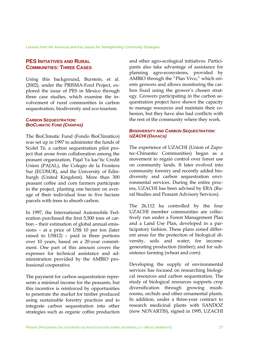Lessons from the Americas and Key Issues for Strengthening Community Strategies

#### **PES INITIATIVES AND RURAL COMMUNITIES: THREE CASES**

Using this background, Burstein, et al. (2002), under the PRISMA-Ford Project, explored the issue of PES in Mexico through three case studies, which examine the involvement of rural communities in carbon sequestration, biodiversity and eco-tourism.

#### *CARBON SEQUESTRATION: BIOCLIMATIC FUND (CHIAPAS)*

The BioClimatic Fund (Fondo BioClimático) was set up in 1997 to administer the funds of Scolel Té, a carbon sequestration pilot project that arose from collaboration among the peasant organization, Pajal Ya kac'tic Credit Union (PAJAL), the Colegio de la Frontera Sur (ECOSUR), and the University of Edinburgh (United Kingdom). More than 300 peasant coffee and corn farmers participate in the project, planting one hectare on average of their individual four to five hectare parcels with trees to absorb carbon.

In 1997, the International Automobile Federation purchased the first 5,500 tons of carbon – their estimation of global annual emissions – at a price of US\$ 10 per ton (later raised to US\$12) – paid in three portions over 10 years, based on a 20-year commitment. One part of this amount covers the expenses for technical assistance and administration provided by the AMBIO professional cooperative.

The payment for carbon sequestration represents a minimal income for the peasants, but this incentive is reinforced by opportunities to penetrate the market for timber produced using sustainable forestry practices and to integrate carbon sequestration into other strategies such as organic coffee production and other agro-ecological initiatives. Participants also take advantage of assistance for planning agro-ecosystems, provided by AMBIO through the "Plan Vivo," which orients growers and allows monitoring the carbon fixed using the grower's chosen strategy. Growers participating in the carbon sequestration project have shown the capacity to manage resources and maintain their cohesion, but they have also had conflicts with the rest of the community where they work.

#### *BIODIVERSITY AND CARBON SEQUESTRATION: UZACHI (OAXACA)*

The experience of UZACHI (Union of Zapotec-Chinantec Communities) began as a movement to regain control over forest use on community lands. It later evolved into community forestry and recently added biodiversity and carbon sequestration environmental services. During the entire process, UZACHI has been advised by ERA (Rural Studies and Peasant Advisory Services).

The 26,112 ha controlled by the four UZACHI member communities are collectively run under a Forest Management Plan and a Land Use Plan, developed in a participatory fashion. These plans zoned different areas for the protection of biological diversity, soils and water; for incomegenerating production (timber); and for subsistence farming (wheat and corn).

Developing the supply of environmental services has focused on researching biological resources and carbon sequestration. The study of biological resources supports crop diversification through growing mushrooms, orchids and other ornamental plants. In addition, under a three-year contract to research medicinal plants with SANDOZ (now NOVARTIS), signed in 1995, UZACHI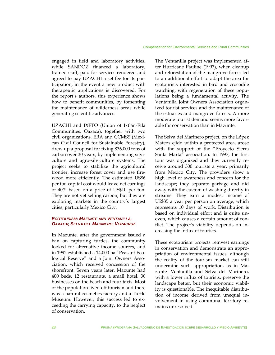engaged in field and laboratory activities, while SANDOZ financed a laboratory, trained staff, paid for services rendered and agreed to pay UZACHI a set fee for its participation, in the event a new product with therapeutic applications is discovered. For the report's authors, this experience shows how to benefit communities, by fomenting the maintenance of wilderness areas while generating scientific advances.

UZACHI and IXETO (Union of Ixtlán-Etla Communities, Oaxaca), together with two civil organizations, ERA and CCMSS (Mexican Civil Council for Sustainable Forestry), drew up a proposal for fixing 836,000 tons of carbon over 30 years, by implementing silviculture and agro-silviculture systems. The project seeks to stabilize the agricultural frontier, increase forest cover and use firewood more efficiently. The estimated US\$6 per ton capital cost would leave net earnings of 40% based on a price of US\$10 per ton. They are not yet selling carbon, but they are exploring markets in the country's largest cities, particularly Mexico City.

#### *ECOTOURISM: MAZUNTE AND VENTANILLA, OAXACA; SELVA DEL MARINERO, VERACRUZ*

In Mazunte, after the government issued a ban on capturing turtles, the community looked for alternative income sources, and in 1992 established a 14,000 ha "Peasant Ecological Reserve" and a Joint Owners Association, which received concession of the shorefront. Seven years later, Mazunte had 400 beds, 12 restaurants, a small hotel, 30 businesses on the beach and four taxis. Most of the population lived off tourism and there was a natural cosmetics factory and a Turtle Museum. However, this success led to exceeding the carrying capacity, to the neglect of conservation.

The Ventanilla project was implemented after Hurricane Pauline (1997), when cleanup and reforestation of the mangrove forest led to an additional effort to adapt the area for ecotourists interested in bird and crocodile watching; with regeneration of these populations being a fundamental activity. The Ventanilla Joint Owners Association organized tourist services and the maintenance of the estuaries and mangrove forests. A more moderate tourist demand seems more favorable for conservation than in Mazunte.

The Selva del Marinero project, on the López Mateos ejido within a protected area, arose with the support of the "Proyecto Sierra Santa Marta" association. In 1997, the first tour was organized and they currently receive around 500 tourists a year, primarily from Mexico City. The providers show a high level of awareness and concern for the landscape; they separate garbage and did away with the custom of washing directly in streams. They earn a modest income of US\$35 a year per person on average, which represents 10 days of work. Distribution is based on individual effort and is quite uneven, which causes a certain amount of conflict. The project's viability depends on increasing the influx of tourists.

These ecotourism projects reinvest earnings in conservation and demonstrate an appropriation of environmental issues, although the reality of the tourism market can still undermine such appropriation, as in Mazunte. Ventanilla and Selva del Marinero, with a lower influx of tourists, preserve the landscape better, but their economic viability is questionable. The inequitable distribution of income derived from unequal involvement in using communal territory remains unresolved.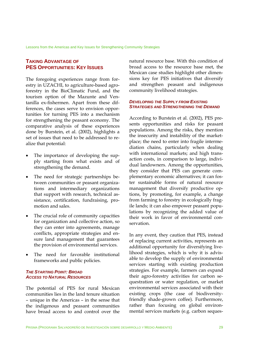Lessons from the Americas and Key Issues for Strengthening Community Strategies

# **TAKING ADVANTAGE OF PES OPPORTUNITIES: KEY ISSUES**

The foregoing experiences range from forestry in UZACHI, to agriculture-based agroforestry in the BioClimatic Fund, and the tourism option of the Mazunte and Ventanilla ex-fishermen. Apart from these differences, the cases serve to envision opportunities for turning PES into a mechanism for strengthening the peasant economy. The comparative analysis of these experiences done by Burstein, et al. (2002), highlights a set of issues that need to be addressed to realize that potential:

- The importance of developing the supply starting from what exists and of strengthening the demand.
- The need for strategic partnerships between communities or peasant organizations and intermediary organizations that support with research, technical assistance, certification, fundraising, promotion and sales.
- The crucial role of community capacities for organization and collective action, so they can enter into agreements, manage conflicts, appropriate strategies and ensure land management that guarantees the provision of environmental services.
- The need for favorable institutional frameworks and public policies.

#### *THE STARTING POINT: BROAD ACCESS TO NATURAL RESOURCES*

The potential of PES for rural Mexican communities lies in the land tenure situation – unique in the Americas – in the sense that the indigenous and peasant communities have broad access to and control over the

natural resource base. With this condition of broad access to the resource base met, the Mexican case studies highlight other dimensions key for PES initiatives that diversify and strengthen peasant and indigenous community livelihood strategies.

#### *DEVELOPING THE SUPPLY FROM EXISTING STRATEGIES AND STRENGTHENING THE DEMAND*

According to Burstein et al. (2002), PES presents opportunities and risks for peasant populations. Among the risks, they mention the insecurity and instability of the marketplace; the need to enter into fragile intermediation chains, particularly when dealing with international markets; and high transaction costs, in comparison to large, individual landowners. Among the opportunities, they consider that PES can generate complementary economic alternatives; it can foster sustainable forms of natural resource management that diversify productive options, by promoting, for example, a change from farming to forestry in ecologically fragile lands; it can also empower peasant populations by recognizing the added value of their work in favor of environmental conservation.

In any event, they caution that PES, instead of replacing current activities, represents an additional opportunity for diversifying livelihood strategies, which is why it is advisable to develop the supply of environmental services starting with existing production strategies. For example, farmers can expand their agro-forestry activities for carbon sequestration or water regulation, or market environmental services associated with their existing crops (the case of biodiversityfriendly shade-grown coffee). Furthermore, rather than focusing on global environmental services markets (e.g. carbon seques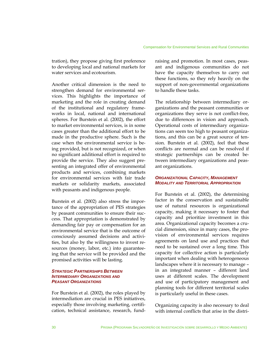tration), they propose giving first preference to developing local and national markets for water services and ecotourism.

Another critical dimension is the need to strengthen demand for environmental services. This highlights the importance of marketing and the role in creating demand of the institutional and regulatory frameworks in local, national and international spheres. For Burstein et al. (2002), the effort to market environmental services, is in some cases greater than the additional effort to be made in the productive sphere. Such is the case when the environmental service is being provided, but is not recognized, or when no significant additional effort is required to provide the service. They also suggest presenting an integrated offer of environmental products and services, combining markets for environmental services with fair trade markets or solidarity markets, associated with peasants and indigenous people.

Burstein et al. (2002) also stress the importance of the appropriation of PES strategies by peasant communities to ensure their success. That appropriation is demonstrated by demanding fair pay or compensation for an environmental service that is the outcome of consciously assumed decisions and activities, but also by the willingness to invest resources (money, labor, etc.) into guaranteeing that the service will be provided and the promised activities will be lasting.

#### *STRATEGIC PARTNERSHIPS BETWEEN INTERMEDIARY ORGANIZATIONS AND PEASANT ORGANIZATIONS*

For Burstein et al. (2002), the roles played by intermediation are crucial in PES initiatives, especially those involving marketing, certification, technical assistance, research, fundraising and promotion. In most cases, peasant and indigenous communities do not have the capacity themselves to carry out these functions, so they rely heavily on the support of non-governmental organizations to handle these tasks.

The relationship between intermediary organizations and the peasant communities or organizations they serve is not conflict-free, due to differences in vision and approach. Operational costs of intermediary organizations can seem too high to peasant organizations, and this can be a great source of tension. Burstein et al. (2002), feel that these conflicts are normal and can be resolved if strategic partnerships can be created between intermediary organizations and peasant organizations.

#### *ORGANIZATIONAL CAPACITY, MANAGEMENT MODALITY AND TERRITORIAL APPROPRIATION*

For Burstein et al. (2002), the determining factor in the conservation and sustainable use of natural resources is organizational capacity, making it necessary to foster that capacity and prioritize investment in this area. Organizational capacity becomes a crucial dimension, since in many cases, the provision of environmental services requires agreements on land use and practices that need to be sustained over a long time. This capacity for collective action is particularly important when dealing with heterogeneous landscapes where it is necessary to manage – in an integrated manner – different land uses at different scales. The development and use of participatory management and planning tools for different territorial scales is particularly useful in these cases.

Organizing capacity is also necessary to deal with internal conflicts that arise in the distri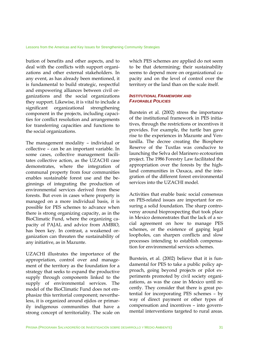bution of benefits and other aspects, and to deal with the conflicts with support organizations and other external stakeholders. In any event, as has already been mentioned, it is fundamental to build strategic, respectful and empowering alliances between civil organizations and the social organizations they support. Likewise, it is vital to include a significant organizational strengthening component in the projects, including capacities for conflict resolution and arrangements for transferring capacities and functions to the social organizations.

The management modality – individual or collective – can be an important variable. In some cases, collective management facilitates collective action, as the UZACHI case demonstrates, where the integration of communal property from four communities enables sustainable forest use and the beginnings of integrating the production of environmental services derived from these forests. But even in cases where property is managed on a more individual basis, it is possible for PES schemes to advance when there is strong organizing capacity, as in the BioClimatic Fund, where the organizing capacity of PAJAL and advice from AMBIO, has been key. In contrast, a weakened organization can threaten the sustainability of any initiative, as in Mazunte.

UZACHI illustrates the importance of the appropriation, control over and management of the territory as the foundation for a strategy that seeks to expand the productive supply through components linked to the supply of environmental services. The model of the BioClimatic Fund does not emphasize this territorial component; nevertheless, it is organized around ejidos or primarily indigenous communities that have a strong concept of territoriality. The scale on which PES schemes are applied do not seem to be that determining; their sustainability seems to depend more on organizational capacity and on the level of control over the territory or the land than on the scale itself.

#### *INSTITUTIONAL FRAMEWORK AND FAVORABLE POLICIES*

Burstein et al. (2002) stress the importance of the institutional framework in PES initiatives, through the restrictions or incentives it provides. For example, the turtle ban gave rise to the experiences in Mazunte and Ventanilla. The decree creating the Biosphere Reserve of the Tuxtlas was conducive to launching the Selva del Marinero ecotourism project. The 1986 Forestry Law facilitated the appropriation over the forests by the highland communities in Oaxaca, and the integration of the different forest environmental services into the UZACHI model.

Activities that enable basic social consensus on PES-related issues are important for ensuring a solid foundation. The sharp controversy around bioprospecting that took place in Mexico demonstrates that the lack of a social agreement on how to manage PES schemes, or the existence of gaping legal loopholes, can sharpen conflicts and slow processes intending to establish compensation for environmental services schemes.

Burstein, et al. (2002) believe that it is fundamental for PES to take a public policy approach, going beyond projects or pilot experiments promoted by civil society organizations, as was the case in Mexico until recently. They consider that there is great potential for incorporating PES schemes – by way of direct payment or other types of compensation and incentives – into governmental interventions targeted to rural areas.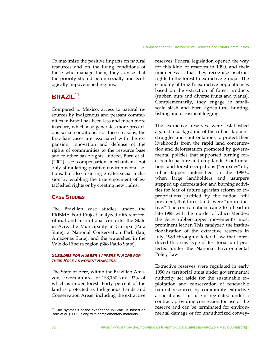To maximize the positive impacts on natural resources and on the living conditions of those who manage them, they advise that the priority should be on socially and ecologically impoverished regions.

# **BRAZIL<sup>11</sup>**

Compared to Mexico, access to natural resources by indigenous and peasant communities in Brazil has been less and much more insecure, which also generates more precarious social conditions. For these reasons, the Brazilian cases are associated with the expansion, innovation and defense of the rights of communities to the resource base and to other basic rights. Indeed, Born et al. (2002) see compensation mechanisms not only stimulating positive environmental actions, but also fostering greater social inclusion by enabling the true enjoyment of established rights or by creating new rights.

# **CASE STUDIES**

The Brazilian case studies under the PRISMA-Ford Project analyzed different territorial and institutional contexts: the State in Acre; the Municipality in Gurupá (Pará State); a National Conservation Park (Jaú, Amazonas State); and the watershed in the Vale do Ribeira region (São Paulo State).

#### *SUBSIDIES FOR RUBBER TAPPERS IN ACRE FOR THEIR ROLE AS FOREST RANGERS*

The State of Acre, within the Brazilian Amazon, covers an area of 153,150 km2, 92% of which is under forest. Forty percent of the land is protected as Indigenous Lands and Conservation Areas, including the extractive

reserves. Federal legislation opened the way for this kind of reserves in 1990, and their uniqueness is that they recognize usufruct rights to the forest to extractive groups. The economy of Brazil's extractive populations is based on the extraction of forest products (rubber, nuts and diverse fruits and plants). Complementarily, they engage in smallscale slash and burn agriculture, hunting, fishing and occasional logging.

The extractive reserves were established against a background of the rubber-tappers´ struggles and confrontations to protect their livelihoods from the rapid land concentration and deforestation promoted by governmental policies that supported turning forests into pasture and crop lands. Confrontations and forest occupations ("empates") by rubber-tappers intensified in the 1980s, when large landholders and usurpers stepped up deforestation and burning activities for fear of future agrarian reform or expropriations justified by the notion, still prevalent, that forest lands were "unproductive." The confrontations came to a head in late 1988 with the murder of Chico Mendes, the Acre rubber-tapper movement's most prominent leader. This catalyzed the institutionalization of the extractive reserves in July 1989 through a federal law that introduced this new type of territorial unit protected under the National Environmental Policy Law.

Extractive reserves were regulated in early 1990 as territorial units under governmental authority set aside for the sustainable exploitation and conservation of renewable natural resources by community extractive associations. This use is regulated under a contract, providing concession for use of the reserve and can be terminated for environmental damage or for unauthorized convey-

 $11$  This synthesis of the experience in Brazil is based on Born et al. (2002) along with complementary materials.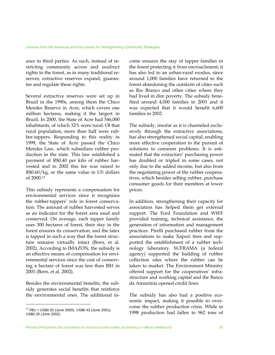ance to third parties. As such, instead of restricting community access and usufruct rights to the forest, as in many traditional reserves, extractive reserves expand, guarantee and regulate these rights.

Several extractive reserves were set up in Brazil in the 1990s, among them the Chico Mendes Reserve in Acre, which covers one million hectares, making it the largest in Brazil. In 2000, the State of Acre had 546,000 inhabitants, of which 32% were rural. Of that rural population, more than half were rubber-tappers. Responding to this reality in 1999, the State of Acre passed the Chico Mendes Law, which subsidizes rubber production in the state. This law established a payment of R\$0.40 per kilo of rubber harvested and in 2002 this fee was raised to R\$0.60/kg, or the same value in US dollars of 2000.12

This subsidy represents a compensation for environmental services since it recognizes the rubber-tappers' role in forest conservation. The amount of rubber harvested serves as an indicator for the forest area used and conserved. On average, each tapper family uses 300 hectares of forest, their stay in the forest ensures its conservation, and the latex is tapped in such a way that the forest structure remains virtually intact (Born, et al. 2002). According to IMAZON, the subsidy is an effective means of compensation for environmental services since the cost of conserving a hectare of forest was less than R\$1 in 2001 (Born, et al. 2002).

Besides the environmental benefits, the subsidy generates social benefits that reinforce the environmental ones. The additional in-

1

come ensures the stay of tapper families in the forest protecting it from encroachment; it has also led to an urban-rural exodus, since around 1,000 families have returned to the forest abandoning the outskirts of cities such as Rio Branco and other cities where they had lived in dire poverty. The subsidy benefited around 4,000 families in 2001 and it was expected that it would benefit 6,600 families in 2002.

The subsidy, insofar as it is channeled exclusively through the extractive associations, has also strengthened social capital, enabling more effective cooperation in the pursuit of solutions to common problems. It is estimated that the extractors' purchasing power has doubled or tripled in some cases, not only due to the added income, but also from the negotiating power of the rubber cooperatives, which besides selling rubber, purchase consumer goods for their members at lower prices.

In addition, strengthening their capacity for association has helped them get external support. The Ford Foundation and WWF provided training, technical assistance, the generation of information and management practices. Pirelli purchased rubber from the associations to make Xapuri tires and supported the establishment of a rubber technology laboratory. SUFRAMA (a federal agency) supported the building of rubber collection sites where the rubber can be taken to market. The Environment Ministry offered support for the cooperatives' infrastructure and working capital and the Banco da Amazônia opened credit lines.

The subsidy has also had a positive economic impact, making it possible to overcome the rubber production crisis. While in 1998 production had fallen to 962 tons of

 $12$  R\$1 = US\$0.55 (June 2000), US\$0.43 (June 2001), US\$0.35 (June 2002).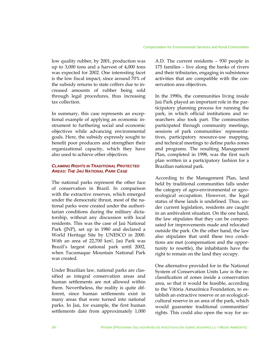low quality rubber, by 2001, production was up to 3,000 tons and a harvest of 4,000 tons was expected for 2002. One interesting facet is the low fiscal impact, since around 70% of the subsidy returns to state coffers due to increased amounts of rubber being sold through legal procedures, thus increasing tax collection.

In summary, this case represents an exceptional example of applying an economic instrument to furthering social and economic objectives while advancing environmental goals. Here, the subsidy expressly sought to benefit poor producers and strengthen their organizational capacity, which they have also used to achieve other objectives.

#### *CLAIMING RIGHTS IN TRADITIONAL PROTECTED AREAS: THE JAÚ NATIONAL PARK CASE*

The national parks represent the other face of conservation in Brazil. In comparison with the extractive reserves, which emerged under the democratic thrust, most of the national parks were created under the authoritarian conditions during the military dictatorship, without any discussion with local residents. This was the case of Jaú National Park (JNP), set up in 1980 and declared a World Heritage Site by UNESCO in 2000. With an area of 22,700 km2, Jaú Park was Brazil's largest national park until 2002, when Tucumaque Mountain National Park was created.

Under Brazilian law, national parks are classified as integral conservation areas and human settlements are not allowed within them. Nevertheless, the reality is quite different, since human settlements exist in many areas that were turned into national parks. In Jaú, for example, the first human settlements date from approximately 1,000 A.D. The current residents – 930 people in 175 families – live along the banks of rivers and their tributaries, engaging in subsistence activities that are compatible with the conservation area objectives.

In the 1990s, the communities living inside Jaú Park played an important role in the participatory planning process for running the park, in which official institutions and researchers also took part. The communities participated through community meetings, sessions of park communities´ representatives, participatory resource-use mapping, and technical meetings to define parks zones and programs. The resulting Management Plan, completed in 1998, was the first such plan written in a participatory fashion for a Brazilian national park.

According to the Management Plan, land held by traditional communities falls under the category of agro-environmental or agroecological occupation. However, the legal status of these lands is undefined. Thus, under current legislation, residents are caught in an ambivalent situation. On the one hand, the law stipulates that they can be compensated for improvements made and relocated outside the park. On the other hand, the law also stipulates that until these two conditions are met (compensation and the opportunity to resettle), the inhabitants have the right to remain on the land they occupy.

One alternative provided for in the National System of Conservation Units Law is the reclassification of zones inside a conservation area, so that it would be feasible, according to the Vitória Amazônica Foundation, to establish an extractive reserve or an ecologicalcultural reserve in an area of the park, which would guarantee traditional communities' rights. This could also open the way for us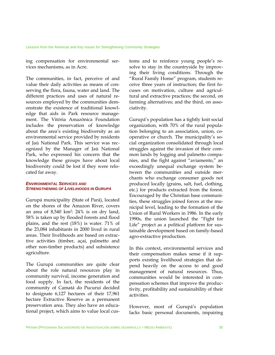ing compensation for environmental services mechanisms, as in Acre.

The communities, in fact, perceive of and value their daily activities as means of conserving the flora, fauna, water and land. The different practices and uses of natural resources employed by the communities demonstrate the existence of traditional knowledge that aids in Park resource management. The Vitória Amazônica Foundation includes the preservation of knowledge about the area's existing biodiversity as an environmental service provided by residents of Jaú National Park. This service was recognized by the Manager of Jaú National Park, who expressed his concern that the knowledge these groups have about local biodiversity could be lost if they were relocated far away.

#### *ENVIRONMENTAL SERVICES AND STRENGTHENING OF LIVELIHOODS IN GURUPÁ*

Gurupá municipality (State of Pará), located on the shores of the Amazon River, covers an area of 8,540 km2: 24% is on dry land, 58% is taken up by flooded forests and flood plains, and the rest (18%) is water. 71% of the 23,084 inhabitants in 2000 lived in rural areas. Their livelihoods are based on extractive activities (timber, açaí, palmetto and other non-timber products) and subsistence agriculture.

The Gurupá communities are quite clear about the role natural resources play in community survival, income generation and food supply. In fact, the residents of the community of Camatá do Pucuruí decided to designate 6,127 hectares of their 17,961 hectare Extractive Reserve as a permanent preservation area. They also have an educational project, which aims to value local customs and to reinforce young people's resolve to stay in the countryside by improving their living conditions. Through the "Rural Family Home" program, students receive three years of instruction; the first focuses on motivation, culture and agricultural and extractive practices; the second, on farming alternatives; and the third, on associativity.

Gurupá's population has a tightly knit social organization, with 70% of the rural population belonging to an association, union, cooperative or church. The municipality's social organization consolidated through local struggles against the invasion of their common lands by logging and palmetto companies, and the fight against "aviamento," an exceedingly unequal exchange system between the communities and outside merchants who exchange consumer goods not produced locally (grains, salt, fuel, clothing, etc.) for products extracted from the forest. Encouraged by the Christian base communities, these struggles joined forces at the municipal level, leading to the formation of the Union of Rural Workers in 1986. In the early 1990s, the union launched the "Fight for Life" project as a political platform for sustainable development based on family-based agro-extractive production.

In this context, environmental services and their compensation makes sense if it supports existing livelihood strategies that depend heavily on the access to and good management of natural resources. Thus, communities would be interested in compensation schemes that improve the productivity, profitability and sustainability of their activities.

However, most of Gurupá's population lacks basic personal documents, impairing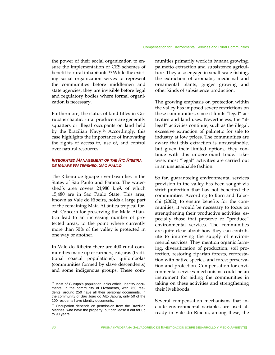the power of their social organization to ensure the implementation of CES schemes of benefit to rural inhabitants.13 While the existing social organization serves to represent the communities before middlemen and state agencies, they are invisible before legal and regulatory bodies where formal organization is necessary.

Furthermore, the status of land titles in Gurupá is chaotic: rural producers are generally squatters or illegal occupants on land held by the Brazilian Navy.14 Accordingly, this case highlights the importance of innovating the rights of access to, use of, and control over natural resources.

#### *INTEGRATED MANAGEMENT OF THE RIO RIBEIRA DE IGUAPE WATERSHED, SÃO PAULO*

The Ribeira de Iguape river basin lies in the States of São Paulo and Paraná. The watershed's area covers 24,980 km2, of which 15,480 are in São Paulo State. This area, known as Vale do Ribeira, holds a large part of the remaining Mata Atlántica tropical forest. Concern for preserving the Mata Atlántica lead to an increasing number of protected areas, to the point where currently more than 50% of the valley is protected in one way or another.

In Vale do Ribeira there are 400 rural communities made up of farmers, caiçaras (traditional coastal populations), quilombolas (communities formed by slave descendents) and some indigenous groups. These communities primarily work in banana growing, palmetto extraction and subsistence agriculture. They also engage in small-scale fishing, the extraction of aromatic, medicinal and ornamental plants, ginger growing and other kinds of subsistence production.

The growing emphasis on protection within the valley has imposed severe restrictions on these communities, since it limits "legal" activities and land uses. Nevertheless, the "illegal" activities continue, such as the illegal, excessive extraction of palmetto for sale to industry at low prices. The communities are aware that this extraction is unsustainable, but given their limited options, they continue with this underground trade. Likewise, most "legal" activities are carried out in an unsustainable fashion.

So far, guaranteeing environmental services provision in the valley has been sought via strict protection that has not benefited the communities. According to Born and Talocchi (2002), to ensure benefits for the communities, it would be necessary to focus on strengthening their productive activities, especially those that preserve or "produce" environmental services. The communities are quite clear about how they can contribute to improving the supply of environmental services. They mention organic farming, diversification of production, soil protection, restoring riparian forests, reforestation with native species, and forest preservation and protection. Compensation for environmental services mechanisms could be an instrument for aiding the communities in taking on these activities and strengthening their livelihoods.

Several compensation mechanisms that include environmental variables are used already in Vale do Ribeira, among these, the

<sup>&</sup>lt;sup>13</sup> Most of Gurupá's population lacks official identity documents. In the community of Livramento, with 750 residents, around 250 have all their personal documents. In the community of São João do Alto Jaburú, only 50 of the 200 residents have identity documents.

<sup>&</sup>lt;sup>14</sup> Occupation depends on permission from the Brazilian Marines, who have the property, but can lease it out for up to 90 years.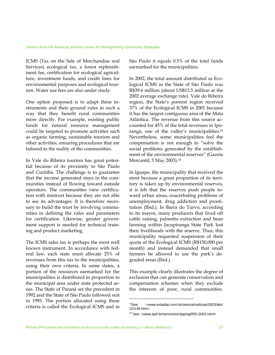ICMS (Tax on the Sale of Merchandise and Services) ecological tax, a forest replenishment fee, certification for ecological agriculture, investment funds, and credit lines for environmental purposes and ecological tourism. Water use fees are also under study.

One option proposed is to adapt these instruments and their ground rules in such a way that they benefit rural communities more directly. For example, existing public funds for natural resource management could be targeted to promote activities such as organic farming, sustainable tourism and other activities, ensuring procedures that are tailored to the reality of the communities.

In Vale do Ribeira tourism has great potential because of its proximity to São Paulo and Curitiba. The challenge is to guarantee that the income generated stays in the communities instead of flowing toward outside operators. The communities view certification with mistrust because they are not able to see its advantages. It is therefore necessary to build the trust by involving communities in defining the rules and parameters for certification. Likewise, greater government support is needed for technical training and product marketing.

The ICMS sales tax is perhaps the most well known instrument. In accordance with federal law, each state must allocate 25% of revenues from this tax to the municipalities, using their own criteria. In some states, a portion of the resources earmarked for the municipalities is distributed in proportion to the municipal area under state protected areas. The State of Paraná set the precedent in 1992 and the State of São Paulo followed suit in 1993. The portion allocated using these criteria is called the Ecological ICMS and in

São Paulo it equals 0.5% of the total funds earmarked for the municipalities.

In 2002, the total amount distributed as Ecological ICMS in the State of São Paulo was R\$39.6 million (about US\$13.5 million at the 2002 average exchange rate). Vale do Ribeira region, the State's poorest region received 37% of the Ecological ICMS in 2001 because it has the largest contiguous area of the Mata Atlántica. The revenue from this source accounted for 45% of the total revenues in Iporanga, one of the valley's municipalities.15 Nevertheless, some municipalities feel the compensation is not enough to "solve the social problems generated by the establishment of the environmental reserves" (Gazeta Mercantil, 5 May 2003).16

In Iguape, the municipality that received the most because a great proportion of its territory is taken up by environmental reserves, it is felt that the reserves push people toward urban areas, exacerbating problems of unemployment, drug addiction and prostitution (Ibid.). In Barra do Turvo, according to its mayor, many producers that lived off cattle raising, palmetto extraction and bean farming within Jacupiranga State Park lost their livelihoods with the reserve. Thus, this municipality requested suspension of their quota of the Ecological ICMS (R\$150,000 per month) and instead demanded that small farmers be allowed to use the park's degraded areas (Ibid.).

This example clearly illustrates the degree of exclusion that can generate conservation and compensation schemes when they exclude the interests of poor, rural communities.

<sup>15</sup>See: <www.estadao.com.br/ciencia/noticias/2003/abr/ 22/146.htm>

<sup>16</sup> See: <www.ipef.br/servicios/clipping/055-2003.html>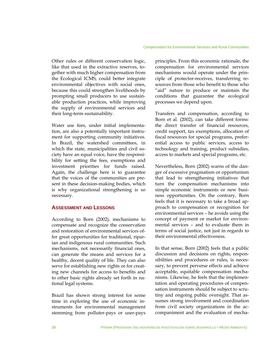Other rules or different conservation logic, like that used in the extractive reserves, together with much higher compensation from the Ecological ICMS, could better integrate environmental objectives with social ones, because this could strengthen livelihoods by prompting small producers to use sustainable production practices, while improving the supply of environmental services and their long-term sustainability.

Water use fees, under initial implementation, are also a potentially important instrument for supporting community initiatives. In Brazil, the watershed committees, in which the state, municipalities and civil society have an equal voice, have the responsibility for setting the fees, exemptions and investment priorities for funds raised. Again, the challenge here is to guarantee that the voices of the communities are present in these decision-making bodies, which is why organizational strengthening is so necessary.

#### **ASSESSMENT AND LESSONS**

According to Born (2002), mechanisms to compensate and recognize the conservation and restoration of environmental services offer great opportunities for traditional, riparian and indigenous rural communities. Such mechanisms, not necessarily financial ones, can generate the means and services for a healthy, decent quality of life. They can also serve for establishing new rights or for creating new channels for access to benefits and to other basic rights already set forth in national legal systems.

Brazil has shown strong interest for some time in exploring the use of economic instruments for environmental management stemming from polluter-pays or user-pays

principles. From this economic rationale, the compensation for environmental services mechanisms would operate under the principle of protector-receives, transferring resources from those who benefit to those who "aid" nature to produce or maintain the conditions that guarantee the ecological processes we depend upon.

Transfers and compensation, according to Born et al. (2002), can take different forms: the direct transfer of financial resources, credit support, tax exemptions, allocation of fiscal resources for special programs, preferential access to public services, access to technology and training, product subsidies, access to markets and special programs, etc.

Nevertheless, Born (2002) warns of the danger of excessive pragmatism or opportunism that lead to strengthening initiatives that turn the compensation mechanisms into simple economic instruments or new business opportunities. On the contrary, Born feels that it is necessary to take a broad approach to compensation or recognition for environmental services – he avoids using the concept of payment or market for environmental services – and to evaluate them in terms of social justice, not just in regards to their environmental effectiveness.

In that sense, Born (2002) feels that a public discussion and decisions on rights, responsibilities and procedures or rules, is necessary, to prevent perverse effects and achieve acceptable, equitable compensation mechanisms. Likewise, he feels that the implementation and operating procedures of compensation instruments should be subject to scrutiny and ongoing public oversight. That assumes strong involvement and coordination from civil society organizations in the accompaniment and the evaluation of mecha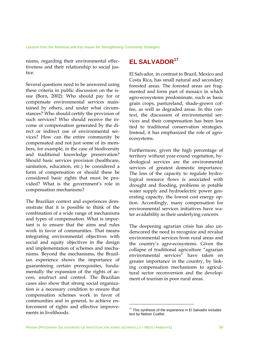nisms, regarding their environmental effectiveness and their relationship to social justice.

Several questions need to be answered using these criteria in public discussion on the issue (Born, 2002): Who should pay for or compensate environmental services maintained by others, and under what circumstances? Who should certify the provision of such services? Who should receive the income or compensation generated by the direct or indirect use of environmental services? How can the entire community be compensated and not just some of its members, for example, in the case of biodiversity and traditional knowledge preservation? Should basic services provision (healthcare, sanitation, education, etc.) be considered a form of compensation or should these be considered basic rights that must be provided? What is the government's role in compensation mechanisms?

The Brazilian context and experiences demonstrate that it is possible to think of the combination of a wide range of mechanisms and types of compensation. What is important is to ensure that the aims and rules work in favor of communities. That means integrating environmental objectives with social and equity objectives in the design and implementation of schemes and mechanisms. Beyond the mechanisms, the Brazilian experience shows the importance of guaranteeing certain prerequisites, fundamentally the expansion of the rights of access, usufruct and control. The Brazilian cases also show that strong social organization is a necessary condition to ensure that compensation schemes work in favor of communities and in general, to achieve enforcement of rights and effective improvements in livelihoods.

# **EL SALVADOR<sup>17</sup>**

El Salvador, in contrast to Brazil, Mexico and Costa Rica, has small natural and secondary forested areas. The forested areas are fragmented and form part of mosaics in which agro-ecosystems predominate, such as basic grain crops, pastureland, shade-grown coffee, as well as degraded areas. In this context, the discussion of environmental services and their compensation has been less tied to traditional conservation strategies. Instead, it has emphasized the role of agroecosystems.

Furthermore, given the high percentage of territory without year-round vegetation, hydrological services are the environmental services of greatest domestic importance. The loss of the capacity to regulate hydrological resource flows is associated with drought and flooding, problems in potable water supply and hydroelectric power generating capacity, the lowest cost energy option. Accordingly, many compensation for environmental services initiatives have water availability as their underlying concern.

The deepening agrarian crisis has also underscored the need to recognize and revalue environmental services from rural areas and the country's agro-ecosystems. Given the collapse of traditional agriculture "agrarian environmental services" have taken on greater importance in the country, by linking compensation mechanisms to agricultural sector reconversion and the development of tourism in poor rural areas.

<sup>&</sup>lt;sup>17</sup> This synthesis of the experience in El Salvador includes text by Nelson Cuéllar.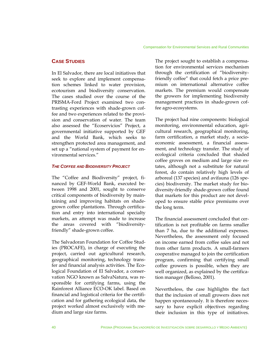## **CASE STUDIES**

In El Salvador, there are local initiatives that seek to explore and implement compensation schemes linked to water provision, ecotourism and biodiversity conservation. The cases studied over the course of the PRISMA-Ford Project examined two contrasting experiences with shade-grown coffee and two experiences related to the provision and conservation of water. The team also assessed the "Ecoservicios" Project, a governmental initiative supported by GEF and the World Bank, which seeks to strengthen protected area management, and set up a "national system of payment for environmental services."

#### *THE COFFEE AND BIODIVERSITY PROJECT*

The "Coffee and Biodiversity" project, financed by GEF-World Bank, executed between 1998 and 2001, sought to conserve critical components of biodiversity by maintaining and improving habitats on shadegrown coffee plantations. Through certification and entry into international specialty markets, an attempt was made to increase the areas covered with "biodiversityfriendly" shade-grown coffee.

The Salvadoran Foundation for Coffee Studies (PROCAFE), in charge of executing the project, carried out agricultural research, geographical monitoring, technology transfer and financial analysis activities. The Ecological Foundation of El Salvador, a conservation NGO known as SalvaNatura, was responsible for certifying farms, using the Rainforest Alliance ECO-OK label. Based on financial and logistical criteria for the certification and for gathering ecological data, the project worked almost exclusively with medium and large size farms.

The project sought to establish a compensation for environmental services mechanism through the certification of "biodiversityfriendly coffee" that could fetch a price premium on international alternative coffee markets. The premium would compensate the growers for implementing biodiversity management practices in shade-grown coffee agro-ecosystems.

The project had nine components: biological monitoring, environmental education, agricultural research, geographical monitoring, farm certification, a market study, a socioeconomic assessment, a financial assessment, and technology transfer. The study of ecological criteria concluded that shaded coffee groves on medium and large size estates, although not a substitute for natural forest, do contain relatively high levels of arboreal (137 species) and avifauna (126 species) biodiversity. The market study for biodiversity-friendly shade-grown coffee found that markets for this product are not developed to ensure stable price premiums over the long term.

The financial assessment concluded that certification is not profitable on farms smaller than 7 ha, due to the additional expenses. Nevertheless, the assessment only focused on income earned from coffee sales and not from other farm products. A small-farmers cooperative managed to join the certification program, confirming that certifying small coffee growers is possible, when they are well organized, as explained by the certification manager (Belloso, 2001).

Nevertheless, the case highlights the fact that the inclusion of small growers does not happen spontaneously. It is therefore necessary to have explicit objectives regarding their inclusion in this type of initiatives.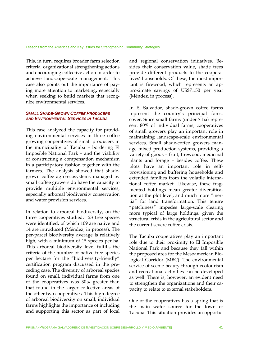This, in turn, requires broader farm selection criteria, organizational strengthening actions and encouraging collective action in order to achieve landscape-scale management. This case also points out the importance of paying more attention to marketing, especially when seeking to build markets that recognize environmental services.

#### *SMALL SHADE-GROWN COFFEE PRODUCERS AND ENVIRONMENTAL SERVICES IN TACUBA*

This case analyzed the capacity for providing environmental services in three coffee growing cooperatives of small producers in the municipality of Tacuba – bordering El Imposible National Park – and the viability of constructing a compensation mechanism in a participatory fashion together with the farmers. The analysis showed that shadegrown coffee agro-ecosystems managed by small coffee growers do have the capacity to provide multiple environmental services, especially arboreal biodiversity conservation and water provision services.

In relation to arboreal biodiversity, on the three cooperatives studied, 123 tree species were identified, of which 109 are native and 14 are introduced (Méndez, in process). The per-parcel biodiversity average is relatively high, with a minimum of 15 species per ha. This arboreal biodiversity level fulfills the criteria of the number of native tree species per hectare for the "biodiversity-friendly" certification program discussed in the preceding case. The diversity of arboreal species found on small, individual farms from one of the cooperatives was 30% greater than that found in the larger collective areas of the other two cooperatives. This high degree of arboreal biodiversity on small, individual farms highlights the importance of including and supporting this sector as part of local

and regional conservation initiatives. Besides their conservation value, shade trees provide different products to the cooperatives' households. Of these, the most important is firewood, which represents an approximate savings of US\$71.50 per year (Méndez, in process).

In El Salvador, shade-grown coffee farms represent the country's principal forest cover. Since small farms (under 7 ha) represent 80% of individual farms, cooperatives of small growers play an important role in maintaining landscape-scale environmental services. Small shade-coffee growers manage mixed production systems, providing a variety of goods – fruit, firewood, medicinal plants and forage – besides coffee. These plots have an important role in selfprovisioning and buffering households and extended families from the volatile international coffee market. Likewise, these fragmented holdings mean greater diversification at the plot level, and much more "inertia" for land transformation. This tenure "patchiness" impedes large-scale clearing more typical of large holdings, given the structural crisis in the agricultural sector and the current severe coffee crisis.

The Tacuba cooperatives play an important role due to their proximity to El Imposible National Park and because they fall within the proposed area for the Mesoamerican Biological Corridor (MBC). The environmental service of scenic beauty through ecotourism and recreational activities can be developed as well. There is, however, an evident need to strengthen the organizations and their capacity to relate to external stakeholders.

One of the cooperatives has a spring that is the main water source for the town of Tacuba. This situation provides an opportu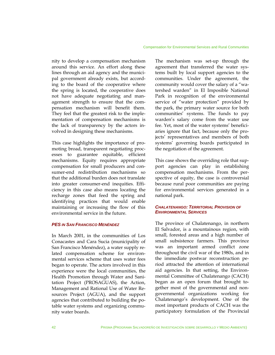nity to develop a compensation mechanism around this service. An effort along these lines through an aid agency and the municipal government already exists, but according to the board of the cooperative where the spring is located, the cooperative does not have adequate negotiating and management strength to ensure that the compensation mechanism will benefit them. They feel that the greatest risk to the implementation of compensation mechanisms is the lack of transparency by the actors involved in designing these mechanisms.

This case highlights the importance of promoting broad, transparent negotiating processes to guarantee equitable, efficient mechanisms. Equity requires appropriate compensation for small producers and consumer-end redistribution mechanisms so that the additional burden does not translate into greater consumer-end inequities. Efficiency in this case also means locating the recharge zones that feed the spring and identifying practices that would enable maintaining or increasing the flow of this environmental service in the future.

### *PES IN SAN FRANCISCO MENÉNDEZ*

In March 2001, in the communities of Los Conacastes and Cara Sucia (municipality of San Francisco Menéndez), a water supply related compensation scheme for environmental services scheme that uses water fees began to operate. The actors involved in this experience were the local communities, the Health Promotion through Water and Sanitation Project (PROSAGUAS), the Action, Management and Rational Use of Water Resources Project (AGUA), and the support agencies that contributed to building the potable water systems and organizing community water boards.

The mechanism was set-up through the agreement that transferred the water systems built by local support agencies to the communities. Under the agreement, the community would cover the salary of a "watershed warden" in El Imposible National Park in recognition of the environmental service of "water protection" provided by the park, the primary water source for both communities' systems. The funds to pay warden's salary come from the water use fee. Yet, most of the water systems' beneficiaries ignore that fact, because only the projects' representatives and members of both systems' governing boards participated in the negotiation of the agreement.

This case shows the overriding role that support agencies can play in establishing compensation mechanisms. From the perspective of equity, the case is controversial because rural poor communities are paying for environmental services generated in a national park.

#### *CHALATENANGO: TERRITORIAL PROVISION OF ENVIRONMENTAL SERVICES*

The province of Chalatenango, in northern El Salvador, is a mountainous region, with small, forested areas and a high number of small subsistence farmers. This province was an important armed conflict zone throughout the civil war of the 1980s, and in the immediate postwar reconstruction period attracted the attention of international aid agencies. In that setting, the Environmental Committee of Chalatenango (CACH) began as an open forum that brought together most of the governmental and nongovernmental organizations working for Chalatenango's development. One of the most important products of CACH was the participatory formulation of the Provincial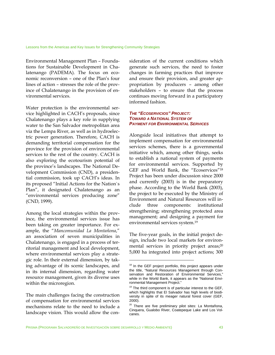Environmental Management Plan – Foundations for Sustainable Development in Chalatenango (PADEMA). The focus on economic reconversion – one of the Plan's four lines of action – stresses the role of the province of Chalatenango in the provision of environmental services.

Water protection is the environmental service highlighted in CACH's proposals, since Chalatenango plays a key role in supplying water to the San Salvador metropolitan area via the Lempa River, as well as in hydroelectric power generation. Therefore, CACH is demanding territorial compensation for the province for the provision of environmental services to the rest of the country. CACH is also exploring the ecotourism potential of the province's landscapes. The National Development Commission (CND), a presidential commission, took up CACH's ideas. In its proposed "Initial Actions for the Nation`s Plan", it designated Chalatenango as an "environmental services producing zone" (CND, 1999).

Among the local strategies within the province, the environmental services issue has been taking on greater importance. For example, the "*Mancomunidad La Montañona*," an association of seven municipalities in Chalatenango, is engaged in a process of territorial management and local development, where environmental services play a strategic role. In their external dimension, by taking advantage of its scenic landscapes, and in its internal dimension, regarding water resource management, given its diverse uses within the microregion.

The main challenges facing the construction of compensation for environmental services mechanisms relate to the need to include a landscape vision. This would allow the consideration of the current conditions which generate such services, the need to foster changes in farming practices that improve and ensure their provision, and greater appropriation by producers – among other stakeholders – to ensure that the process continues moving forward in a participatory informed fashion.

#### *THE "ECOSERVICIOS" PROJECT: TOWARD A NATIONAL SYSTEM OF PAYMENT FOR ENVIRONMENTAL SERVICES*

Alongside local initiatives that attempt to implement compensation for environmental services schemes, there is a governmental initiative which, among other things, seeks to establish a national system of payments for environmental services. Supported by GEF and World Bank, the "Ecoservices"18 Project has been under discussion since 2000 and currently (2003) is in the preparatory phase. According to the World Bank (2003), the project to be executed by the Ministry of Environment and Natural Resources will include three components: institutional strengthening; strengthening protected area management; and designing a payment for environmental services system.19

The five-year goals, in the initial project design, include two local markets for environmental services in priority project areas;<sup>20</sup> 5,000 ha integrated into project actions; 300

<sup>&</sup>lt;sup>18</sup> In the GEF project portfolio, this project appears under the title, "Natural Resources Management through Conservation and Restoration of Environmental Services,' while in the World Bank, it appears as the "National Environmental Management Project."

 $19$  The third component is of particular interest to the GEF, which highlights that El Salvador has high levels of biodiversity in spite of its meager natural forest cover (GEF, 2000).

<sup>&</sup>lt;sup>20</sup> There are five preliminary pilot sites: La Montañona, Cinquera, Gualobo River, Coatepeque Lake and Los Volcanes.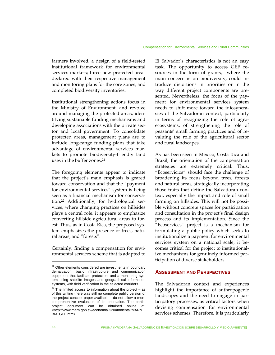farmers involved; a design of a field-tested institutional framework for environmental services markets; three new protected areas declared with their respective management and monitoring plans for the core zones; and completed biodiversity inventories.

Institutional strengthening actions focus in the Ministry of Environment, and revolve around managing the protected areas, identifying sustainable funding mechanisms and developing associations with the private sector and local government. To consolidate protected areas, management plans are to include long-range funding plans that take advantage of environmental services markets to promote biodiversity-friendly land uses in the buffer zones.<sup>21</sup>

The foregoing elements appear to indicate that the project's main emphasis is geared toward conservation and that the "payment for environmental services" system is being seen as a financial mechanism for conservation.22 Additionally, for hydrological services, where changing practices on hillsides plays a central role, it appears to emphasize converting hillside agricultural areas to forest. Thus, as in Costa Rica, the proposed system emphasizes the presence of trees, natural areas, and "forests".

Certainly, finding a compensation for environmental services scheme that is adapted to

El Salvador's characteristics is not an easy task. The opportunity to access GEF resources in the form of grants, where the main concern is on biodiversity, could introduce distortions in priorities or in the way different project components are presented. Nevertheless, the focus of the payment for environmental services system needs to shift more toward the idiosyncrasies of the Salvadoran context, particularly in terms of recognizing the role of agroecosystems, of strengthening the role of peasants' small farming practices and of revaluing the role of the agricultural sector and rural landscapes.

As has been seen in Mexico, Costa Rica and Brazil, the orientation of the compensation strategies are extremely critical. Thus, "Ecoservicios" should face the challenge of broadening its focus beyond trees, forests and natural areas, strategically incorporating those traits that define the Salvadoran context, especially the impact and role of small farming on hillsides. This will not be possible without concrete spaces for participation and consultation in the project's final design process and its implementation. Since the "Ecoservices" project is a mechanism for formulating a public policy which seeks to institutionalize a payment for environmental services system on a national scale, it becomes critical for the project to institutionalize mechanisms for genuinely informed participation of diverse stakeholders.

#### **ASSESSMENT AND PERSPECTIVES**

The Salvadoran context and experiences highlight the importance of anthropogenic landscapes and the need to engage in participatory processes, as critical factors when devising compensation for environmental services schemes. Therefore, it is particularly

 $21$  Other elements considered are investments in boundary demarcation, basic infrastructure and communication equipment that facilitate protection; and a monitoring system using satellite images and geographical information systems, with field verification in the selected corridors.

 $22$  The limited access to information about the project – as of this writing there was still no complete public version of the project concept paper available – do not allow a more comprehensive evaluation of its orientation. The partial project document can be obtained online at: <http://www.marn.gob.sv/economia%20ambiental/MARN\_ BM\_GEF.htm>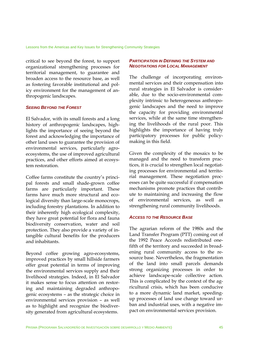critical to see beyond the forest, to support organizational strengthening processes for territorial management, to guarantee and broaden access to the resource base, as well as fostering favorable institutional and policy environment for the management of anthropogenic landscapes.

#### *SEEING BEYOND THE FOREST*

El Salvador, with its small forests and a long history of anthropogenic landscapes, highlights the importance of seeing beyond the forest and acknowledging the importance of other land uses to guarantee the provision of environmental services, particularly agroecosystems, the use of improved agricultural practices, and other efforts aimed at ecosystem restoration.

Coffee farms constitute the country's principal forests and small shade-grown coffee farms are particularly important. These farms have much more structural and ecological diversity than large-scale monocrops, including forestry plantations. In addition to their inherently high ecological complexity, they have great potential for flora and fauna biodiversity conservation, water and soil protection. They also provide a variety of intangible cultural benefits for the producers and inhabitants.

Beyond coffee growing agro-ecosystems, improved practices by small hillside farmers offer great potential in terms of improving the environmental services supply and their livelihood strategies. Indeed, in El Salvador it makes sense to focus attention on restoring and maintaining degraded anthropogenic ecosystems – as the strategic choice in environmental services provision – as well as to highlight and recognize the biodiversity generated from agricultural ecosystems.

#### *PARTICIPATION IN DEFINING THE SYSTEM AND NEGOTIATIONS FOR LOCAL MANAGEMENT*

The challenge of incorporating environmental services and their compensation into rural strategies in El Salvador is considerable, due to the socio-environmental complexity intrinsic to heterogeneous anthropogenic landscapes and the need to improve the capacity for providing environmental services, while at the same time strengthening the livelihoods of the rural poor. This highlights the importance of having truly participatory processes for public policymaking in this field.

Given the complexity of the mosaics to be managed and the need to transform practices, it is crucial to strengthen local negotiating processes for environmental and territorial management. These negotiation processes can be quite successful if compensation mechanisms promote practices that contribute to maintaining and increasing the flow of environmental services, as well as strengthening rural community livelihoods.

#### *ACCESS TO THE RESOURCE BASE*

The agrarian reform of the 1980s and the Land Transfer Program (PTT) coming out of the 1992 Peace Accords redistributed onefifth of the territory and succeeded in broadening rural community access to the resource base. Nevertheless, the fragmentation of the land into small parcels demands strong organizing processes in order to achieve landscape-scale collective action. This is complicated by the context of the agricultural crisis, which has been conducive to a more dynamic land market, speedingup processes of land use change toward urban and industrial uses, with a negative impact on environmental services provision.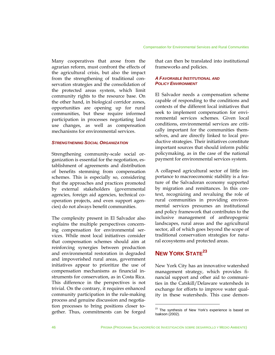Many cooperatives that arose from the agrarian reform, must confront the effects of the agricultural crisis, but also the impact from the strengthening of traditional conservation strategies and the consolidation of the protected areas system, which limit community rights to the resource base. On the other hand, in biological corridor zones, opportunities are opening up for rural communities, but these require informed participation in processes negotiating land use changes, as well as compensation mechanisms for environmental services.

#### *STRENGTHENING SOCIAL ORGANIZATION*

Strengthening community-scale social organization is essential for the negotiation, establishment of agreements and distribution of benefits stemming from compensation schemes. This is especially so, considering that the approaches and practices promoted by external stakeholders (governmental agencies, foreign aid agencies, technical cooperation projects, and even support agencies) do not always benefit communities.

The complexity present in El Salvador also explains the multiple perspectives concerning compensation for environmental services. While most local initiatives consider that compensation schemes should aim at reinforcing synergies between production and environmental restoration in degraded and impoverished rural areas, government initiatives appear to prioritize the use of compensation mechanisms as financial instruments for conservation, as in Costa Rica. This difference in the perspectives is not trivial. On the contrary, it requires enhanced community participation in the rule-making process and genuine discussion and negotiation processes to bring positions closer together. Thus, commitments can be forged

that can then be translated into institutional frameworks and policies.

#### *A FAVORABLE INSTITUTIONAL AND POLICY ENVIRONMENT*

El Salvador needs a compensation scheme capable of responding to the conditions and contexts of the different local initiatives that seek to implement compensation for environmental services schemes. Given local conditions, environmental services are critically important for the communities themselves, and are directly linked to local productive strategies. Their initiatives constitute important sources that should inform public policymaking, as in the case of the national payment for environmental services system.

A collapsed agricultural sector of little importance to macroeconomic stability is a feature of the Salvadoran economy supported by migration and remittances. In this context, recognizing and revaluing the role of rural communities in providing environmental services presumes an institutional and policy framework that contributes to the inclusive management of anthropogenic landscapes, rural areas and the agricultural sector, all of which goes beyond the scope of traditional conservation strategies for natural ecosystems and protected areas.

# **NEW YORK STATE<sup>23</sup>**

New York City has an innovative watershed management strategy, which provides financial support and other aid to communities in the Catskill/Delaware watersheds in exchange for efforts to improve water quality in these watersheds. This case demon-

<sup>&</sup>lt;sup>23</sup> The synthesis of New York's experience is based on Isakson (2002).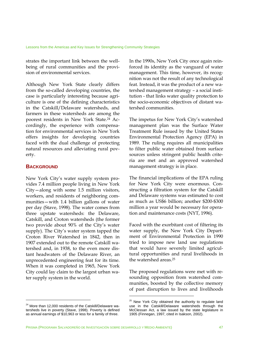strates the important link between the wellbeing of rural communities and the provision of environmental services.

Although New York State clearly differs from the so-called developing countries, the case is particularly interesting because agriculture is one of the defining characteristics in the Catskill/Delaware watersheds, and farmers in these watersheds are among the poorest residents in New York State.24 Accordingly, the experience with compensation for environmental services in New York offers insights for developing countries faced with the dual challenge of protecting natural resources and alleviating rural poverty.

#### **BACKGROUND**

1

New York City's water supply system provides 7.4 million people living in New York City—along with some 1.5 million visitors, workers, and residents of neighboring communities—with 1.4 billion gallons of water per day (Stave, 1998). The water comes from three upstate watersheds: the Delaware, Catskill, and Croton watersheds (the former two provide about 90% of the City's water supply). The City's water system tapped the Croton River Watershed in 1842, then in 1907 extended out to the remote Catskill watershed and, in 1938, to the even more distant headwaters of the Delaware River, an unprecedented engineering feat for its time. When it was completed in 1965, New York City could lay claim to the largest urban water supply system in the world.

In the 1990s, New York City once again reinforced its identity as the vanguard of water management. This time, however, its recognition was not the result of any technological feat. Instead, it was the product of a new watershed management strategy – a social institution - that links water quality protection to the socio-economic objectives of distant watershed communities.

The impetus for New York City's watershed management plan was the Surface Water Treatment Rule issued by the United States Environmental Protection Agency (EPA) in 1989. The ruling requires all municipalities to filter public water obtained from surface sources unless stringent public health criteria are met and an approved watershed management strategy is in place.

The financial implications of the EPA ruling for New York City were enormous. Constructing a filtration system for the Catskill and Delaware systems was estimated to cost as much as US\$6 billion; another \$200-\$300 million a year would be necessary for operation and maintenance costs (NYT, 1996).

Faced with the exorbitant cost of filtering its water supply, the New York City Department of Environmental Protection in 1990 tried to impose new land use regulations that would have severely limited agricultural opportunities and rural livelihoods in the watershed areas.25

The proposed regulations were met with resounding opposition from watershed communities, boosted by the collective memory of past disruption to lives and livelihoods

<sup>&</sup>lt;sup>24</sup> More than 12,000 residents of the Catskill/Delaware watersheds live in poverty (Stave, 1998). Poverty is defined as annual earnings of \$10,963 or less for a family of three.

<sup>&</sup>lt;sup>25</sup> New York City obtained the authority to regulate land use in the Catskill/Delaware watersheds through the McClessan Act, a law issued by the state legislature in 1905 (Finnegan, 1997, cited in Isakson, 2002).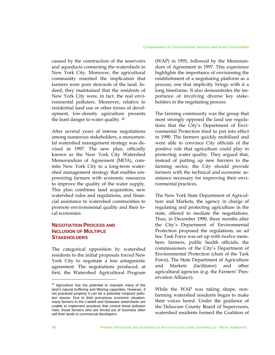caused by the construction of the reservoirs and aqueducts connecting the watersheds to New York City. Moreover, the agricultural community resented the implication that farmers were poor stewards of the land. Indeed, they maintained that the residents of New York City were, in fact, the real environmental polluters. Moreover, relative to residential land use or other forms of development, low-density agriculture presents the least danger to water quality. 26

After several years of intense negotiations among numerous stakeholders, a monumental watershed management strategy was devised in 1997. The new plan, officially known as the New York City Watershed Memorandum of Agreement (MOA), commits New York City to a long-term watershed management strategy that enables empowering farmers with economic resources to improve the quality of the water supply. This plan combines land acquisition, new watershed rules and regulations, and financial assistance to watershed communities to promote environmental quality and their local economies.

# **NEGOTIATION PROCESS AND INCLUSION OF MULTIPLE STAKEHOLDERS**

The categorical opposition by watershed residents to the initial proposals forced New York City to negotiate a less antagonistic agreement. The negotiations produced, at first, the Watershed Agricultural Program

(WAP) in 1991, followed by the Memorandum of Agreement in 1997. This experience highlights the importance of envisioning the establishment of a negotiating platform as a process; one that implicitly brings with it a long timeframe. It also demonstrates the importance of involving diverse key stakeholders in the negotiating process.

The farming community was the group that most strongly opposed the land use regulations that the City's Department of Environmental Protection tried to put into effect in 1990. The farmers quickly mobilized and were able to convince City officials of the positive role that agriculture could play in protecting water quality. They argued that, instead of putting up new barriers to the farming sector, the City should provide farmers with the technical and economic assistance necessary for improving their environmental practices.

The New York State Department of Agriculture and Markets, the agency in charge of regulating and protecting agriculture in the state, offered to mediate the negotiations. Thus, in December 1990, three months after the City's Department of Environmental Protection proposed the regulations, an ad hoc Task Force was set up with twelve members: farmers, public health officials, the commissioners of the City's Department of Environmental Protection (chair of the Task Force), The State Department of Agriculture and Markets (facilitator) and other agricultural agencies (e.g. the Farmers' Preservation Alliance).

While the WAP was taking shape, nonfarming watershed residents began to make their voices heard. Under the guidance of the Delaware County Board of Supervisors, watershed residents formed the Coalition of

 $26$  Agriculture has the potential to maintain many of the land's natural buffering and filtering capacities. However, if not practiced properly it can be a potential nonpoint pollution source. Due to their precarious economic situation, many farmers in the Catskill and Delaware watersheds are unable to implement practices that control these pollution risks; those farmers who are forced out of business often sell their lands to commercial developers.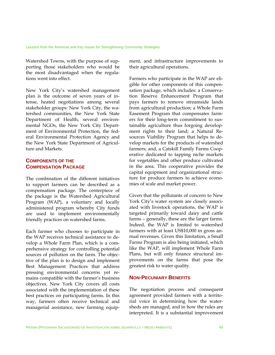Watershed Towns, with the purpose of supporting those stakeholders who would be the most disadvantaged when the regulations went into effect.

New York City's watershed management plan is the outcome of seven years of intense, heated negotiations among several stakeholder groups: New York City, the watershed communities, the New York State Department of Health, several environmental NGOs, the New York City Department of Environmental Protection, the federal Environmental Protection Agency and the New York State Department of Agriculture and Markets.

# **COMPONENTS OF THE COMPENSATION PACKAGE**

The combination of the different initiatives to support farmers can be described as a compensation package. The centerpiece of the package is the Watershed Agricultural Program (WAP), a voluntary and locally administered program whereby City funds are used to implement environmentally friendly practices on watershed farms.

Each farmer who chooses to participate in the WAP receives technical assistance to develop a Whole Farm Plan, which is a comprehensive strategy for controlling potential sources of pollution on the farm. The objective of the plan is to design and implement Best Management Practices that address pressing environmental concerns yet remains compatible with the farmer's business objectives. New York City covers all costs associated with the implementation of these best practices on participating farms. In this way, farmers often receive technical and managerial assistance, new farming equipment, and infrastructure improvements to their agricultural operations.

Farmers who participate in the WAP are eligible for other components of this compensation package, which includes: a Conservation Reserve Enhancement Program that pays farmers to remove streamside lands from agricultural production; a Whole Farm Easement Program that compensates farmers for their long-term commitment to sustainable agriculture thus forgoing development rights to their land; a Natural Resources Viability Program that helps to develop markets for the products of watershed farmers; and, a Catskill Family Farms Cooperative dedicated to tapping niche markets for vegetables and other produce cultivated in the area. This cooperative provides the capital equipment and organizational structure for produce farmers to achieve economies of scale and market power.

Given that the pollutants of concern to New York City's water system are closely associated with livestock operations, the WAP is targeted primarily toward dairy and cattle farms – generally, these are the larger farms. Indeed, the WAP is limited to watershed farmers with at least US\$10,000 in gross annual revenues. Given this limitation, a Small Farms Program is also being initiated, which like the WAP, will implement Whole Farm Plans, but will only finance structural improvements on the farms that pose the greatest risk to water quality.

#### **NON-PECUNIARY BENEFITS**

The negotiation process and consequent agreement provided farmers with a territorial voice in determining how the watersheds are managed, and in how the rules are interpreted. It is a substantial improvement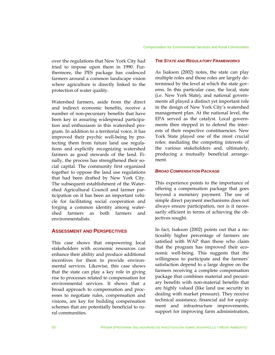over the regulations that New York City had tried to impose upon them in 1990. Furthermore, the PES package has coalesced farmers around a common landscape vision where agriculture is directly linked to the protection of water quality.

Watershed farmers, aside from the direct and indirect economic benefits, receive a number of non-pecuniary benefits that have been key in assuring widespread participation and enthusiasm in this watershed program. In addition to a territorial voice, it has improved their psychic well-being by protecting them from future land use regulations and explicitly recognizing watershed farmers as good stewards of the land. Finally, the process has strengthened their social capital. The community first organized together to oppose the land use regulations that had been drafted by New York City. The subsequent establishment of the Watershed Agricultural Council and farmer participation on it has been an important vehicle for facilitating social cooperation and forging a common identity among watershed farmers as both farmers and environmentalists.

## **ASSESSMENT AND PERSPECTIVES**

This case shows that empowering local stakeholders with economic resources can enhance their ability and produce additional incentives for them to provide environmental services. Likewise, this case shows that the state can play a key role in giving rise to processes related to compensation for environmental services. It shows that a broad approach to compensation and processes to negotiate rules, compensation and visions, are key for building compensation schemes that are potentially beneficial to rural communities.

#### *THE STATE AND REGULATORY FRAMEWORKS*

As Isakson (2002) notes, the state can play multiple roles and those roles are largely determined by the level at which the state governs. In this particular case, the local, state (i.e. New York State), and national governments all played a distinct yet important role in the design of New York City's watershed management plan. At the national level, the EPA served as the catalyst. Local governments then stepped in to defend the interests of their respective constituencies. New York State played one of the most crucial roles: mediating the competing interests of the various stakeholders and, ultimately, producing a mutually beneficial arrangement.

#### *BROAD COMPENSATION PACKAGE*

This experience points to the importance of offering a compensation package that goes beyond a monetary payment. The use of simple direct payment mechanisms does not always ensure participation, nor is it necessarily efficient in terms of achieving the objectives sought.

In fact, Isakson (2002) points out that a noticeably higher percentage of farmers are satisfied with WAP than those who claim that the program has improved their economic well-being. This suggests that the willingness to participate and the farmers' satisfaction depend to a large degree on the farmers receiving a complete compensation package that combines material and pecuniary benefits with non-material benefits that are highly valued (like land use security in dealing with market pressure). They receive technical assistance, financial aid for equipment and infrastructure improvements, support for improving farm administration,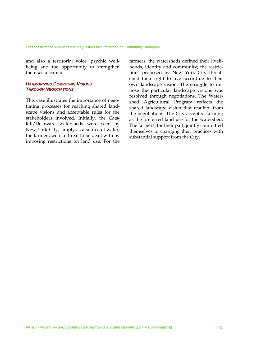and also a territorial voice, psychic wellbeing and the opportunity to strengthen their social capital.

#### *HARMONIZING COMPETING VISIONS THROUGH NEGOTIATIONS*

This case illustrates the importance of negotiating processes for reaching shared landscape visions and acceptable rules for the stakeholders involved. Initially, the Catskill/Delaware watersheds were seen by New York City, simply as a source of water; the farmers were a threat to be dealt with by imposing restrictions on land use. For the farmers, the watersheds defined their livelihoods, identity and community; the restrictions proposed by New York City threatened their right to live according to their own landscape vision. The struggle to impose the particular landscape visions was resolved through negotiations. The Watershed Agricultural Program reflects the shared landscape vision that resulted from the negotiations. The City accepted farming as the preferred land use for the watershed. The farmers, for their part, jointly committed themselves to changing their practices with substantial support from the City.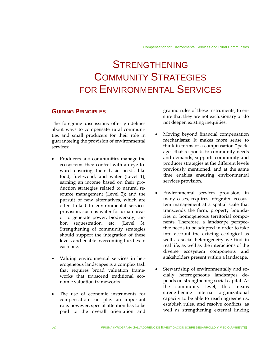# **STRENGTHENING** COMMUNITY STRATEGIES FOR ENVIRONMENTAL SERVICES

# **GUIDING PRINCIPLES**

The foregoing discussions offer guidelines about ways to compensate rural communities and small producers for their role in guaranteeing the provision of environmental services:

- Producers and communities manage the ecosystems they control with an eye toward ensuring their basic needs like food, fuel-wood, and water (Level 1); earning an income based on their production strategies related to natural resource management (Level 2); and the pursuit of new alternatives, which are often linked to environmental services provision, such as water for urban areas or to generate power, biodiversity, carbon sequestration, etc. (Level 3). Strengthening of community strategies should support the integration of these levels and enable overcoming hurdles in each one.
- Valuing environmental services in heterogeneous landscapes is a complex task that requires broad valuation frameworks that transcend traditional economic valuation frameworks.
- The use of economic instruments for compensation can play an important role; however, special attention has to be paid to the overall orientation and

ground rules of these instruments, to ensure that they are not exclusionary or do not deepen existing inequities.

- Moving beyond financial compensation mechanisms: It makes more sense to think in terms of a compensation "package" that responds to community needs and demands, supports community and producer strategies at the different levels previously mentioned, and at the same time enables ensuring environmental services provision.
- Environmental services provision, in many cases, requires integrated ecosystem management at a spatial scale that transcends the farm, property boundaries or homogeneous territorial components. Therefore, a landscape perspective needs to be adopted in order to take into account the existing ecological as well as social heterogeneity we find in real life, as well as the interactions of the diverse ecosystem components and stakeholders present within a landscape.
- Stewardship of environmentally and socially heterogeneous landscapes depends on strengthening social capital. At the community level, this means strengthening internal organizational capacity to be able to reach agreements, establish rules, and resolve conflicts, as well as strengthening external linking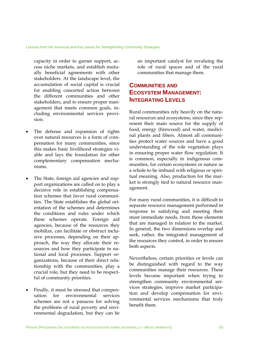capacity in order to garner support, access niche markets, and establish mutually beneficial agreements with other stakeholders. At the landscape level, the accumulation of social capital is crucial for enabling concerted action between the different communities and other stakeholders, and to ensure proper management that meets common goals, including environmental services provision.

- The defense and expansion of rights over natural resources is a form of compensation for many communities, since this makes basic livelihood strategies viable and lays the foundation for other complementary compensation mechanisms.
- The State, foreign aid agencies and support organizations are called on to play a decisive role in establishing compensation schemes that favor rural communities. The State establishes the global orientation of the schemes and determines the conditions and rules under which these schemes operate. Foreign aid agencies, because of the resources they mobilize, can facilitate or obstruct inclusive processes, depending on their approach, the way they allocate their resources and how they participate in national and local processes. Support organizations, because of their direct relationship with the communities, play a crucial role, but they need to be respectful of community priorities.
- Finally, it must be stressed that compensation for environmental services schemes are not a panacea for solving the problems of rural poverty and environmental degradation, but they can be

an important catalyst for revaluing the role of rural spaces and of the rural communities that manage them.

# **COMMUNITIES AND ECOSYSTEM MANAGEMENT: INTEGRATING LEVELS**

Rural communities rely heavily on the natural resources and ecosystems, since they represent their main source for the supply of food, energy (firewood) and water, medicinal plants and fibers. Almost all communities protect water sources and have a good understanding of the role vegetation plays in ensuring proper water flow regulation. It is common, especially in indigenous communities, for certain ecosystems or nature as a whole to be imbued with religious or spiritual meaning. Also, production for the market is strongly tied to natural resource management.

For many rural communities, it is difficult to separate resource management performed in response to satisfying and meeting their most immediate needs, from those elements that are managed in relation to the market. In general, the two dimensions overlap and seek, rather, the integrated management of the resources they control, in order to ensure both aspects.

Nevertheless, certain priorities or levels can be distinguished with regard to the way communities manage their resources. These levels become important when trying to strengthen community environmental services strategies, improve market participation and develop compensation for environmental services mechanisms that truly benefit them.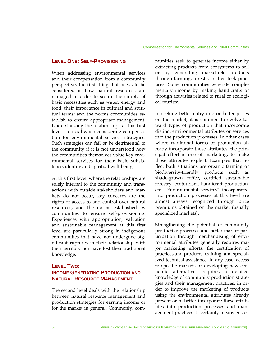#### **LEVEL ONE: SELF-PROVISIONING**

When addressing environmental services and their compensation from a community perspective, the first thing that needs to be considered is how natural resources are managed in order to secure the supply of basic necessities such as water, energy and food; their importance in cultural and spiritual terms; and the norms communities establish to ensure appropriate management. Understanding the relationships at this first level is crucial when considering compensation for environmental services strategies. Such strategies can fail or be detrimental to the community if it is not understood how the communities themselves value key environmental services for their basic subsistence, identity and spiritual well-being.

At this first level, where the relationships are solely internal to the community and transactions with outside stakeholders and markets do not occur, key concerns are the rights of access to and control over natural resources, and the norms established by communities to ensure self-provisioning. Experiences with appropriation, valuation and sustainable management at this first level are particularly strong in indigenous communities that have not undergone significant ruptures in their relationship with their territory nor have lost their traditional knowledge.

# **LEVEL TWO: INCOME GENERATING PRODUCTION AND NATURAL RESOURCE MANAGEMENT**

The second level deals with the relationship between natural resource management and production strategies for earning income or for the market in general. Commonly, com-

munities seek to generate income either by extracting products from ecosystems to sell or by generating marketable products through farming, forestry or livestock practices. Some communities generate complementary income by making handicrafts or through activities related to rural or ecological tourism.

In seeking better entry into or better prices on the market, it is common to evolve toward types of production that incorporate distinct environmental attributes or services into the production processes. In other cases where traditional forms of production already incorporate those attributes, the principal effort is one of marketing, to make those attributes explicit. Examples that reflect both situations are organic farming or biodiversity-friendly products such as shade-grown coffee, certified sustainable forestry, ecotourism, handicraft production, etc. "Environmental services" incorporated into production processes at this level are almost always recognized through price premiums obtained on the market (usually specialized markets).

Strengthening the potential of community productive processes and better market participation through merchandising of environmental attributes generally requires major marketing efforts, the certification of practices and products, training, and specialized technical assistance. In any case, access to specific markets or developing new economic alternatives requires a detailed knowledge of community production strategies and their management practices, in order to improve the marketing of products using the environmental attributes already present or to better incorporate these attributes into production processes and management practices. It certainly means ensur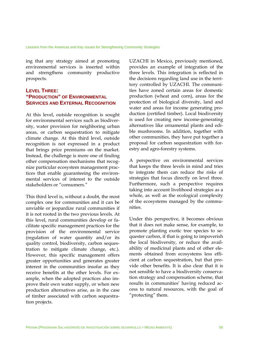ing that any strategy aimed at promoting environmental services is inserted within and strengthens community productive prospects.

# **LEVEL THREE: "PRODUCTION" OF ENVIRONMENTAL SERVICES AND EXTERNAL RECOGNITION**

At this level, outside recognition is sought for environmental services such as biodiversity, water provision for neighboring urban areas, or carbon sequestration to mitigate climate change. At this third level, outside recognition is not expressed in a product that brings price premiums on the market. Instead, the challenge is more one of finding other compensation mechanisms that recognize particular ecosystem management practices that enable guaranteeing the environmental services of interest to the outside stakeholders or "consumers."

This third level is, without a doubt, the most complex one for communities and it can be unviable or jeopardize rural communities if it is not rooted in the two previous levels. At this level, rural communities develop or facilitate specific management practices for the provision of the environmental service (regulation of water quantity and/or its quality control, biodiversity, carbon sequestration to mitigate climate change, etc.). However, this specific management offers greater opportunities and generates greater interest in the communities insofar as they receive benefits at the other levels. For example, when the adopted practices also improve their own water supply, or when new production alternatives arise, as in the case of timber associated with carbon sequestration projects.

UZACHI in Mexico, previously mentioned, provides an example of integration of the three levels. This integration is reflected in the decisions regarding land use in the territory controlled by UZACHI. The communities have zoned certain areas for domestic production (wheat and corn), areas for the protection of biological diversity, land and water and areas for income generating production (certified timber). Local biodiversity is used for creating new income-generating alternatives like ornamental plants and edible mushrooms. In addition, together with other communities, they have put together a proposal for carbon sequestration with forestry and agro-forestry systems.

A perspective on environmental services that keeps the three levels in mind and tries to integrate them can reduce the risks of strategies that focus directly on level three. Furthermore, such a perspective requires taking into account livelihood strategies as a whole, as well as the ecological complexity of the ecosystems managed by the communities.

Under this perspective, it becomes obvious that it does not make sense, for example, to promote planting exotic tree species to sequester carbon, if that is going to impoverish the local biodiversity, or reduce the availability of medicinal plants and of other elements obtained from ecosystems less efficient at carbon sequestration, but that provide other benefits. It is also clear that it is not sensible to have a biodiversity conservation strategy and compensation scheme, that results in communities' having reduced access to natural resources, with the goal of "protecting" them.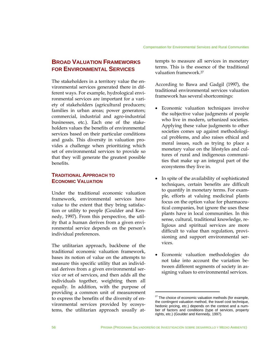# **BROAD VALUATION FRAMEWORKS FOR ENVIRONMENTAL SERVICES**

The stakeholders in a territory value the environmental services generated there in different ways. For example, hydrological environmental services are important for a variety of stakeholders (agricultural producers; families in urban areas; power generators; commercial, industrial and agro-industrial businesses, etc.). Each one of the stakeholders values the benefits of environmental services based on their particular conditions and goals. This diversity in valuation provides a challenge when prioritizing which set of environmental services to provide so that they will generate the greatest possible benefits.

# **TRADITIONAL APPROACH TO ECONOMIC VALUATION**

Under the traditional economic valuation framework, environmental services have value to the extent that they bring satisfaction or utility to people (Goulder and Kennedy, 1997). From this perspective, the utility that a human derives from a given environmental service depends on the person's individual preferences.

The utilitarian approach, backbone of the traditional economic valuation framework, bases its notion of value on the attempts to measure this specific utility that an individual derives from a given environmental service or set of services, and then adds all the individuals together, weighting them all equally. In addition, with the purpose of providing a common unit of measurement to express the benefits of the diversity of environmental services provided by ecosystems, the utilitarian approach usually attempts to measure all services in monetary terms. This is the essence of the traditional valuation framework.27

According to Bawa and Gadgil (1997), the traditional environmental services valuation framework has several shortcomings:

- Economic valuation techniques involve the subjective value judgments of people who live in modern, urbanized societies. Applying these value judgments to other societies comes up against methodological problems, and also raises ethical and moral issues, such as trying to place a monetary value on the lifestyles and cultures of rural and indigenous communities that make up an integral part of the ecosystems they live in.
- In spite of the availability of sophisticated techniques, certain benefits are difficult to quantify in monetary terms. For example, efforts at valuing medicinal plants focus on the option value for pharmaceutical companies, but ignore the uses these plants have in local communities. In this sense, cultural, traditional knowledge, religious and spiritual services are more difficult to value than regulation, provisioning and support environmental services.
- Economic valuation methodologies do not take into account the variation between different segments of society in assigning values to environmental services.

 $27$  The choice of economic valuation methods (for example, the contingent valuation method, the travel cost technique, hedonic pricing, etc.) depends on the context and a number of factors and conditions (type of services, property rights, etc.) (Goulder and Kennedy, 1997).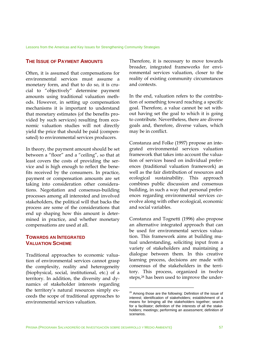#### **THE ISSUE OF PAYMENT AMOUNTS**

Often, it is assumed that compensations for environmental services must assume a monetary form, and that to do so, it is crucial to "objectively" determine payment amounts using traditional valuation methods. However, in setting up compensation mechanisms it is important to understand that monetary estimates (of the benefits provided by such services) resulting from economic valuation studies will not directly yield the price that should be paid (compensated) to environmental services producers.

In theory, the payment amount should be set between a "floor" and a "ceiling", so that at least covers the costs of providing the service and is high enough to reflect the benefits received by the consumers. In practice, payment or compensation amounts are set taking into consideration other considerations. Negotiation and consensus-building processes among all interested and involved stakeholders, the political will that backs the process are some of the considerations that end up shaping how this amount is determined in practice, and whether monetary compensations are used at all.

## **TOWARDS AN INTEGRATED VALUATION SCHEME**

Traditional approaches to economic valuation of environmental services cannot grasp the complexity, reality and heterogeneity (biophysical, social, institutional, etc.) of a territory. In addition, the diversity and dynamics of stakeholder interests regarding the territory's natural resources simply exceeds the scope of traditional approaches to environmental services valuation.

Therefore, it is necessary to move towards broader, integrated frameworks for environmental services valuation, closer to the reality of existing community circumstances and contexts.

In the end, valuation refers to the contribution of something toward reaching a specific goal. Therefore, a value cannot be set without having set the goal to which it is going to contribute. Nevertheless, there are diverse goals and, therefore, diverse values, which may be in conflict.

Constanza and Folke (1997) propose an integrated environmental services valuation framework that takes into account the valuation of services based on individual preferences (traditional valuation framework) as well as the fair distribution of resources and ecological sustainability. This approach combines public discussion and consensus building, in such a way that personal preferences regarding environmental services coevolve along with other ecological, economic and social variables.

Constanza and Tognetti (1996) also propose an alternative integrated approach that can be used for environmental services valuation. This framework aims at building mutual understanding, soliciting input from a variety of stakeholders and maintaining a dialogue between them. In this creative learning process, decisions are made with consensus of the stakeholders in the territory. This process, organized in twelve steps,28 has been used to improve the under-

<sup>&</sup>lt;sup>28</sup> Among those are the following: Definition of the issue of interest; identification of stakeholders; establishment of a means for bringing all the stakeholders together; search for a facilitator; definition of the interests of all the stakeholders; meetings; performing an assessment; definition of scenarios.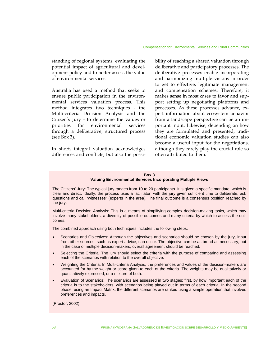standing of regional systems, evaluating the potential impact of agricultural and development policy and to better assess the value of environmental services.

Australia has used a method that seeks to ensure public participation in the environmental services valuation process. This method integrates two techniques - the Multi-criteria Decision Analysis and the Citizen's Jury - to determine the values or priorities for environmental services through a deliberative, structured process (see Box 3).

In short, integral valuation acknowledges differences and conflicts, but also the possibility of reaching a shared valuation through deliberative and participatory processes. The deliberative processes enable incorporating and harmonizing multiple visions in order to get to effective, legitimate management and compensation schemes. Therefore, it makes sense in most cases to favor and support setting up negotiating platforms and processes. As these processes advance, expert information about ecosystem behavior from a landscape perspective can be an important input. Likewise, depending on how they are formulated and presented, traditional economic valuation studies can also become a useful input for the negotiations, although they rarely play the crucial role so often attributed to them.

#### **Box 3 Valuing Environmental Services Incorporating Multiple Views**

The Citizens' Jury: The typical jury ranges from 10 to 20 participants. It is given a specific mandate, which is clear and direct. Ideally, the process uses a facilitator, with the jury given sufficient time to deliberate, ask questions and call "witnesses" (experts in the area). The final outcome is a consensus position reached by the jury.

Multi-criteria Decision Analysis: This is a means of simplifying complex decision-making tasks, which may involve many stakeholders, a diversity of possible outcomes and many criteria by which to assess the outcomes.

The combined approach using both techniques includes the following steps:

- Scenarios and Objectives: Although the objectives and scenarios should be chosen by the jury, input from other sources, such as expert advice, can occur. The objective can be as broad as necessary, but in the case of multiple decision-makers, overall agreement should be reached.
- Selecting the Criteria: The jury should select the criteria with the purpose of comparing and assessing each of the scenarios with relation to the overall objective.
- Weighting the Criteria: In Multi-criteria Analysis, the preferences and values of the decision-makers are accounted for by the weight or score given to each of the criteria. The weights may be qualitatively or quantitatively expressed, or a mixture of both.
- Evaluation of Scenarios: The scenarios are assessed in two stages: first, by how important each of the criteria is to the stakeholders, with scenarios being played out in terms of each criteria. In the second phase, using an Impact Matrix, the different scenarios are ranked using a simple operation that involves preferences and impacts.

(Proctor, 2002)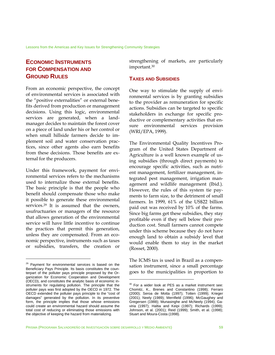Lessons from the Americas and Key Issues for Strengthening Community Strategies

# **ECONOMIC INSTRUMENTS FOR COMPENSATION AND GROUND RULES**

From an economic perspective, the concept of environmental services is associated with the "positive externalities" or external benefits derived from production or management decisions. Using this logic, environmental services are generated, when a landmanager decides to maintain the forest cover on a piece of land under his or her control or when small hillside farmers decide to implement soil and water conservation practices, since other agents also earn benefits from these decisions. Those benefits are external for the producers.

Under this framework, payment for environmental services refers to the mechanisms used to internalize those external benefits. The basic principle is that the people who benefit should compensate those who make it possible to generate these environmental services.29 It is assumed that the owners, usufructuaries or managers of the resource that allows generation of the environmental service will have little incentive to continue the practices that permit this generation, unless they are compensated. From an economic perspective, instruments such as taxes or subsidies, transfers, the creation or

1

strengthening of markets, are particularly important.30

#### **TAXES AND SUBSIDIES**

One way to stimulate the supply of environmental services is by granting subsidies to the provider as remuneration for specific actions. Subsidies can be targeted to specific stakeholders in exchange for specific productive or complementary activities that ensure environmental services provision (WRI/EPA, 1999).

The Environmental Quality Incentives Program of the United States Department of Agriculture is a well known example of using subsidies (through direct payments) to encourage specific activities, such as nutrient management, fertilizer management, integrated pest management, irrigation management and wildlife management (Ibid.). However, the rules of this system tie payments to farm size, to the detriment of small farmers. In 1999, 61% of the US\$22 billion paid out was received by 10% of the farms. Since big farms get these subsidies, they stay profitable even if they sell below their production cost. Small farmers cannot compete under this scheme because they do not have enough land to obtain a subsidy level that would enable them to stay in the market (Rosset, 2000).

The ICMS tax is used in Brazil as a compensation instrument, since a small percentage goes to the municipalities in proportion to

<sup>&</sup>lt;sup>29</sup> Payment for environmental services is based on the Beneficiary Pays Principle. Its basis constitutes the counterpart of the polluter pays principle proposed by the Organization for Economic Cooperation and Development (OECD), and constitutes the analytic basis of economic instruments for regulating pollution. The principle that the polluter pays was first adopted by the OECD in 1972. The OECD extended the polluter pays principle to the "cost of damages" generated by the pollution. In its preventive form, the principle implies that those whose emissions could create an environmental hazard should assume the total cost of reducing or eliminating those emissions with the objective of keeping the hazard from materializing.

<sup>&</sup>lt;sup>30</sup> For a wider look at PES as a market instrument see: Chomitz, K., Brenes and Constantino (1998); Ferraro (2000); Seroa de Motta (1997); Totten (1999); Krieger (2001); Neely (1989); Merrifield (1996); McGaughey and Gregersen (1988); Munasinghe and McNeely (1994); Gaviria (1997); Haltia and Keipi (1997); Richards (1999); Johnson, et al. (2001); Reid (1999); Smith, et al. (1998); Stuart and Moura-Costa (1998).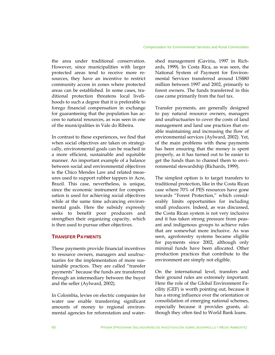the area under traditional conservation. However, since municipalities with larger protected areas tend to receive more resources, they have an incentive to restrict community access in zones where protected areas can be established. In some cases, traditional protection threatens local livelihoods to such a degree that it is preferable to forego financial compensation in exchange for guaranteeing that the population has access to natural resources, as was seen in one of the municipalities in Vale do Ribeira.

In contrast to these experiences, we find that when social objectives are taken on strategically, environmental goals can be reached in a more efficient, sustainable and equitable manner. An important example of a balance between social and environmental objectives is the Chico Mendes Law and related measures used to support rubber tappers in Acre, Brazil. This case, nevertheless, is unique, since the economic instrument for compensation is used for achieving social objectives while at the same time advancing environmental goals. Here the subsidy expressly seeks to benefit poor producers and strengthen their organizing capacity, which is then used to pursue other objectives.

#### **TRANSFER PAYMENTS**

These payments provide financial incentives to resource owners, managers and usufructuaries for the implementation of more sustainable practices. They are called "transfer payments" because the funds are transferred through an intermediary between the buyer and the seller (Aylward, 2002).

In Colombia, levies on electric companies for water use enable transferring significant amounts of money to regional environmental agencies for reforestation and watershed management (Gaviria, 1997 in Richards, 1999). In Costa Rica, as was seen, the National System of Payment for Environmental Services transferred around US\$80 million between 1997 and 2002, primarily to forest owners. The funds transferred in this case came primarily from the fuel tax.

Transfer payments, are generally designed to pay natural resource owners, managers and usufructuaries to cover the costs of land management and land use practices that enable maintaining and increasing the flow of environmental services (Aylward, 2002). Yet, of the main problems with these payments has been ensuring that the money is spent properly, as it has turned out to be easier to get the funds than to channel them to environmental stewardship (Richards, 1999).

The simplest option is to target transfers to traditional protection, like in the Costa Rican case where 70% of PES resources have gone towards "Forest Protection," which considerably limits opportunities for including small producers. Indeed, as was discussed, the Costa Rican system is not very inclusive and it has taken strong pressure from peasant and indigenous groups to achieve rules that are somewhat more inclusive. As was seen, agroforestry systems became eligible for payments since 2002, although only minimal funds have been allocated. Other production practices that contribute to the environment are simply not eligible.

On the international level, transfers and their ground rules are extremely important. Here the role of the Global Environment Facility (GEF) is worth pointing out, because it has a strong influence over the orientation or consolidation of emerging national schemes, especially because it provides grants, although they often tied to World Bank loans.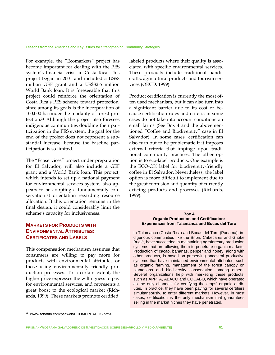For example, the "Ecomarkets" project has become important for dealing with the PES system's financial crisis in Costa Rica. This project began in 2001 and included a US\$8 million GEF grant and a US\$32.6 million World Bank loan. It is foreseeable that this project could reinforce the orientation of Costa Rica's PES scheme toward protection, since among its goals is the incorporation of 100,000 ha under the modality of forest protection.31 Although the project also foresees indigenous communities doubling their participation in the PES system, the goal for the end of the project does not represent a substantial increase, because the baseline participation is so limited.

The "Ecoservices" project under preparation for El Salvador, will also include a GEF grant and a World Bank loan. This project, which intends to set up a national payment for environmental services system, also appears to be adopting a fundamentally conservationist orientation regarding resource allocation. If this orientation remains in the final design, it could considerably limit the scheme's capacity for inclusiveness.

# **MARKETS FOR PRODUCTS WITH ENVIRONMENTAL ATTRIBUTES: CERTIFICATES AND LABELS**

This compensation mechanism assumes that consumers are willing to pay more for products with environmental attributes or those using environmentally friendly production processes. To a certain extent, the higher price expresses the willingness to pay for environmental services, and represents a great boost to the ecological market (Richards, 1999). These markets promote certified,

labeled products where their quality is associated with specific environmental services. These products include traditional handicrafts, agricultural products and tourism services (OECD, 1999).

Product certification is currently the most often used mechanism, but it can also turn into a significant barrier due to its cost or because certification rules and criteria in some cases do not take into account conditions on small farms (See Box 4 and the abovementioned "Coffee and Biodiversity" case in El Salvador). In some cases, certification can also turn out to be problematic if it imposes external criteria that impinge upon traditional community practices. The other option is to eco-label products. One example is the ECO-OK label for biodiversity-friendly coffee in El Salvador. Nevertheless, the label option is more difficult to implement due to the great confusion and quantity of currently existing products and processes (Richards, 1999).

#### **Box 4 Organic Production and Certification: Experiences from Talamanca and Bocas del Toro**

In Talamanca (Costa Rica) and Bocas del Toro (Panama), indigenous communities like the Bribri, Cabécares and Gnöbe Buglé, have succeeded in maintaining agroforestry production systems that are allowing them to penetrate organic markets. Production of cacao, bananas, pepper and honey, along with other products, is based on preserving ancestral productive systems that have maintained environmental attributes, such as organic farming, management of the forest canopy on plantations and biodiversity conservation, among others. Several organizations help with marketing these products, such as APPTA, ABACO and COCABO, which have operated as the only channels for certifying the crops' organic attributes. In practice, they have been paying for several certifiers simultaneously, to enter different markets. However, in most cases, certification is the only mechanism that guarantees selling in the market niches they have penetrated.

<u>.</u>

PRISMA (PROGRAMA SALVADOREÑO DE INVESTIGACIÓN SOBRE DESARROLLO Y MEDIO AMBIENTE) 61

<sup>31 &</sup>lt;www.fonafifo.com/psaweb/ECOMERCADOS.htm>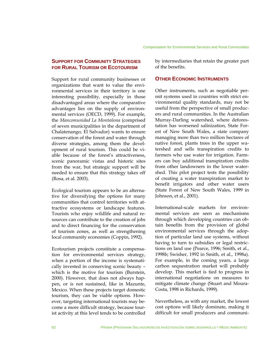## **SUPPORT FOR COMMUNITY STRATEGIES FOR RURAL TOURISM OR ECOTOURISM**

Support for rural community businesses or organizations that want to value the environmental services in their territory is one interesting possibility, especially in those disadvantaged areas where the comparative advantages lies on the supply of environmental services (OECD, 1999). For example, the *Mancomunidad La Montañona* (comprised of seven municipalities in the department of Chalatenango, El Salvador) wants to ensure conservation of the forest and water through diverse strategies, among them the development of rural tourism. This could be viable because of the forest's attractiveness, scenic panoramic vistas and historic sites from the war, but strategic support will be needed to ensure that this strategy takes off (Rosa, et al. 2003).

Ecological tourism appears to be an alternative for diversifying the options for many communities that control territories with attractive ecosystems or landscape features. Tourists who enjoy wildlife and natural resources can contribute to the creation of jobs and to direct financing for the conservation of tourism zones, as well as strengthening local community economies (Coppin, 1992).

Ecotourism projects constitute a compensation for environmental services strategy, when a portion of the income is systematically invested in conserving scenic beauty – which is the motive for tourism (Burstein, 2000). However, that does not always happen, or is not sustained, like in Mazunte, Mexico. When these projects target domestic tourism, they can be viable options. However, targeting international tourists may become a more difficult strategy, because tourist activity at this level tends to be controlled

by intermediaries that retain the greater part of the benefits.

#### **OTHER ECONOMIC INSTRUMENTS**

Other instruments, such as negotiable permit systems used in countries with strict environmental quality standards, may not be useful from the perspective of small producers and rural communities. In the Australian Murray-Darling watershed, where deforestation has worsened salinization, State Forest of New South Wales, a state company managing more than two million hectares of native forest, plants trees in the upper watershed and sells transpiration credits to farmers who use water for irrigation. Farmers can buy additional transpiration credits from other landowners in the lower watershed. This pilot project tests the possibility of creating a water transpiration market to benefit irrigators and other water users (State Forest of New South Wales, 1999 in Johnson, et al., 2001).

International-scale markets for environmental services are seen as mechanisms through which developing countries can obtain benefits from the provision of global environmental services through the adoption of particular land use systems, without having to turn to subsidies or legal restrictions on land use (Pearce, 1996; Smith, et al., 1998b; Swisher, 1992 in Smith, et al., 1998a). For example, in the coming years, a large carbon sequestration market will probably develop. This market is tied to progress in international negotiations on measures to mitigate climate change (Stuart and Moura-Costa, 1998 in Richards, 1999).

Nevertheless, as with any market, the lowest cost options will likely dominate, making it difficult for small producers and communi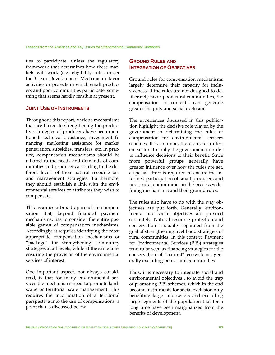ties to participate, unless the regulatory framework that determines how these markets will work (e.g. eligibility rules under the Clean Development Mechanism) favor activities or projects in which small producers and poor communities participate, something that seems hardly feasible at present.

#### **JOINT USE OF INSTRUMENTS**

Throughout this report, various mechanisms that are linked to strengthening the productive strategies of producers have been mentioned: technical assistance, investment financing, marketing assistance for market penetration, subsidies, transfers, etc. In practice, compensation mechanisms should be tailored to the needs and demands of communities and producers according to the different levels of their natural resource use and management strategies. Furthermore, they should establish a link with the environmental services or attributes they wish to compensate.

This assumes a broad approach to compensation that, beyond financial payment mechanisms, has to consider the entire possible gamut of compensation mechanisms. Accordingly, it requires identifying the most appropriate compensation mechanisms or "package" for strengthening community strategies at all levels, while at the same time ensuring the provision of the environmental services of interest.

One important aspect, not always considered, is that for many environmental services the mechanisms need to promote landscape or territorial scale management. This requires the incorporation of a territorial perspective into the use of compensations, a point that is discussed below.

## **GROUND RULES AND INTEGRATION OF OBJECTIVES**

Ground rules for compensation mechanisms largely determine their capacity for inclusiveness. If the rules are not designed to deliberately favor poor, rural communities, the compensation instruments can generate greater inequity and social exclusion.

The experiences discussed in this publication highlight the decisive role played by the government in determining the rules of compensation for environmental services schemes. It is common, therefore, for different sectors to lobby the government in order to influence decisions to their benefit. Since more powerful groups generally have greater influence over how the rules are set, a special effort is required to ensure the informed participation of small producers and poor, rural communities in the processes defining mechanisms and their ground rules.

The rules also have to do with the way objectives are put forth. Generally, environmental and social objectives are pursued separately. Natural resource protection and conservation is usually separated from the goal of strengthening livelihood strategies of rural communities. In this context, Payment for Environmental Services (PES) strategies tend to be seen as financing strategies for the conservation of "natural" ecosystems, generally excluding poor, rural communities.

Thus, it is necessary to integrate social and environmental objectives , to avoid the trap of promoting PES schemes, which in the end become instruments for social exclusion only benefiting large landowners and excluding large segments of the population that for a long time have been marginalized from the benefits of development.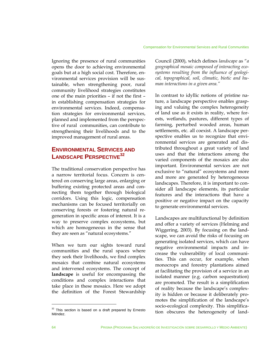Ignoring the presence of rural communities opens the door to achieving environmental goals but at a high social cost. Therefore, environmental services provision will be sustainable, when strengthening poor, rural community livelihood strategies constitutes one of the main priorities – if not the first – in establishing compensation strategies for environmental services. Indeed, compensation strategies for environmental services, planned and implemented from the perspective of rural communities, can contribute to strengthening their livelihoods and to the improved management of rural areas.

# **ENVIRONMENTAL SERVICES AND LANDSCAPE PERSPECTIVE<sup>32</sup>**

The traditional conservation perspective has a narrow territorial focus. Concern is centered on conserving large areas, enlarging or buffering existing protected areas and connecting them together through biological corridors. Using this logic, compensation mechanisms can be focused territorially on conserving forests or fostering natural regeneration in specific areas of interest. It is a way to preserve complex ecosystems, but which are homogeneous in the sense that they are seen as "natural ecosystems."

When we turn our sights toward rural communities and the rural spaces where they seek their livelihoods, we find complex mosaics that combine natural ecosystems and intervened ecosystems. The concept of **landscape** is useful for encompassing the conditions and complex interactions that take place in these mosaics. Here we adopt the definition of the Forest Stewardship

Council (2000), which defines *landscape* as "*a geographical mosaic composed of interacting ecosystems resulting from the influence of geological, topographical, soil, climatic, biotic and human interactions in a given area."*

In contrast to idyllic notions of pristine nature, a landscape perspective enables grasping and valuing the complex heterogeneity of land use as it exists in reality, where forests, wetlands, pastures, different types of farming, perturbed wooded areas, human settlements, etc. all coexist. A landscape perspective enables us to recognize that environmental services are generated and distributed throughout a great variety of land uses and that the interactions among the varied components of the mosaics are also important. Environmental services are not exclusive to "natural" ecosystems and more and more are generated by heterogeneous landscapes. Therefore, it is important to consider all landscape elements, its particular features and the interactions that have a positive or negative impact on the capacity to generate environmental services.

Landscapes are multifunctional by definition and offer a variety of services (Helming and Wiggering, 2003). By focusing on the landscape, we can avoid the risks of focusing on generating isolated services, which can have negative environmental impacts and increase the vulnerability of local communities. This can occur, for example, when monocrops and forestry plantations aimed at facilitating the provision of a service in an isolated manner (e.g. carbon sequestration) are promoted. The result is a simplification of reality because the landscape's complexity is hidden or because it deliberately promotes the simplification of the landscape's socio-ecological complexity. This simplification obscures the heterogeneity of land-

 $32$  This section is based on a draft prepared by Ernesto Méndez.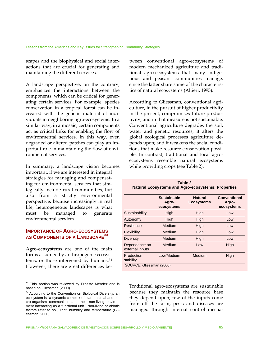scapes and the biophysical and social interactions that are crucial for generating and maintaining the different services.

A landscape perspective, on the contrary, emphasizes the interactions between the components, which can be critical for generating certain services. For example, species conservation in a tropical forest can be increased with the genetic material of individuals in neighboring agro-ecosystems. In a similar way, in a mosaic, certain components act as critical links for enabling the flow of environmental services. In this way, even degraded or altered patches can play an important role in maintaining the flow of environmental services.

In summary, a landscape vision becomes important, if we are interested in integral strategies for managing and compensating for environmental services that strategically include rural communities, but also from a strictly environmental perspective, because increasingly in real life, heterogeneous landscapes is what must be managed to generate environmental services.

#### **IMPORTANCE OF AGRO-ECOSYSTEMS AS COMPONENTS OF A LANDSCAPE<sup>33</sup>**

**Agro-ecosystems** are one of the main forms assumed by anthropogenic ecosystems, or those intervened by humans.<sup>34</sup> However, there are great differences be-

<u>.</u>

tween conventional agro-ecosystems of modern mechanized agriculture and traditional agro-ecosystems that many indigenous and peasant communities manage, since the latter share some of the characteristics of natural ecosystems (Altieri, 1995).

According to Gliessman, conventional agriculture, in the pursuit of higher productivity in the present, compromises future productivity, and in that measure is not sustainable. Conventional agriculture degrades the soil, water and genetic resources; it alters the global ecological processes agriculture depends upon; and it weakens the social conditions that make resource conservation possible. In contrast, traditional and local agroecosystems resemble natural ecosystems while providing crops (see Table 2).

| Table 2<br><b>Natural Ecosystems and Agro-ecosystems: Properties</b> |                                           |                                     |                                     |  |
|----------------------------------------------------------------------|-------------------------------------------|-------------------------------------|-------------------------------------|--|
|                                                                      | <b>Sustainable</b><br>Agro-<br>ecosystems | <b>Natural</b><br><b>Ecosystems</b> | Conventional<br>Agro-<br>ecosystems |  |
| Sustainability                                                       | High                                      | High                                | l ow                                |  |
| Autonomy                                                             | High                                      | High                                | Low                                 |  |
| Resilience                                                           | Medium                                    | High                                | Low                                 |  |
| Flexibility                                                          | Medium                                    | High                                | Low                                 |  |
| <b>Diversity</b>                                                     | Medium                                    | High                                | Low                                 |  |
| Dependence on<br>external inputs                                     | Medium                                    | Low                                 | High                                |  |
| Production<br>stability                                              | Low/Medium                                | Medium                              | High                                |  |
| SOURCE: Gliessman (2000)                                             |                                           |                                     |                                     |  |

Traditional agro-ecosystems are sustainable because they maintain the resource base they depend upon; few of the inputs come from off the farm, pests and diseases are managed through internal control mecha-

<sup>&</sup>lt;sup>33</sup> This section was reviewed by Ernesto Méndez and is based on Gliessman (2000).

<sup>&</sup>lt;sup>34</sup> According to the Convention on Biological Diversity, an ecosystem is "a dynamic complex of plant, animal and micro-organism communities and their non-living environment interacting as a functional unit." Non-living or abiotic factors refer to soil, light, humidity and temperature (Gliessman, 2000).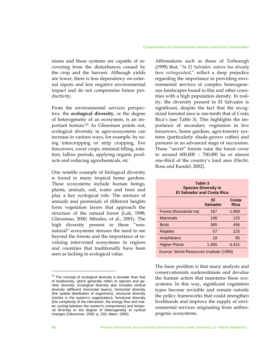#### Compensation for Environmental Services and Rural Communities

nisms and these systems are capable of recovering from the disturbances caused by the crop and the harvest. Although yields are lower, there is less dependency on external inputs and less negative environmental impact and do not compromise future productivity.

From the environmental services perspective, the **ecological diversity**, or the degree of heterogeneity of an ecosystem, is an important feature.35 As Gliessman points out, ecological diversity in agro-ecosystems can increase in various ways, for example, by using intercropping or strip cropping, live fencerows, cover crops, minimal tilling, rotation, fallow periods, applying organic products and reducing agrochemicals, etc

One notable example of biological diversity is found in many tropical home gardens. These ecosystems include human beings, plants, animals, soil, water and trees and play a key ecological role. The mixture of annuals and perennials of different heights form vegetation layers that approach the structure of the natural forest (Lok, 1998; Gliessman, 2000; Méndez, et al., 2001). The high diversity present in these "nonnatural" ecosystems stresses the need to see beyond the forests and the importance of revaluing intervened ecosystems in regions and countries that traditionally have been seen as lacking in ecological value.

Affirmations such as those of Terbourgh (1999) that, "*In El Salvador, nature has already been extinguished*," reflect a deep prejudice regarding the importance in providing environmental services of complex heterogeneous landscapes found in this and other countries with a high population density. In reality, the diversity present in El Salvador is significant, despite the fact that the recognized forested area is one-tenth that of Costa Rica's (see Table 3). This highlights the importance of secondary vegetation in live fencerows, home gardens, agro-forestry systems (particularly shade-grown coffee) and pastures in an advanced stage of succession. These "secret" forests raise the forest cover to around 600,000 – 700,000 ha or almost one-third of the country's land area (Hecht, Rosa and Kandel, 2002).

| Table 3<br><b>Species Diversity in</b><br><b>El Salvador and Costa Rica</b> |                       |                      |  |
|-----------------------------------------------------------------------------|-----------------------|----------------------|--|
|                                                                             | FI<br><b>Salvador</b> | Costa<br><b>Rica</b> |  |
| Forest (thousands ha)                                                       | 167                   | 1,569                |  |
| <b>Mammals</b>                                                              | 106                   | 120                  |  |
| <b>Birds</b>                                                                | 365                   | 496                  |  |
| <b>Reptiles</b>                                                             | 57                    | 125                  |  |
| Amphibians                                                                  | 18                    | 95                   |  |
| <b>Higher Plants</b>                                                        | 1,956                 | 6,421                |  |
| Source: World Resources Institute (1996)                                    |                       |                      |  |

The basic problem is that many analysts and conservationists underestimate and devalue the human action that maintains these ecosystems. In this way, significant vegetation types become invisible and remain outside the policy frameworks that could strengthen livelihoods and improve the supply of environmental services originating from anthropogenic ecosystems.

 $\overline{a}$ 

 $35$  The concept of ecological diversity is broader than that of biodiversity, which generally refers to species and genetic diversity. Ecological diversity also includes vertical diversity (different horizontal layers), horizontal diversity (the spatial distribution of organisms), structural diversity (niches in the system's organization), functional diversity (the complexity of the interaction, the energy flow and matter cycling between the system's components) and temporal diversity or the degree of heterogeneity of cyclical changes (Gliessman, 2000, p. 230; Altieri, 1995).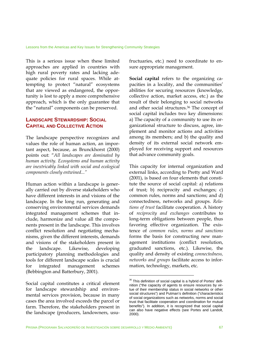This is a serious issue when these limited approaches are applied in countries with high rural poverty rates and lacking adequate policies for rural spaces. While attempting to protect "natural" ecosystems that are viewed as endangered, the opportunity is lost to apply a more comprehensive approach, which is the only guarantee that the "natural" components can be preserved.

#### **LANDSCAPE STEWARDSHIP: SOCIAL CAPITAL AND COLLECTIVE ACTION**

The landscape perspective recognizes and values the role of human action, an important aspect, because, as Brunckhorst (2000) points out: "*All landscapes are dominated by human activity. Ecosystems and human activity are inextricably linked with social and ecological components closely entwined..."* 

Human action within a landscape is generally carried out by diverse stakeholders who have different interests in and visions of the landscape. In the long run, generating and conserving environmental services demands integrated management schemes that include, harmonize and value all the components present in the landscape. This involves conflict resolution and negotiating mechanisms, given the different interests, demands and visions of the stakeholders present in the landscape. Likewise, developing participatory planning methodologies and tools for different landscape scales is crucial for integrated management schemes (Bebbington and Batterbury, 2001).

Social capital constitutes a critical element for landscape stewardship and environmental services provision, because in many cases the area involved exceeds the parcel or farm. Therefore, the stakeholders present in the landscape (producers, landowners, usufructuaries, etc.) need to coordinate to ensure appropriate management.

**Social capital** refers to the organizing capacities in a locality, and the communities' abilities for securing resources (knowledge, collective action, market access, etc.) as the result of their belonging to social networks and other social structures.36 The concept of social capital includes two key dimensions: a) The capacity of a community to use its organizational structure to discuss, agree, implement and monitor actions and activities among its members; and b) the quality and density of its external social network employed for receiving support and resources that advance community goals.

This capacity for internal organization and external links, according to Pretty and Ward (2001), is based on four elements that constitute the source of social capital: a) relations of trust; b) reciprocity and exchanges; c) common rules, norms and sanctions; and d) connectedness, networks and groups. *Relations of trust* facilitate cooperation. A history of *reciprocity and exchanges* contributes to long-term obligations between people, thus favoring effective organization. The existence of *common rules, norms and sanctions* forms the basis for constructing new management institutions (conflict resolution, graduated sanctions, etc.). Likewise, the quality and density of existing *connectedness, networks and groups* facilitate access to information, technology, markets, etc.

<sup>&</sup>lt;sup>36</sup> This definition of social capital is a hybrid of Portes' definition ("the capacity of agents to ensure resources by virtue of their membership status in social networks or other social structures") and Putman's definition ("characteristics of social organizations such as networks, norms and social trust that facilitate cooperation and coordination for mutual benefits"). In addition, it is recognized that social capital can also have negative effects (see Portes and Landolt, 2000).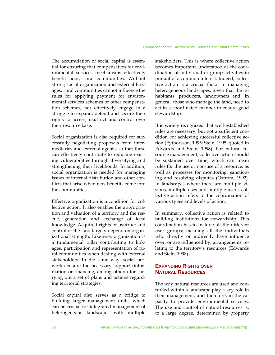The accumulation of social capital is essential for ensuring that compensation for environmental services mechanisms effectively benefit poor, rural communities. Without strong social organization and external linkages, rural communities cannot influence the rules for applying payment for environmental services schemes or other compensation schemes, nor effectively engage in a struggle to expand, defend and secure their rights to access, usufruct and control over their resource base.

Social organization is also required for successfully negotiating proposals from intermediaries and external agents, so that these can effectively contribute to reducing existing vulnerabilities through diversifying and strengthening their livelihoods. In addition, social organization is needed for managing issues of internal distribution and other conflicts that arise when new benefits come into the communities.

Effective organization is a condition for collective action. It also enables the appropriation and valuation of a territory and the rescue, generation and exchange of local knowledge. Acquired rights of usufruct and control of the land largely depend on organizational strength. Likewise, organization is a fundamental pillar contributing to linkages, participation and representation of rural communities when dealing with external stakeholders. In the same way, social networks ensure the necessary support (information or financing, among others) for carrying out a set of plans and actions regarding territorial strategies.

Social capital also serves as a bridge to building larger management units, which can be crucial for integrated management of heterogeneous landscapes with multiple

stakeholders. This is where collective action becomes important, understood as the coordination of individual or group activities in pursuit of a common interest. Indeed, collective action is a crucial factor in managing heterogeneous landscapes, given that the inhabitants, producers, landowners and, in general, those who manage the land, need to act in a coordinated manner to ensure good stewardship.

It is widely recognized that well-established rules are necessary, but not a sufficient condition, for achieving successful collective action (Eythorsson, 1995; Stein, 1995, quoted in Edwards and Stein, 1998). For natural resource management, collective action should be sustained over time, which can mean rules for the use or non-use of a resource, as well as processes for monitoring, sanctioning and resolving disputes (Ostrom, 1992). In landscapes where there are multiple visions, multiple uses and multiple users, collective action refers to the coordination of various types and levels of action.

In summary, collective action is related to building institutions for stewardship. This coordination has to include all the different user groups; meaning all the individuals who directly or indirectly have influence over, or are influenced by, arrangements relating to the territory's resources (Edwards and Stein, 1998).

## **EXPANDING RIGHTS OVER NATURAL RESOURCES**

The way natural resources are used and controlled within a landscape play a key role in their management, and therefore, in the capacity to provide environmental services. The use and control of natural resources is, to a large degree, determined by property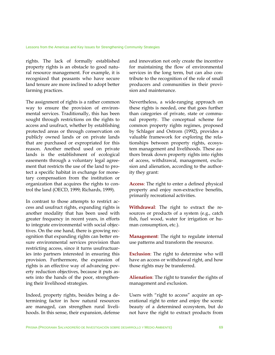rights. The lack of formally established property rights is an obstacle to good natural resource management. For example, it is recognized that peasants who have secure land tenure are more inclined to adopt better farming practices.

The assignment of rights is a rather common way to ensure the provision of environmental services. Traditionally, this has been sought through restrictions on the rights to access and usufruct, whether by establishing protected areas or through conservation on publicly owned lands or on private lands that are purchased or expropriated for this reason. Another method used on private lands is the establishment of ecological easements through a voluntary legal agreement that restricts the use of the land to protect a specific habitat in exchange for monetary compensation from the institution or organization that acquires the rights to control the land (OECD, 1999; Richards, 1999).

In contrast to those attempts to restrict access and usufruct rights, expanding rights is another modality that has been used with greater frequency in recent years, in efforts to integrate environmental with social objectives. On the one hand, there is growing recognition that expanding rights can better ensure environmental services provision than restricting access, since it turns usufructuaries into partners interested in ensuring this provision. Furthermore, the expansion of rights is an effective way of advancing poverty reduction objectives, because it puts assets into the hands of the poor, strengthening their livelihood strategies.

Indeed, property rights, besides being a determining factor in how natural resources are managed, can strengthen rural livelihoods. In this sense, their expansion, defense and innovation not only create the incentive for maintaining the flow of environmental services in the long term, but can also contribute to the recognition of the role of small producers and communities in their provision and maintenance.

Nevertheless, a wide-ranging approach on these rights is needed, one that goes further than categories of private, state or communal property. The conceptual scheme for common property rights regimes, proposed by Schlager and Ostrom (1992), provides a valuable framework for exploring the relationships between property rights, ecosystem management and livelihoods. These authors break down property rights into rights of access, withdrawal, management, exclusion and alienation, according to the authority they grant:

**Access**: The right to enter a defined physical property and enjoy non-extractive benefits, primarily recreational activities.

**Withdrawal**: The right to extract the resources or products of a system (e.g., catch fish, fuel wood, water for irrigation or human consumption, etc.).

**Management**: The right to regulate internal use patterns and transform the resource.

**Exclusion**: The right to determine who will have an access or withdrawal right, and how those rights may be transferred.

**Alienation**: The right to transfer the rights of management and exclusion.

Users with "right to access" acquire an operational right to enter and enjoy the scenic beauty of a determined ecosystem, but do not have the right to extract products from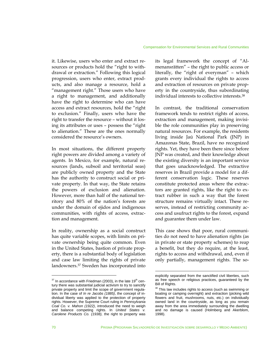it. Likewise, users who enter and extract resources or products hold the "right to withdrawal or extraction." Following this logical progression, users who enter, extract products, and also manage a resource, hold a "management right." Those users who have a right to management, and additionally have the right to determine who can have access and extract resources, hold the "right to exclusion." Finally, users who have the right to transfer the resource – without it losing its attributes or uses – possess the "right to alienation." These are the ones normally considered the resource's owners.

In most situations, the different property right powers are divided among a variety of agents. In Mexico, for example, natural resources (lands, subsoil and territorial seas) are publicly owned property and the State has the authority to construct social or private property. In that way, the State retains the powers of exclusion and alienation. However, more than half of the national territory and 80% of the nation's forests are under the domain of ejidos and indigenous communities, with rights of access, extraction and management.

In reality, ownership as a social construct has quite variable scopes, with limits on private ownership being quite common. Even in the United States, bastion of private property, there is a substantial body of legislation and case law limiting the rights of private landowners.37 Sweden has incorporated into its legal framework the concept of "Almenansrätten" – the right to public access or literally, the "right of everyman" – which grants every individual the rights to access and extraction of resources on private property in the countryside, thus subordinating individual interests to collective interests.38

In contrast, the traditional conservation framework tends to restrict rights of access, extraction and management, making invisible the role communities play in preserving natural resources. For example, the residents living inside Jaú National Park (JNP) in Amazonas State, Brazil, have no recognized rights. Yet, they have been there since before JNP was created, and their knowledge about the existing diversity is an important service that goes unacknowledged. The extractive reserves in Brazil provide a model for a different conservation logic. These reserves constitute protected areas where the extractors are granted rights, like the right to extract rubber in such a way that the forest structure remains virtually intact. These reserves, instead of restricting community access and usufruct rights to the forest, expand and guarantee them under law.

This case shows that poor, rural communities do not need to have alienation rights (as in private or state property schemes) to reap a benefit, but they do require, at the least, rights to access and withdrawal, and, even if only partially, management rights. The so-

 $\overline{a}$ 

 $37$  In accordance with Friedman (2003), in the late 19<sup>th</sup> century there was substantial judicial activism to try to sanctify private property and limit the scope of government regulation. In the case of *In re Jacobs (1885)*, the concept of individual liberty was applied to the protection of property rights. However, the Supreme Court ruling in *Pennsylvania Coal Co. v. Mahon (1922)*, introduced the need to weigh and balance competing rights. In *United States v. Carolene Products Co. (1938),* the right to property was

explicitly separated from the sanctified civil liberties, such as free speech or religious practices, guaranteed by the Bill of Rights.

<sup>&</sup>lt;sup>38</sup> This law includes rights to access (such as swimming or boating or camping overnight) and extraction (picking wild flowers and fruit, mushrooms, nuts, etc.) on individually owned land in the countryside, as long as you remain away from the area immediately surrounding the dwelling and no damage is caused (Holmberg and Akerblom, 1998).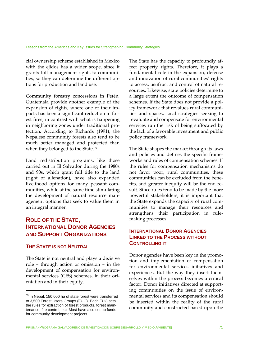cial ownership scheme established in Mexico with the ejidos has a wider scope, since it grants full management rights to communities, so they can determine the different options for production and land use.

Community forestry concessions in Petén, Guatemala provide another example of the expansion of rights, where one of their impacts has been a significant reduction in forest fires, in contrast with what is happening in neighboring zones under traditional protection. According to Richards (1991), the Nepalese community forests also tend to be much better managed and protected than when they belonged to the State.39

Land redistribution programs, like those carried out in El Salvador during the 1980s and 90s, which grant full title to the land (right of alienation), have also expanded livelihood options for many peasant communities, while at the same time stimulating the development of natural resource management options that seek to value them in an integral manner.

## **ROLE OF THE STATE, INTERNATIONAL DONOR AGENCIES AND SUPPORT ORGANIZATIONS**

#### **THE STATE IS NOT NEUTRAL**

<u>.</u>

The State is not neutral and plays a decisive role – through action or omission – in the development of compensation for environmental services (CES) schemes, in their orientation and in their equity.

The State has the capacity to profoundly affect property rights. Therefore, it plays a fundamental role in the expansion, defense and innovation of rural communities' rights to access, usufruct and control of natural resources. Likewise, state policies determine to a large extent the outcome of compensation schemes. If the State does not provide a policy framework that revalues rural communities and spaces, local strategies seeking to revaluate and compensate for environmental services run the risk of being suffocated by the lack of a favorable investment and public policy framework.

The State shapes the market through its laws and policies and defines the specific frameworks and rules of compensation schemes. If the rules for compensation mechanisms do not favor poor, rural communities, these communities can be excluded from the benefits, and greater inequity will be the end result. Since rules tend to be made by the more powerful stakeholders, it is important that the State expands the capacity of rural communities to manage their resources and strengthens their participation in rulemaking processes.

## **INTERNATIONAL DONOR AGENCIES LINKED TO THE PROCESS WITHOUT CONTROLLING IT**

Donor agencies have been key in the promotion and implementation of compensation for environmental services initiatives and experiences. But the way they insert themselves within the process becomes a critical factor. Donor initiatives directed at supporting communities on the issue of environmental services and its compensation should be inserted within the reality of the rural community and constructed based upon the

<sup>&</sup>lt;sup>39</sup> In Nepal, 150,000 ha of state forest were transferred to 3,500 Forest Users Groups (FUG). Each FUG sets the rules for extraction of forest products, forest maintenance, fire control, etc. Most have also set up funds for community development projects.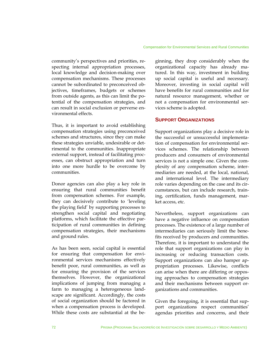community's perspectives and priorities, respecting internal appropriation processes, local knowledge and decision-making over compensation mechanisms. These processes cannot be subordinated to preconceived objectives, timeframes, budgets or schemes from outside agents, as this can limit the potential of the compensation strategies, and can result in social exclusion or perverse environmental effects.

Thus, it is important to avoid establishing compensation strategies using preconceived schemes and structures, since they can make these strategies unviable, undesirable or detrimental to the communities. Inappropriate external support, instead of facilitating processes, can obstruct appropriation and turn into one more hurdle to be overcome by communities.

Donor agencies can also play a key role in ensuring that rural communities benefit from compensation schemes. For example, they can decisively contribute to 'leveling the playing field' by supporting processes to strengthen social capital and negotiating platforms, which facilitate the effective participation of rural communities in defining compensation strategies, their mechanisms and ground rules.

As has been seen, social capital is essential for ensuring that compensation for environmental services mechanisms effectively benefit poor, rural communities, as well as for ensuring the provision of the services themselves. However, the organizational implications of jumping from managing a farm to managing a heterogeneous landscape are significant. Accordingly, the costs of social organization should be factored in when a compensation process is developed. While these costs are substantial at the beginning, they drop considerably when the organizational capacity has already matured. In this way, investment in building up social capital is useful and necessary. Moreover, investing in social capital will have benefits for rural communities and for natural resource management, whether or not a compensation for environmental services scheme is adopted.

#### **SUPPORT ORGANIZATIONS**

Support organizations play a decisive role in the successful or unsuccessful implementation of compensation for environmental services schemes. The relationship between producers and consumers of environmental services is not a simple one. Given the complexity of any compensation scheme, intermediaries are needed, at the local, national, and international level. The intermediary role varies depending on the case and its circumstances, but can include research, training, certification, funds management, market access, etc.

Nevertheless, support organizations can have a negative influence on compensation processes. The existence of a large number of intermediaries can seriously limit the benefits received by producers and communities. Therefore, it is important to understand the role that support organizations can play in increasing or reducing transaction costs. Support organizations can also hamper appropriation processes. Likewise, conflicts can arise when there are differing or opposing approaches to compensation strategies and their mechanisms between support organizations and communities.

Given the foregoing, it is essential that support organizations respect communities' agendas priorities and concerns, and their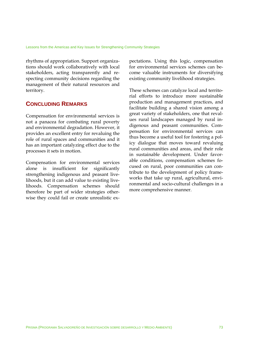rhythms of appropriation. Support organizations should work collaboratively with local stakeholders, acting transparently and respecting community decisions regarding the management of their natural resources and territory.

### **CONCLUDING REMARKS**

Compensation for environmental services is not a panacea for combating rural poverty and environmental degradation. However, it provides an excellent entry for revaluing the role of rural spaces and communities and it has an important catalyzing effect due to the processes it sets in motion.

Compensation for environmental services alone is insufficient for significantly strengthening indigenous and peasant livelihoods, but it can add value to existing livelihoods. Compensation schemes should therefore be part of wider strategies otherwise they could fail or create unrealistic expectations. Using this logic, compensation for environmental services schemes can become valuable instruments for diversifying existing community livelihood strategies.

These schemes can catalyze local and territorial efforts to introduce more sustainable production and management practices, and facilitate building a shared vision among a great variety of stakeholders, one that revalues rural landscapes managed by rural indigenous and peasant communities. Compensation for environmental services can thus become a useful tool for fostering a policy dialogue that moves toward revaluing rural communities and areas, and their role in sustainable development. Under favorable conditions, compensation schemes focused on rural, poor communities can contribute to the development of policy frameworks that take up rural, agricultural, environmental and socio-cultural challenges in a more comprehensive manner.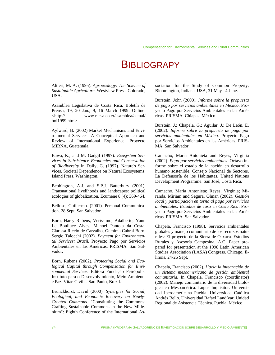# **BIBLIOGRAPY**

Altieri, M. A. (1995). *Agroecology: The Science of Sustainable Agriculture*. Westview Press. Colorado, USA.

Asamblea Legislativa de Costa Rica. Boletín de Prensa, 19, 20 Jan., 9, 16 March 1999. Online: <http:// www.racsa.co.cr/asamblea/actual/ bol1999.htm>

Aylward, B. (2002) Market Mechanisms and Environmental Services: A Conceptual Approach and Review of International Experience. Proyecto MIRNA, Guatemala.

Bawa, K., and M. Gadgil (1997). *Ecosystem Services in Subsistence Economies and Conservation of Biodiversity* in Daily, G. (1997). Nature's Services. Societal Dependence on Natural Ecosystems. Island Press, Washington.

Bebbington, A.J. and S.P.J. Batterbury (2001). Transnational livelihoods and landscapes: political ecologies of globalization. Ecumene 8 (4): 369-464.

Belloso, Guillermo. (2001). Personal Communication. 28 Sept. San Salvador.

Born, Harry Rubens, Veríssimo, Adalberto, Yann Le Boulluec Alves, Manoel Pantoja da Costa, Clarissa Riccio de Carvalho, Gemima Cabral Born, Sergio Talocchi (2002). *Payment for Environmental Services: Brazil.* Proyecto Pago por Servicios Ambientales en las Américas. PRISMA. San Salvador.

Born, Rubens (2002). *Protecting Social and Ecological Capital through Compensation for Environmental Services.* Editora Fundação Peirópolis. Instituto para o Desenvolvimiento, Meio Ambiente e Paz. Vitae Civilis. Sao Paulo, Brazil.

Brunckhorst, David (2000). *Synergies for Social, Ecological, and Economic Recovery on Newly-Created Commons*. "Constituting the Commons: Crafting Sustainable Commons in the New Millenium": Eighth Conference of the International Association for the Study of Common Property, Bloomington, Indiana, USA, 31 May –4 June.

Burstein, John (2000). *Informe sobre la propuesta de pago por servicios ambientales en México*. Proyecto Pago por Servicios Ambientales en las Américas. PRISMA. Chiapas, México.

Burstein, J.; Chapela, G.; Aguilar, J.; De León, E. (2002). *Informe sobre la propuesta de pago por servicios ambientales en México.* Proyecto Pago por Servicios Ambientales en las Américas. PRIS-MA. San Salvador.

Camacho, María Antonieta and Reyes, Virginia (2002). *Pago por servicios ambientales*. Octavo informe sobre el estado de la nación en desarrollo humano sostenible. Consejo Nacional de Sectores. La Defensoría de los Habitantes. United Nations Development Programme. San José, Costa Rica.

Camacho, María Antonieta; Reyes, Virginia; Miranda, Miriam and Segura, Olman (2002). *Gestión local y participación en torno al pago por servicios ambientales: Estudios de caso en Costa Rica*. Proyecto Pago por Servicios Ambientales en las Américas. PRISMA. San Salvador.

Chapela, Francisco (1998). Servicios ambientales globales y manejo comunitario de los recursos naturales: El proyecto de la Sierra de Oaxaca. Estudios Rurales y Asesoría Campesina, A.C. Paper prepared for presentation at the 1998 Latin American Studies Association (LASA) Congress. Chicago, Illinois, 24-26 Sept.

Chapela, Francisco (2002). *Hacia la integración de un sistema mesoamericano de gestión ambiental comunitaria*. In Chapela, Francisco (coordinator) (2002). Manejo comunitario de la diversidad biológica en Mesoamérica. Lupus Inquisitor. Universidad Iberoamericana Puebla. Universidad Católica Andrés Bello. Universidad Rafael Landívar. Unidad Regional de Asistencia Técnica. Puebla, México.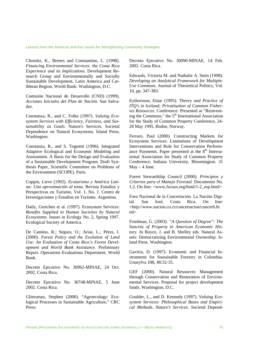Chomitz, K., Brenes and Constantino, L. (1998). *Financing Environmental Services: the Costa Rica Experience and its Implications.* Development Research Group and Environmentally and Socially Sustainable Development, Latin America and Caribbean Region, World Bank: Washington, D.C.

Comisión Nacional de Desarrollo (CND) (1999). *Acciones Iniciales del Plan de Nación.* San Salvador.

Constanza, R., and C. Folke (1997). *Valuing Ecosystem Services with Efficiency, Fairness, and Sustainability as Goals.* Nature's Services. Societal Dependence on Natural Ecosystems. Island Press, Washington.

Constanza, R., and S. Tognetti (1996). Integrated Adaptive Ecological and Economic Modeling and Assessment. A Basis for the Design and Evaluation of a Sustainable Development Program. Draft Synthesis Paper, Scientific Committee on Problems of the Environment (SCOPE). Paris.

Coppin, Lieve (1992). *Ecoturismo y América Latina: Una aproximación al tema*. Revista Estudios y Perspectivas en Turismo, Vol. 1, No. 1. Centro de Investigaciones y Estudios en Turismo. Argentina.

Daily, Gretchen et al. (1997). Ecosystem Services: *Benefits Supplied to Human Societies by Natural Ecosystems.* Issues in Ecology No. 2, Spring 1997. Ecological Society of America.

De Camino, R.; Segura, O.; Arias, L.; Pérez, I. (2000). *Forest Policy and the Evolution of Land Use: An Evaluation of Costa Rica's Forest Development and World Bank Assistance*. Preliminary Report. Operations Evaluations Department. World Bank.

Decreto Ejecutivo No. 30962-MINAE, 24 Oct. 2002. Costa Rica.

Decreto Ejecutivo No. 30748-MINAE, 5 June 2002. Costa Rica.

Gliessman, Stephen (2000). "Agroecology: Ecological Processes in Sustainable Agriculture," CRC Press.

Decreto Ejecutivo No. 30090-MINAE, 14 Feb. 2002. Costa Rica.

Edwards, Victoria M. and Nathalie A. Stein (1998). *Developing an Analytical Framework for Multiple-Use Commons.* Journal of Theoretical Politics, Vol. 10, pp. 347-383.

Eythorsson, Einar (1995). *Theory and Practice of ITQ's in Iceland; Privatisation of Common Fisheries Resources.* Conference: Presented at "Reinventing the Commons," the 5<sup>th</sup> International Association for the Study of Common Property Conference, 24- 28 May 1995, Bodoe, Norway.

Ferraro, Paul (2000). Constructing Markets for Ecosystem Services: Limitations of Development Interventions and Role for Conservation Performance Payments. Paper presented at the  $8<sup>th</sup>$  International Association for Study of Common Property Conference. Indiana University, Bloomington. 31  $May - 4 June.$ 

Forest Stewardship Council (2000). *Principios y Criterios para el Manejo Forestal.* Documento No. 1.2. On line: <www.fscoax.org/html/1-2\_esp.html>

Foro Nacional de la Concertación. La Nación Digital. San José, Costa Rica. On line: <http://www.nacion.co.cr/concertacion/concer6.ht ml>

Friedman, G. (2003). *"A Question of Degree": The Sanctity of Property in American Economic History*. In Boyce, J. and B. Shelley eds. Natural Assets: Democratizing Environmental Ownership. Island Press. Washington.

Gaviria, D. (1997). Economic and Financial Instruments for Sustainable Forestry in Colombia. Unasylva 188, 48:32-35.

GEF (2000). Natural Resources Management through Conservation and Restoration of Environmental Services. Proposal for project development funds. Washington, D.C.

Goulder, L., and D. Kennedy (1997). *Valuing Ecosystem Services: Philosophical Bases and Empirical Methods. Nature's Services.* Societal Depend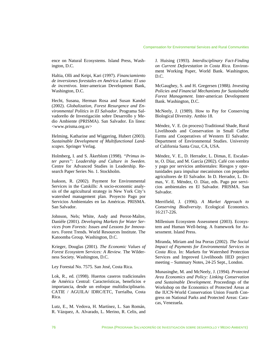ence on Natural Ecosystems. Island Press, Washington, D.C.

Haltia, Olli and Keipi, Kari (1997). *Financiamiento de inversiones forestales en América Latina: El uso de incentivos*. Inter-american Development Bank, Washington, D.C.

Hecht, Susana, Herman Rosa and Susan Kandel (2002). *Globalization, Forest Resurgence and Environmental Politics in El Salvador*. Programa Salvadoreño de Investigación sobre Desarrollo y Medio Ambiente (PRISMA). San Salvador. En línea: <www.prisma.org.sv>

Helming, Katharine and Wiggering, Hubert (2003). *Sustainable Development of Multifunctional Landscapes*. Springer Verlag.

Holmberg, I. and S. Åkerblom (1998). *"Primus inter pares": Leadership and Culture in Sweden*. Centre for Advanced Studies in Leadership. Research Paper Series No. 1. Stockholm.

Isakson, R. (2002). Payment for Environmental Services in the Catskills: A socio-economic analysis of the agricultural strategy in New York City's watershed management plan. Proyecto Pago por Servicios Ambientales en las Américas. PRISMA. San Salvador.

Johnson, Nels; White, Andy and Perrot-Maître, Danièle (2001). *Developing Markets for Water Services from Forests: Issues and Lessons for Innovators.* Forest Trends. World Resources Institute. The Katoomba Group. Washington, D.C.

Krieger, Douglas (2001). *The Economic Values of Forest Ecosystem Services: A Review.* The Wilderness Society. Washington, D.C.

Ley Forestal No. 7575. San José, Costa Rica.

Lok, R., ed. (1998). Huertos caseros tradicionales de América Central: Características, beneficios e importancia, desde un enfoque multidisciplinario. CATIE / AGUILA/ IDRC/ETC, Turrialba, Costa Rica.

Lutz, E., M. Vedova, H. Martínez, L. San Román, R. Vázquez, A. Alvarado, L. Merino, R. Celis, and J. Huising (1993). *Interdisciplinary Fact-Finding on Current Deforestation in Costa Rica.* Environment Working Paper, World Bank. Washington, D.C.

McGaughey, S. and H. Gregersen (1988*). Investing Policies and Financial Mechanisms for Sustainable Forest Management.* Inter-american Development Bank. Washington, D.C.

McNeely, J. (1989). How to Pay for Conserving Biological Diversity. Ambio 18.

Méndez, V. E. (in process) Traditional Shade, Rural Livelihoods and Conservation in Small Coffee Farms and Cooperatives of Western El Salvador. Department of Environmental Studies. University of California Santa Cruz, CA, USA.

Méndez, V. E., D. Herrador, L. Dimas, E. Escalante, O. Díaz, and M. García (2002). Café con sombra y pago por servicios ambientales: Riesgos y oportunidades para impulsar mecanismos con pequeños agricultores de El Salvador. In D. Herrador, L. Dimas, V. E. Méndez, O. Díaz, eds. Pago por servicios ambientales en El Salvador. PRISMA. San Salvador.

Merrifield, J. (1996). *A Market Approach to Conserving Biodiversity*. Ecological Economics. 16:217-226.

Millenium Ecosystem Assessment (2003). Ecosystem and Human Well-being. A framework for Assessment. Island Press.

Miranda, Miriam and Ina Porras (2002). *The Social Impact of Payments for Environmental Services in Costa Rica*. In: Markets for Watershed Protection Services and Improved Livelihoods IIED project meeting – Summary Notes, 24-25 Sept., London.

Munasinghe, M. and McNeely, J. (1994). *Protected Area Economics and Policy: Linking Conservation and Sustainable Development*. Proceedings of the Workshop on the Economics of Protected Areas at the IUCN-World Conservation Union Fourth Congress on National Parks and Protected Areas: Caracas, Venezuela.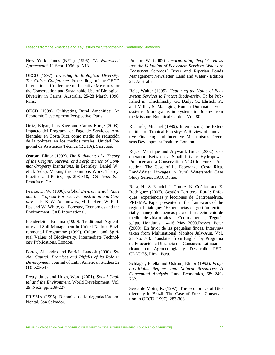Lessons from the Americas and Key Issues for Strengthening Community Strategies

New York Times (NYT) (1996). "*A Watershed Agreement*." 11 Sept. 1996, p. A18.

OECD (1997). *Investing in Biological Diversity: The Cairns Conference.* Proceedings of the OECD International Conference on Incentive Measures for the Conservation and Sustainable Use of Biological Diversity in Cairns, Australia, 25-28 March 1996. Paris.

OECD (1999). Cultivating Rural Amenities: An Economic Development Perspective. Paris.

Ortiz, Edgar, Luis Sage and Carlos Borge (2003). Impacto del Programa de Pago de Servicios Ambientales en Costa Rica como medio de reducción de la pobreza en los medios rurales. Unidad Regional de Asistencia Técnica (RUTA), San José.

Ostrom, Elinor (1992). *The Rudiments of a Theory of the Origins, Survival and Performance of Common-Property Institutions*, in Bromley, Daniel W., et al. (eds.), Making the Commons Work: Theory, Practice and Policy, pp. 293-318, ICS Press, San Francisco, CA.

Pearce, D. W. (1996). *Global Environmental Value and the Tropical Forests: Demonstration and Capture* en P. B. W. Adamowicz, M. Luckert, W. Phillips and W. White, ed. Forestry, Economics and the Environment. CAB International.

Plenderleith, Kristina (1999). Traditional Agriculture and Soil Management in United Nations Environmental Programme (1999). Cultural and Spiritual Values of Biodiversity. Intermediate Technology Publications. London.

Portes, Alejandro and Patricia Landolt (2000). *Social Capital: Promises and Pitfalls of its Role in Development*. Journal of Latin American Studies 32 (1): 529-547.

Pretty, Jules and Hugh, Ward (2001). *Social Capital and the Environment.* World Development, Vol. 29, No.2, pp. 209-227.

PRISMA (1995). Dinámica de la degradación ambiental. San Salvador.

Proctor, W. (2002). *Incorporating People's Views into the Valuation of Ecosystem Services. What are Ecosystem Services?* River and Riparian Lands Management Newsletter. Land and Water - Edition 21. Australia.

Reid, Walter (1999). *Capturing the Value of Ecosystem Services to Protect Biodiversity*. To be Published in: Chichilnisky, G., Daily, G., Ehrlich, P., and Miller, S. Managing Human Dominated Ecosystems. Monographs in Systematic Botany from the Missouri Botanical Garden, Vol. 80.

Richards, Michael (1999). Internalizing the Externalities of Tropical Forestry: A Review of Innovative Financing and Incentive Mechanisms. Overseas Development Institute. London.

Rojas, Manrique and Alyward, Bruce (2002). Cooperation Between a Small Private Hydropower Producer and a Conservation NGO for Forest Protection: The Case of La Esperanza, Costa Rica. Land-Water Linkages in Rural Watersheds Case Study Series. FAO, Rome.

Rosa, H., S. Kandel, I. Gómez, N. Cuéllar, and E. Rodríguez (2003). Gestión Territoral Rural: Enfoques, experiencias y lecciones de Centroamérica. PRISMA. Paper presented in the framework of the regional dialogue: "Experiencias de gestión territorial y manejo de cuencas para el fortalecimiento de medios de vida rurales en Centroamérica," Tegucigalpa, Honduras, 14-16 May 2003.Rosset, Peter (2000). En favor de las pequeñas fincas. Interview taken from Multinational Monitor July-Aug. Vol. 21 No. 7-8. Translated from English by Programa de Educación a Distancia del Consorcio Latinoamericano en Agroecología y Desarrollo PED-CLADES, Lima, Peru.

Schlager, Edella and Ostrom, Elinor (1992). *Property-Rights Regimes and Natural Resources: A Conceptual Analysis*. Land Economics, 68: 249- 262.

Seroa de Motta, R. (1997). The Economics of Biodiversity in Brazil. The Case of Forest Conservation in OECD (1997): 283-303.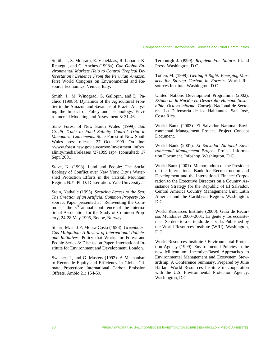#### Compensation for Environmental Services and Rural Communities

Smith, J., S. Mourato, E. Veneklaas, R. Labarta, K. Reategui, and G. Anches (1998a). *Can Global Environmental Markets Help to Control Tropical Deforestation? Evidence From the Peruvian Amazon.* First World Congress on Environmental and Resource Economics, Venice, Italy.

Smith, J., M. Winograd, G. Gallopin, and D. Pachico (1998b). Dynamics of the Agricultural Frontier in the Amazon and Savannas of Brazil: Analyzing the Impact of Policy and Technology. Environmental Modeling and Assessment 3: 31-46.

State Forest of New South Wales (1999). *Salt Credit Trade to Fund Salinity Control Trial in Macquarie Catchments.* State Forest of New South Wales press release, 27 Oct. 1999. On line: <www.forest.nsw.gov.au/carbon/investment\_info/s alinity/media/releases /271099.asp> (consulted: 17 Sept. 2001).

Stave, K. (1998). Land and People: The Social Ecology of Conflict over New York City's Watershed Protection Efforts in the Catskill Mountain Region, N.Y. Ph.D. Dissertation. Yale University.

Stein, Nathalie (1995). *Securing Access to the Sea: The Creation of an Artificial Common Property Resource*. Paper presented at "Reinventing the Commons," the  $5<sup>th</sup>$  annual conference of the International Association for the Study of Common Property, 24-28 May 1995, Bodoe, Norway.

Stuart, M. and P. Moura-Costa (1998). *Greenhouse Gas Mitigation: A Review of International Policies and Initiatives.* Policy that Works for Forest and People Series 8: Discussion Paper. International Institute for Environment and Development, London.

Swisher, J., and G. Masters (1992). A Mechanism to Reconcile Equity and Efficiency in Global Climate Protection: International Carbon Emission Offsets. Ambio 21: 154-59.

Terbourgh J. (l999). *Requiem For Nature*. Island Press. Washington, D.C.

Totten, M. (1999). *Getting it Right: Emerging Markets for Storing Carbon in Forests*. World Resources Institute. Washington, D.C.

United Nations Development Programme (2002). *Estado de la Nación en Desarrollo Humano Sostenible. Octavo informe.* Consejo Nacional de Sectores. La Defensoría de los Habitantes. San José, Costa Rica.

World Bank (2003). El Salvador National Environmental Management Project. Project Concept Document.

World Bank (2001). *El Salvador National Environmental Management Project*. Project Information Document. Infoshop. Washington, D.C.

World Bank (2001). Memorandum of the President of the International Bank for Reconstruction and Development and the International Finance Corporation to the Executive Directors on a Country Assistance Strategy for the Republic of El Salvador. Central America Country Management Unit. Latin America and the Caribbean Region. Washington, D.C.

World Resources Institute (2000). Guía de Recursos Mundiales 2000–2001. La gente y los ecosistemas: Se deteriora el tejido de la vida. Published by the World Resources Institute (WRI). Washington, D.C.

World Resources Institute / Environmental Protection Agency (1999). Environmental Policies in the new Millennium: Incentive-Based Approaches to Environmental Management and Ecosystem Stewardship. A Conference Summary. Prepared by Julie Harlan. World Resources Institute in cooperation with the U.S. Environmental Protection Agency. Washington, D.C.